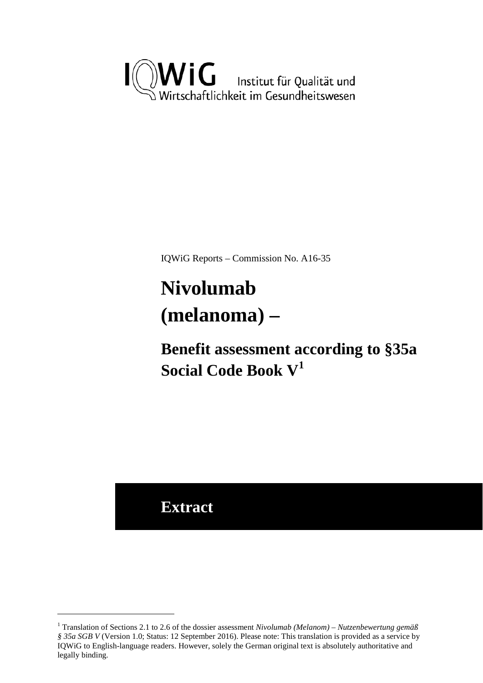<span id="page-0-3"></span>

IQWiG Reports – Commission No. A16-35

# <span id="page-0-2"></span><span id="page-0-1"></span>**Nivolumab (melanoma) –**

**Benefit assessment according to §35a Social Code Book V[1](#page-0-0)**

**Extract**

<u>.</u>

<span id="page-0-0"></span><sup>1</sup> Translation of Sections 2.1 to 2.6 of the dossier assessment *Nivolumab (Melanom) – Nutzenbewertung gemäß § 35a SGB V* (Version 1.0; Status: 12 September 2016). Please note: This translation is provided as a service by IQWiG to English-language readers. However, solely the German original text is absolutely authoritative and legally binding.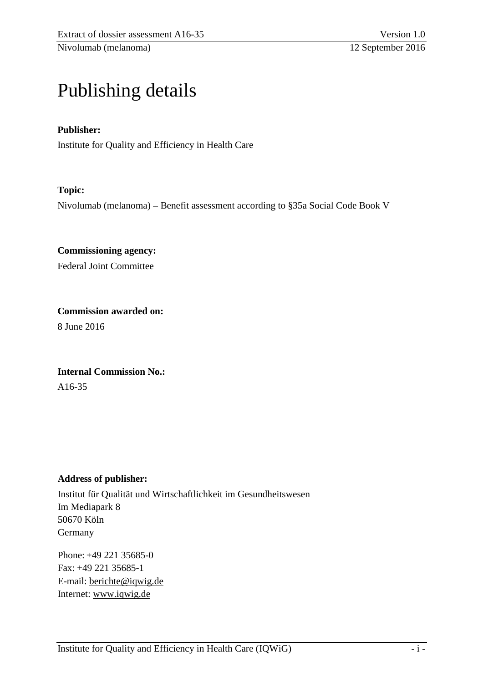# Publishing details

#### **Publisher:**

Institute for Quality and Efficiency in Health Care

#### **Topic:**

Nivolumab (melanoma) – Benefit assessment according to §35a Social Code Book V

**Commissioning agency:**  Federal Joint Committee

**Commission awarded on:**  8 June 2016

**Internal Commission No.:**  A16-35

#### **Address of publisher:**

Institut für Qualität und Wirtschaftlichkeit im Gesundheitswesen Im Mediapark 8 50670 Köln Germany

Phone: +49 221 35685-0 Fax: +49 221 35685-1 E-mail: [berichte@iqwig.de](mailto:berichte@iqwig.de) Internet: [www.iqwig.de](http://www.iqwig.de/)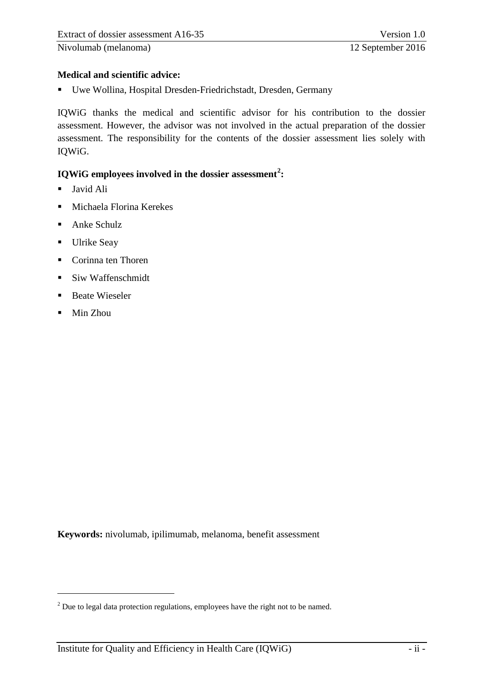# **Medical and scientific advice:**

Uwe Wollina, Hospital Dresden-Friedrichstadt, Dresden, Germany

IQWiG thanks the medical and scientific advisor for his contribution to the dossier assessment. However, the advisor was not involved in the actual preparation of the dossier assessment. The responsibility for the contents of the dossier assessment lies solely with IQWiG.

# **IQWiG employees involved in the dossier assessment[2](#page-2-0) :**

- **Javid Ali**
- Michaela Florina Kerekes
- **Anke Schulz**
- **Ulrike Seay**
- Corinna ten Thoren
- Siw Waffenschmidt
- **Beate Wieseler**
- Min Zhou

-

**Keywords:** nivolumab, ipilimumab, melanoma, benefit assessment

<span id="page-2-0"></span><sup>&</sup>lt;sup>2</sup> Due to legal data protection regulations, employees have the right not to be named.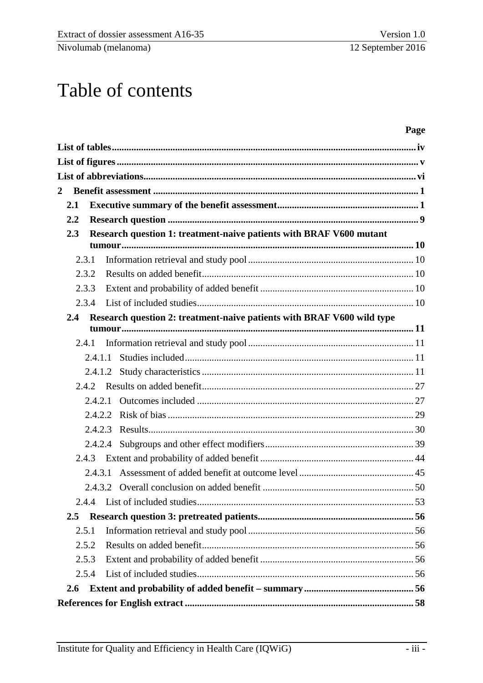# Table of contents

#### Page

| $\overline{2}$ |         |         |                                                                        |  |  |  |  |
|----------------|---------|---------|------------------------------------------------------------------------|--|--|--|--|
| 2.1            |         |         |                                                                        |  |  |  |  |
|                | 2.2     |         |                                                                        |  |  |  |  |
|                | 2.3     |         | Research question 1: treatment-naive patients with BRAF V600 mutant    |  |  |  |  |
|                |         |         |                                                                        |  |  |  |  |
|                | 2.3.1   |         |                                                                        |  |  |  |  |
|                | 2.3.2   |         |                                                                        |  |  |  |  |
|                | 2.3.3   |         |                                                                        |  |  |  |  |
|                | 2.3.4   |         |                                                                        |  |  |  |  |
|                | 2.4     |         | Research question 2: treatment-naive patients with BRAF V600 wild type |  |  |  |  |
|                |         |         |                                                                        |  |  |  |  |
|                | 2.4.1   |         |                                                                        |  |  |  |  |
|                |         | 2.4.1.1 |                                                                        |  |  |  |  |
|                |         | 2.4.1.2 |                                                                        |  |  |  |  |
|                |         |         |                                                                        |  |  |  |  |
|                |         |         |                                                                        |  |  |  |  |
|                |         | 2.4.2.3 |                                                                        |  |  |  |  |
|                |         |         |                                                                        |  |  |  |  |
|                | 2.4.3   |         |                                                                        |  |  |  |  |
|                |         | 2.4.3.1 |                                                                        |  |  |  |  |
|                |         |         |                                                                        |  |  |  |  |
|                |         |         |                                                                        |  |  |  |  |
|                | $2.5\,$ |         |                                                                        |  |  |  |  |
|                | 2.5.1   |         |                                                                        |  |  |  |  |
|                | 2.5.2   |         |                                                                        |  |  |  |  |
|                | 2.5.3   |         |                                                                        |  |  |  |  |
|                | 2.5.4   |         |                                                                        |  |  |  |  |
|                | 2.6     |         |                                                                        |  |  |  |  |
|                |         |         |                                                                        |  |  |  |  |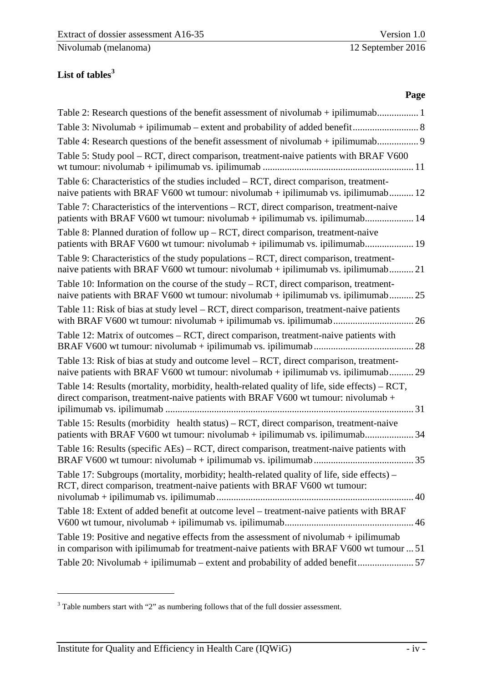# <span id="page-4-0"></span>**List of tables[3](#page-4-1)**

#### **Page**

| Table 4: Research questions of the benefit assessment of nivolumab + ipilimumab                                                                                                    |
|------------------------------------------------------------------------------------------------------------------------------------------------------------------------------------|
| Table 5: Study pool – RCT, direct comparison, treatment-naive patients with BRAF V600                                                                                              |
| Table 6: Characteristics of the studies included - RCT, direct comparison, treatment-<br>naive patients with BRAF V600 wt tumour: nivolumab + ipilimumab vs. ipilimumab 12         |
| Table 7: Characteristics of the interventions – RCT, direct comparison, treatment-naive<br>patients with BRAF V600 wt tumour: nivolumab + ipilimumab vs. ipilimumab 14             |
| Table 8: Planned duration of follow $up - RCT$ , direct comparison, treatment-naive<br>patients with BRAF V600 wt tumour: nivolumab + ipilimumab vs. ipilimumab 19                 |
| Table 9: Characteristics of the study populations – RCT, direct comparison, treatment-<br>naive patients with BRAF V600 wt tumour: nivolumab + ipilimumab vs. ipilimumab 21        |
| Table 10: Information on the course of the study $- RCT$ , direct comparison, treatment-<br>naive patients with BRAF V600 wt tumour: nivolumab + ipilimumab vs. ipilimumab 25      |
| Table 11: Risk of bias at study level – RCT, direct comparison, treatment-naive patients<br>26                                                                                     |
| Table 12: Matrix of outcomes – RCT, direct comparison, treatment-naive patients with                                                                                               |
| Table 13: Risk of bias at study and outcome level – RCT, direct comparison, treatment-<br>naive patients with BRAF V600 wt tumour: nivolumab + ipilimumab vs. ipilimumab 29        |
| Table 14: Results (mortality, morbidity, health-related quality of life, side effects) – RCT,<br>direct comparison, treatment-naive patients with BRAF V600 wt tumour: nivolumab + |
| Table 15: Results (morbidity health status) – RCT, direct comparison, treatment-naive<br>patients with BRAF V600 wt tumour: nivolumab + ipilimumab vs. ipilimumab 34               |
| Table 16: Results (specific AEs) – RCT, direct comparison, treatment-naive patients with                                                                                           |
| Table 17: Subgroups (mortality, morbidity; health-related quality of life, side effects) –<br>RCT, direct comparison, treatment-naive patients with BRAF V600 wt tumour:           |
| Table 18: Extent of added benefit at outcome level – treatment-naive patients with BRAF                                                                                            |
| Table 19: Positive and negative effects from the assessment of nivolumab + ipilimumab<br>in comparison with ipilimumab for treatment-naive patients with BRAF V600 wt tumour  51   |
| Table 20: Nivolumab + ipilimumab – extent and probability of added benefit 57                                                                                                      |

-

<span id="page-4-1"></span><sup>&</sup>lt;sup>3</sup> Table numbers start with "2" as numbering follows that of the full dossier assessment.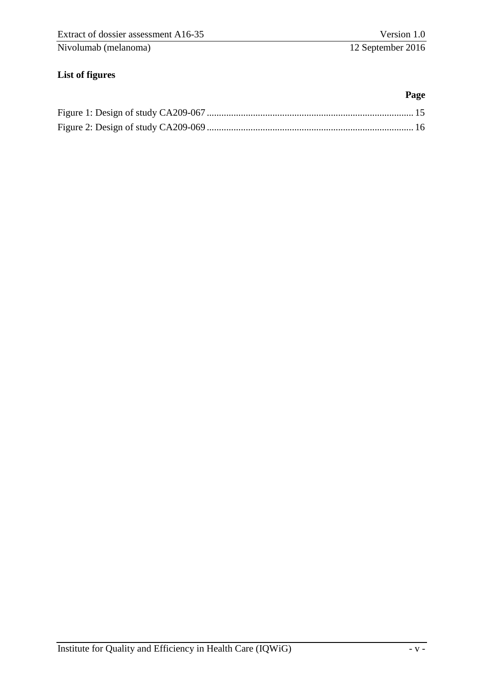# <span id="page-5-0"></span>**List of figures**

**Page**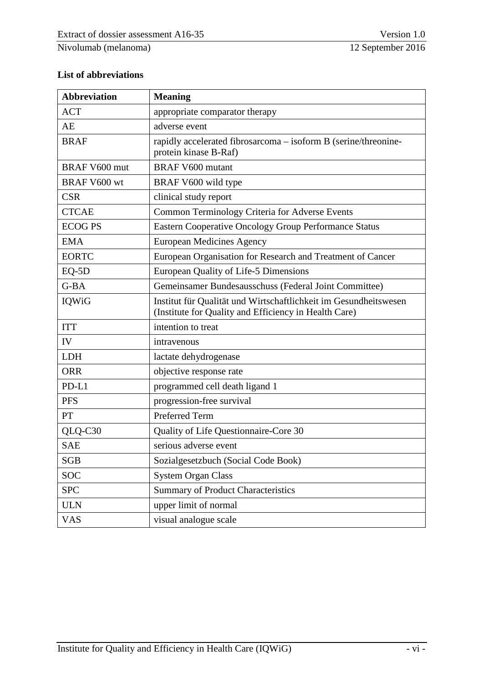#### <span id="page-6-0"></span>**List of abbreviations**

| <b>Abbreviation</b>  | <b>Meaning</b>                                                                                                            |  |  |
|----------------------|---------------------------------------------------------------------------------------------------------------------------|--|--|
| <b>ACT</b>           | appropriate comparator therapy                                                                                            |  |  |
| AE                   | adverse event                                                                                                             |  |  |
| <b>BRAF</b>          | rapidly accelerated fibrosarcoma – isoform B (serine/threonine-<br>protein kinase B-Raf)                                  |  |  |
| <b>BRAF V600 mut</b> | <b>BRAF V600 mutant</b>                                                                                                   |  |  |
| <b>BRAF V600 wt</b>  | BRAF V600 wild type                                                                                                       |  |  |
| <b>CSR</b>           | clinical study report                                                                                                     |  |  |
| <b>CTCAE</b>         | Common Terminology Criteria for Adverse Events                                                                            |  |  |
| <b>ECOG PS</b>       | Eastern Cooperative Oncology Group Performance Status                                                                     |  |  |
| <b>EMA</b>           | <b>European Medicines Agency</b>                                                                                          |  |  |
| <b>EORTC</b>         | European Organisation for Research and Treatment of Cancer                                                                |  |  |
| $EQ-5D$              | European Quality of Life-5 Dimensions                                                                                     |  |  |
| G-BA                 | Gemeinsamer Bundesausschuss (Federal Joint Committee)                                                                     |  |  |
| IQWiG                | Institut für Qualität und Wirtschaftlichkeit im Gesundheitswesen<br>(Institute for Quality and Efficiency in Health Care) |  |  |
| <b>ITT</b>           | intention to treat                                                                                                        |  |  |
| IV                   | intravenous                                                                                                               |  |  |
| <b>LDH</b>           | lactate dehydrogenase                                                                                                     |  |  |
| <b>ORR</b>           | objective response rate                                                                                                   |  |  |
| PD-L1                | programmed cell death ligand 1                                                                                            |  |  |
| <b>PFS</b>           | progression-free survival                                                                                                 |  |  |
| PT                   | Preferred Term                                                                                                            |  |  |
| QLQ-C30              | Quality of Life Questionnaire-Core 30                                                                                     |  |  |
| <b>SAE</b>           | serious adverse event                                                                                                     |  |  |
| <b>SGB</b>           | Sozialgesetzbuch (Social Code Book)                                                                                       |  |  |
| <b>SOC</b>           | <b>System Organ Class</b>                                                                                                 |  |  |
| <b>SPC</b>           | <b>Summary of Product Characteristics</b>                                                                                 |  |  |
| <b>ULN</b>           | upper limit of normal                                                                                                     |  |  |
| <b>VAS</b>           | visual analogue scale                                                                                                     |  |  |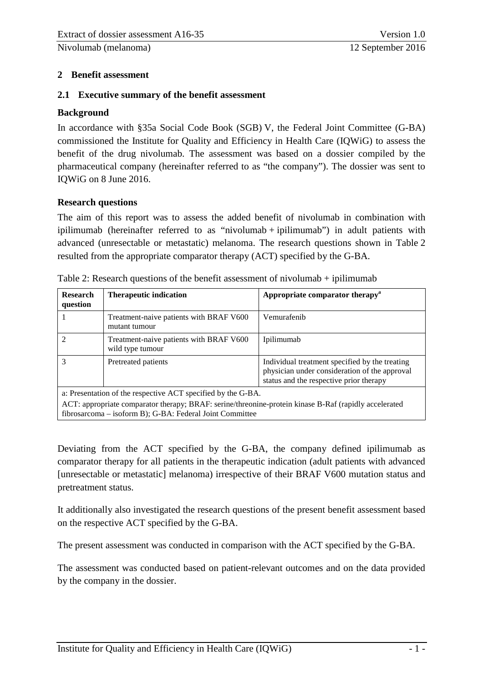#### <span id="page-7-0"></span>**2 Benefit assessment**

#### <span id="page-7-1"></span>**2.1 Executive summary of the benefit assessment**

#### **Background**

In accordance with §35a Social Code Book (SGB) V, the Federal Joint Committee (G-BA) commissioned the Institute for Quality and Efficiency in Health Care (IQWiG) to assess the benefit of the drug nivolumab. The assessment was based on a dossier compiled by the pharmaceutical company (hereinafter referred to as "the company"). The dossier was sent to IQWiG on 8 June 2016.

#### **Research questions**

The aim of this report was to assess the added benefit of nivolumab in combination with ipilimumab (hereinafter referred to as "nivolumab + ipilimumab") in adult patients with advanced (unresectable or metastatic) melanoma. The research questions shown in [Table 2](#page-7-3) resulted from the appropriate comparator therapy (ACT) specified by the G-BA.

| <b>Research</b><br>question                                                                                                                                           | <b>Therapeutic indication</b>                               | Appropriate comparator therapy <sup>a</sup>                                                                                                |  |  |  |
|-----------------------------------------------------------------------------------------------------------------------------------------------------------------------|-------------------------------------------------------------|--------------------------------------------------------------------------------------------------------------------------------------------|--|--|--|
|                                                                                                                                                                       | Treatment-naive patients with BRAF V600<br>mutant tumour    | Vemurafenib                                                                                                                                |  |  |  |
|                                                                                                                                                                       | Treatment-naive patients with BRAF V600<br>wild type tumour | Ipilimumab                                                                                                                                 |  |  |  |
|                                                                                                                                                                       | Pretreated patients                                         | Individual treatment specified by the treating<br>physician under consideration of the approval<br>status and the respective prior therapy |  |  |  |
| a: Presentation of the respective ACT specified by the G-BA.<br>ACT: appropriate comparator therapy; BRAF: serine/threonine-protein kinase B-Raf (rapidly accelerated |                                                             |                                                                                                                                            |  |  |  |

<span id="page-7-3"></span><span id="page-7-2"></span>

| Table 2: Research questions of the benefit assessment of nivolumab $+$ ipilimumab |  |  |  |  |  |
|-----------------------------------------------------------------------------------|--|--|--|--|--|
|-----------------------------------------------------------------------------------|--|--|--|--|--|

Deviating from the ACT specified by the G-BA, the company defined ipilimumab as comparator therapy for all patients in the therapeutic indication (adult patients with advanced [unresectable or metastatic] melanoma) irrespective of their BRAF V600 mutation status and pretreatment status.

It additionally also investigated the research questions of the present benefit assessment based on the respective ACT specified by the G-BA.

The present assessment was conducted in comparison with the ACT specified by the G-BA.

The assessment was conducted based on patient-relevant outcomes and on the data provided by the company in the dossier.

fibrosarcoma – isoform B); G-BA: Federal Joint Committee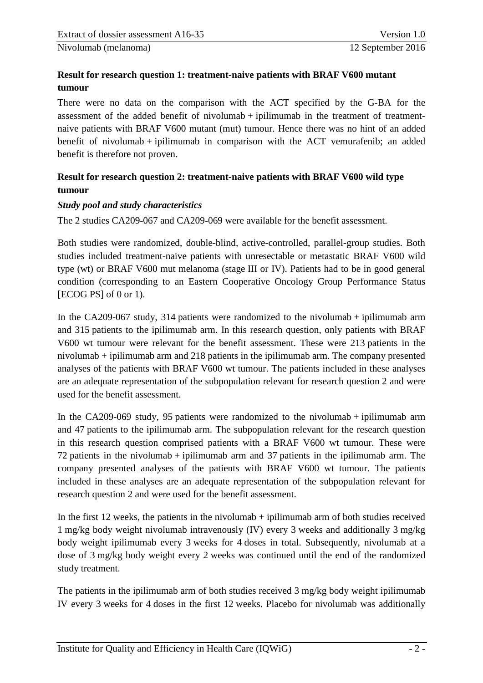#### **Result for research question 1: treatment-naive patients with BRAF V600 mutant tumour**

There were no data on the comparison with the ACT specified by the G-BA for the assessment of the added benefit of nivolumab  $+$  ipilimumab in the treatment of treatmentnaive patients with BRAF V600 mutant (mut) tumour. Hence there was no hint of an added benefit of nivolumab + ipilimumab in comparison with the ACT vemurafenib; an added benefit is therefore not proven.

# **Result for research question 2: treatment-naive patients with BRAF V600 wild type tumour**

#### *Study pool and study characteristics*

The 2 studies CA209-067 and CA209-069 were available for the benefit assessment.

Both studies were randomized, double-blind, active-controlled, parallel-group studies. Both studies included treatment-naive patients with unresectable or metastatic BRAF V600 wild type (wt) or BRAF V600 mut melanoma (stage III or IV). Patients had to be in good general condition (corresponding to an Eastern Cooperative Oncology Group Performance Status [ECOG PS] of 0 or 1).

In the CA209-067 study, 314 patients were randomized to the nivolumab + ipilimumab arm and 315 patients to the ipilimumab arm. In this research question, only patients with BRAF V600 wt tumour were relevant for the benefit assessment. These were 213 patients in the nivolumab + ipilimumab arm and 218 patients in the ipilimumab arm. The company presented analyses of the patients with BRAF V600 wt tumour. The patients included in these analyses are an adequate representation of the subpopulation relevant for research question 2 and were used for the benefit assessment.

In the CA209-069 study, 95 patients were randomized to the nivolumab + ipilimumab arm and 47 patients to the ipilimumab arm. The subpopulation relevant for the research question in this research question comprised patients with a BRAF V600 wt tumour. These were  $72$  patients in the nivolumab + ipilimumab arm and  $37$  patients in the ipilimumab arm. The company presented analyses of the patients with BRAF V600 wt tumour. The patients included in these analyses are an adequate representation of the subpopulation relevant for research question 2 and were used for the benefit assessment.

In the first 12 weeks, the patients in the nivolumab  $+$  ipilimumab arm of both studies received 1 mg/kg body weight nivolumab intravenously (IV) every 3 weeks and additionally 3 mg/kg body weight ipilimumab every 3 weeks for 4 doses in total. Subsequently, nivolumab at a dose of 3 mg/kg body weight every 2 weeks was continued until the end of the randomized study treatment.

The patients in the ipilimumab arm of both studies received 3 mg/kg body weight ipilimumab IV every 3 weeks for 4 doses in the first 12 weeks. Placebo for nivolumab was additionally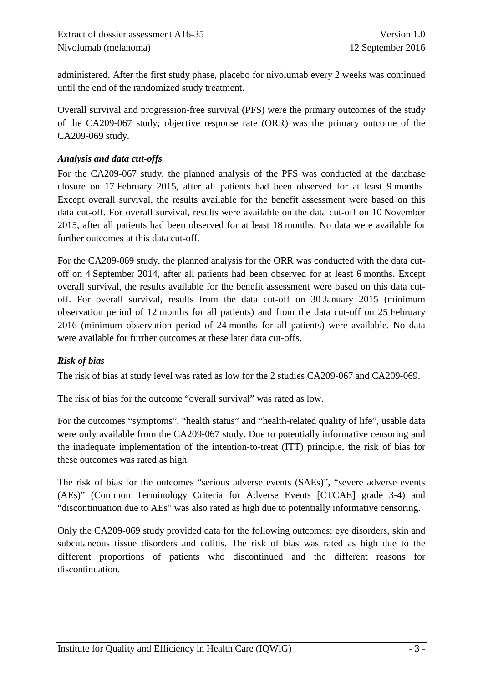administered. After the first study phase, placebo for nivolumab every 2 weeks was continued until the end of the randomized study treatment.

Overall survival and progression-free survival (PFS) were the primary outcomes of the study of the CA209-067 study; objective response rate (ORR) was the primary outcome of the CA209-069 study.

#### *Analysis and data cut-offs*

For the CA209-067 study, the planned analysis of the PFS was conducted at the database closure on 17 February 2015, after all patients had been observed for at least 9 months. Except overall survival, the results available for the benefit assessment were based on this data cut-off. For overall survival, results were available on the data cut-off on 10 November 2015, after all patients had been observed for at least 18 months. No data were available for further outcomes at this data cut-off.

For the CA209-069 study, the planned analysis for the ORR was conducted with the data cutoff on 4 September 2014, after all patients had been observed for at least 6 months. Except overall survival, the results available for the benefit assessment were based on this data cutoff. For overall survival, results from the data cut-off on 30 January 2015 (minimum observation period of 12 months for all patients) and from the data cut-off on 25 February 2016 (minimum observation period of 24 months for all patients) were available. No data were available for further outcomes at these later data cut-offs.

# *Risk of bias*

The risk of bias at study level was rated as low for the 2 studies CA209-067 and CA209-069.

The risk of bias for the outcome "overall survival" was rated as low.

For the outcomes "symptoms", "health status" and "health-related quality of life", usable data were only available from the CA209-067 study. Due to potentially informative censoring and the inadequate implementation of the intention-to-treat (ITT) principle, the risk of bias for these outcomes was rated as high.

The risk of bias for the outcomes "serious adverse events (SAEs)", "severe adverse events (AEs)" (Common Terminology Criteria for Adverse Events [CTCAE] grade 3-4) and "discontinuation due to AEs" was also rated as high due to potentially informative censoring.

Only the CA209-069 study provided data for the following outcomes: eye disorders, skin and subcutaneous tissue disorders and colitis. The risk of bias was rated as high due to the different proportions of patients who discontinued and the different reasons for discontinuation.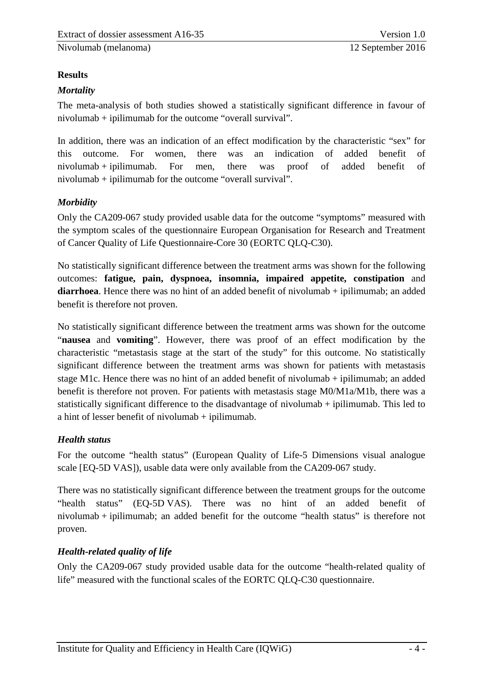# **Results**

# *Mortality*

The meta-analysis of both studies showed a statistically significant difference in favour of nivolumab + ipilimumab for the outcome "overall survival".

In addition, there was an indication of an effect modification by the characteristic "sex" for this outcome. For women, there was an indication of added benefit of nivolumab + ipilimumab. For men, there was proof of added benefit of nivolumab + ipilimumab for the outcome "overall survival".

# *Morbidity*

Only the CA209-067 study provided usable data for the outcome "symptoms" measured with the symptom scales of the questionnaire European Organisation for Research and Treatment of Cancer Quality of Life Questionnaire-Core 30 (EORTC QLQ-C30).

No statistically significant difference between the treatment arms was shown for the following outcomes: **fatigue, pain, dyspnoea, insomnia, impaired appetite, constipation** and **diarrhoea**. Hence there was no hint of an added benefit of nivolumab + ipilimumab; an added benefit is therefore not proven.

No statistically significant difference between the treatment arms was shown for the outcome "**nausea** and **vomiting**". However, there was proof of an effect modification by the characteristic "metastasis stage at the start of the study" for this outcome. No statistically significant difference between the treatment arms was shown for patients with metastasis stage M1c. Hence there was no hint of an added benefit of nivolumab + ipilimumab; an added benefit is therefore not proven. For patients with metastasis stage M0/M1a/M1b, there was a statistically significant difference to the disadvantage of nivolumab + ipilimumab. This led to a hint of lesser benefit of nivolumab + ipilimumab.

# *Health status*

For the outcome "health status" (European Quality of Life-5 Dimensions visual analogue scale [EQ-5D VAS]), usable data were only available from the CA209-067 study.

There was no statistically significant difference between the treatment groups for the outcome "health status" (EQ-5D VAS). There was no hint of an added benefit of nivolumab + ipilimumab; an added benefit for the outcome "health status" is therefore not proven.

# *Health-related quality of life*

Only the CA209-067 study provided usable data for the outcome "health-related quality of life" measured with the functional scales of the EORTC QLQ-C30 questionnaire.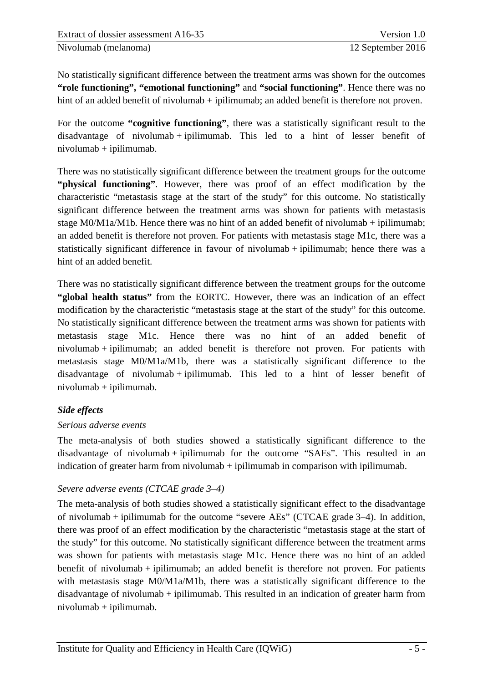No statistically significant difference between the treatment arms was shown for the outcomes **"role functioning", "emotional functioning"** and **"social functioning"**. Hence there was no hint of an added benefit of nivolumab + ipilimumab; an added benefit is therefore not proven.

For the outcome **"cognitive functioning"**, there was a statistically significant result to the disadvantage of nivolumab + ipilimumab. This led to a hint of lesser benefit of nivolumab + ipilimumab.

There was no statistically significant difference between the treatment groups for the outcome **"physical functioning"**. However, there was proof of an effect modification by the characteristic "metastasis stage at the start of the study" for this outcome. No statistically significant difference between the treatment arms was shown for patients with metastasis stage M0/M1a/M1b. Hence there was no hint of an added benefit of nivolumab + ipilimumab; an added benefit is therefore not proven. For patients with metastasis stage M1c, there was a statistically significant difference in favour of nivolumab + ipilimumab; hence there was a hint of an added benefit.

There was no statistically significant difference between the treatment groups for the outcome **"global health status"** from the EORTC. However, there was an indication of an effect modification by the characteristic "metastasis stage at the start of the study" for this outcome. No statistically significant difference between the treatment arms was shown for patients with metastasis stage M1c. Hence there was no hint of an added benefit of nivolumab + ipilimumab; an added benefit is therefore not proven. For patients with metastasis stage M0/M1a/M1b, there was a statistically significant difference to the disadvantage of nivolumab + ipilimumab. This led to a hint of lesser benefit of nivolumab + ipilimumab.

#### *Side effects*

#### *Serious adverse events*

The meta-analysis of both studies showed a statistically significant difference to the disadvantage of nivolumab + ipilimumab for the outcome "SAEs". This resulted in an indication of greater harm from nivolumab  $+$  ipilimumab in comparison with ipilimumab.

#### *Severe adverse events (CTCAE grade 3–4)*

The meta-analysis of both studies showed a statistically significant effect to the disadvantage of nivolumab + ipilimumab for the outcome "severe AEs" (CTCAE grade 3–4). In addition, there was proof of an effect modification by the characteristic "metastasis stage at the start of the study" for this outcome. No statistically significant difference between the treatment arms was shown for patients with metastasis stage M1c. Hence there was no hint of an added benefit of nivolumab + ipilimumab; an added benefit is therefore not proven. For patients with metastasis stage M0/M1a/M1b, there was a statistically significant difference to the disadvantage of nivolumab + ipilimumab. This resulted in an indication of greater harm from nivolumab + ipilimumab.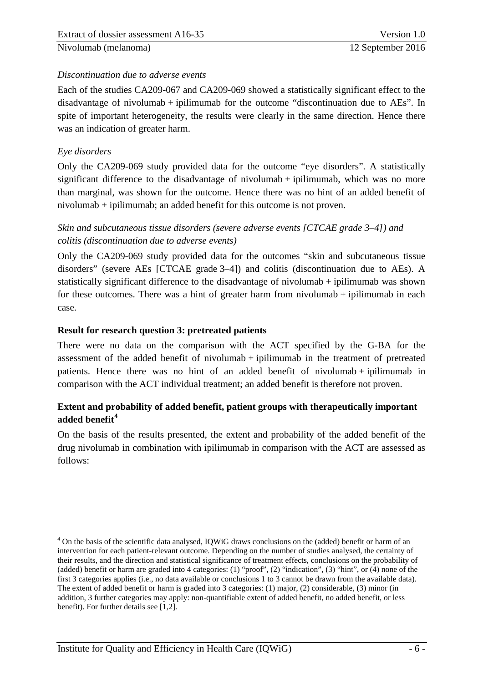#### *Discontinuation due to adverse events*

Each of the studies CA209-067 and CA209-069 showed a statistically significant effect to the disadvantage of nivolumab + ipilimumab for the outcome "discontinuation due to AEs". In spite of important heterogeneity, the results were clearly in the same direction. Hence there was an indication of greater harm.

#### *Eye disorders*

<u>.</u>

Only the CA209-069 study provided data for the outcome "eye disorders". A statistically significant difference to the disadvantage of nivolumab  $+$  ipilimumab, which was no more than marginal, was shown for the outcome. Hence there was no hint of an added benefit of nivolumab + ipilimumab; an added benefit for this outcome is not proven.

#### *Skin and subcutaneous tissue disorders (severe adverse events [CTCAE grade 3–4]) and colitis (discontinuation due to adverse events)*

Only the CA209-069 study provided data for the outcomes "skin and subcutaneous tissue disorders" (severe AEs [CTCAE grade 3–4]) and colitis (discontinuation due to AEs). A statistically significant difference to the disadvantage of nivolumab  $+$  ipilimumab was shown for these outcomes. There was a hint of greater harm from nivolumab  $+$  ipilimumab in each case.

#### **Result for research question 3: pretreated patients**

There were no data on the comparison with the ACT specified by the G-BA for the assessment of the added benefit of nivolumab  $+$  ipilimumab in the treatment of pretreated patients. Hence there was no hint of an added benefit of nivolumab + ipilimumab in comparison with the ACT individual treatment; an added benefit is therefore not proven.

#### **Extent and probability of added benefit, patient groups with therapeutically important added benefit[4](#page-12-0)**

On the basis of the results presented, the extent and probability of the added benefit of the drug nivolumab in combination with ipilimumab in comparison with the ACT are assessed as follows:

<span id="page-12-0"></span><sup>&</sup>lt;sup>4</sup> On the basis of the scientific data analysed, IQWiG draws conclusions on the (added) benefit or harm of an intervention for each patient-relevant outcome. Depending on the number of studies analysed, the certainty of their results, and the direction and statistical significance of treatment effects, conclusions on the probability of (added) benefit or harm are graded into 4 categories: (1) "proof", (2) "indication", (3) "hint", or (4) none of the first 3 categories applies (i.e., no data available or conclusions 1 to 3 cannot be drawn from the available data). The extent of added benefit or harm is graded into 3 categories: (1) major, (2) considerable, (3) minor (in addition, 3 further categories may apply: non-quantifiable extent of added benefit, no added benefit, or less benefit). For further details see [1,2].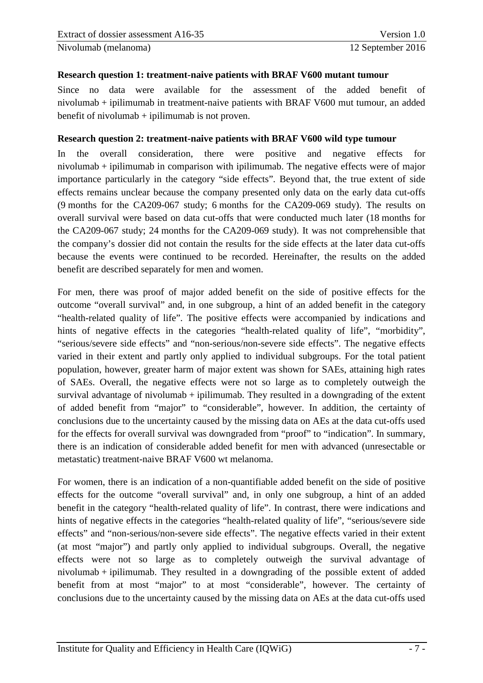#### **Research question 1: treatment-naive patients with BRAF V600 mutant tumour**

Since no data were available for the assessment of the added benefit of nivolumab + ipilimumab in treatment-naive patients with BRAF V600 mut tumour, an added benefit of nivolumab  $+$  ipilimumab is not proven.

#### **Research question 2: treatment-naive patients with BRAF V600 wild type tumour**

In the overall consideration, there were positive and negative effects for nivolumab + ipilimumab in comparison with ipilimumab. The negative effects were of major importance particularly in the category "side effects". Beyond that, the true extent of side effects remains unclear because the company presented only data on the early data cut-offs (9 months for the CA209-067 study; 6 months for the CA209-069 study). The results on overall survival were based on data cut-offs that were conducted much later (18 months for the CA209-067 study; 24 months for the CA209-069 study). It was not comprehensible that the company's dossier did not contain the results for the side effects at the later data cut-offs because the events were continued to be recorded. Hereinafter, the results on the added benefit are described separately for men and women.

For men, there was proof of major added benefit on the side of positive effects for the outcome "overall survival" and, in one subgroup, a hint of an added benefit in the category "health-related quality of life". The positive effects were accompanied by indications and hints of negative effects in the categories "health-related quality of life", "morbidity", "serious/severe side effects" and "non-serious/non-severe side effects". The negative effects varied in their extent and partly only applied to individual subgroups. For the total patient population, however, greater harm of major extent was shown for SAEs, attaining high rates of SAEs. Overall, the negative effects were not so large as to completely outweigh the survival advantage of nivolumab  $+$  ipilimumab. They resulted in a downgrading of the extent of added benefit from "major" to "considerable", however. In addition, the certainty of conclusions due to the uncertainty caused by the missing data on AEs at the data cut-offs used for the effects for overall survival was downgraded from "proof" to "indication". In summary, there is an indication of considerable added benefit for men with advanced (unresectable or metastatic) treatment-naive BRAF V600 wt melanoma.

For women, there is an indication of a non-quantifiable added benefit on the side of positive effects for the outcome "overall survival" and, in only one subgroup, a hint of an added benefit in the category "health-related quality of life". In contrast, there were indications and hints of negative effects in the categories "health-related quality of life", "serious/severe side effects" and "non-serious/non-severe side effects". The negative effects varied in their extent (at most "major") and partly only applied to individual subgroups. Overall, the negative effects were not so large as to completely outweigh the survival advantage of nivolumab + ipilimumab. They resulted in a downgrading of the possible extent of added benefit from at most "major" to at most "considerable", however. The certainty of conclusions due to the uncertainty caused by the missing data on AEs at the data cut-offs used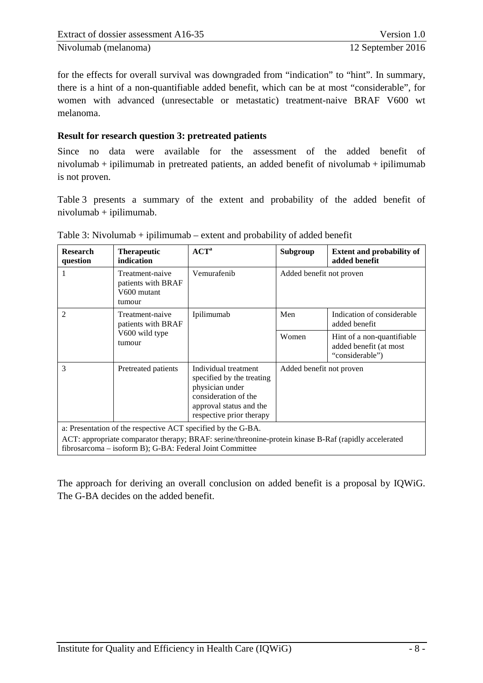for the effects for overall survival was downgraded from "indication" to "hint". In summary, there is a hint of a non-quantifiable added benefit, which can be at most "considerable", for women with advanced (unresectable or metastatic) treatment-naive BRAF V600 wt melanoma.

#### **Result for research question 3: pretreated patients**

Since no data were available for the assessment of the added benefit of nivolumab + ipilimumab in pretreated patients, an added benefit of nivolumab + ipilimumab is not proven.

[Table 3](#page-14-1) presents a summary of the extent and probability of the added benefit of nivolumab + ipilimumab.

| <b>Research</b><br>question                                                                                                                                                                                                       | <b>Therapeutic</b><br>indication                               | ACT <sup>a</sup>                                                                                                                                    | Subgroup                 | <b>Extent and probability of</b><br>added benefit                       |  |  |
|-----------------------------------------------------------------------------------------------------------------------------------------------------------------------------------------------------------------------------------|----------------------------------------------------------------|-----------------------------------------------------------------------------------------------------------------------------------------------------|--------------------------|-------------------------------------------------------------------------|--|--|
|                                                                                                                                                                                                                                   | Treatment-naive<br>patients with BRAF<br>V600 mutant<br>tumour | Vemurafenib                                                                                                                                         | Added benefit not proven |                                                                         |  |  |
| 2                                                                                                                                                                                                                                 | Treatment-naive<br>patients with BRAF                          | Ipilimumab                                                                                                                                          | Men                      | Indication of considerable<br>added benefit                             |  |  |
|                                                                                                                                                                                                                                   | V600 wild type<br>tumour                                       |                                                                                                                                                     | Women                    | Hint of a non-quantifiable<br>added benefit (at most<br>"considerable") |  |  |
| 3                                                                                                                                                                                                                                 | Pretreated patients                                            | Individual treatment<br>specified by the treating<br>physician under<br>consideration of the<br>approval status and the<br>respective prior therapy | Added benefit not proven |                                                                         |  |  |
| a: Presentation of the respective ACT specified by the G-BA.<br>ACT: appropriate comparator therapy; BRAF: serine/threonine-protein kinase B-Raf (rapidly accelerated<br>fibrosarcoma - isoform B); G-BA: Federal Joint Committee |                                                                |                                                                                                                                                     |                          |                                                                         |  |  |

<span id="page-14-1"></span><span id="page-14-0"></span>

The approach for deriving an overall conclusion on added benefit is a proposal by IQWiG. The G-BA decides on the added benefit.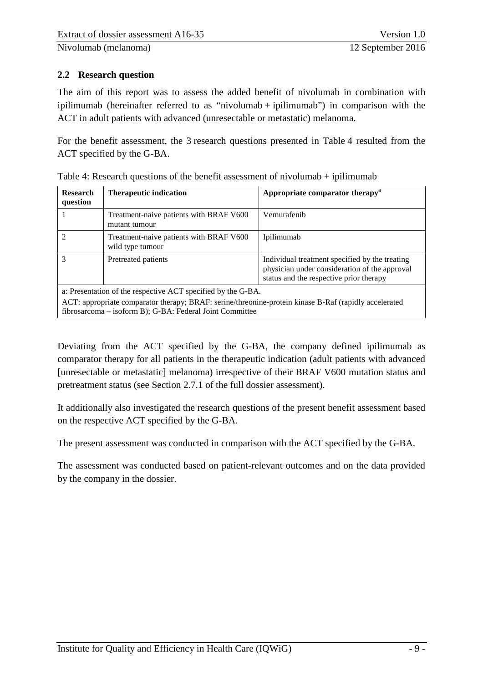#### <span id="page-15-0"></span>**2.2 Research question**

The aim of this report was to assess the added benefit of nivolumab in combination with ipilimumab (hereinafter referred to as "nivolumab + ipilimumab") in comparison with the ACT in adult patients with advanced (unresectable or metastatic) melanoma.

For the benefit assessment, the 3 research questions presented in [Table 4](#page-15-2) resulted from the ACT specified by the G-BA.

| <b>Research</b><br>question                                                                                                                                       | <b>Therapeutic indication</b>                               | Appropriate comparator therapy <sup>a</sup>                                                                                                |  |  |  |
|-------------------------------------------------------------------------------------------------------------------------------------------------------------------|-------------------------------------------------------------|--------------------------------------------------------------------------------------------------------------------------------------------|--|--|--|
|                                                                                                                                                                   | Treatment-naive patients with BRAF V600<br>mutant tumour    | Vemurafenih                                                                                                                                |  |  |  |
| $\mathfrak{D}$                                                                                                                                                    | Treatment-naive patients with BRAF V600<br>wild type tumour | Ipilimumab                                                                                                                                 |  |  |  |
| 3                                                                                                                                                                 | Pretreated patients                                         | Individual treatment specified by the treating<br>physician under consideration of the approval<br>status and the respective prior therapy |  |  |  |
| a: Presentation of the respective ACT specified by the G-BA.                                                                                                      |                                                             |                                                                                                                                            |  |  |  |
| ACT: appropriate comparator therapy; BRAF: serine/threonine-protein kinase B-Raf (rapidly accelerated<br>fibrosarcoma – isoform B); G-BA: Federal Joint Committee |                                                             |                                                                                                                                            |  |  |  |

<span id="page-15-2"></span><span id="page-15-1"></span>Table 4: Research questions of the benefit assessment of nivolumab + ipilimumab

Deviating from the ACT specified by the G-BA, the company defined ipilimumab as comparator therapy for all patients in the therapeutic indication (adult patients with advanced [unresectable or metastatic] melanoma) irrespective of their BRAF V600 mutation status and pretreatment status (see Section 2.7.1 of the full dossier assessment).

It additionally also investigated the research questions of the present benefit assessment based on the respective ACT specified by the G-BA.

The present assessment was conducted in comparison with the ACT specified by the G-BA.

The assessment was conducted based on patient-relevant outcomes and on the data provided by the company in the dossier.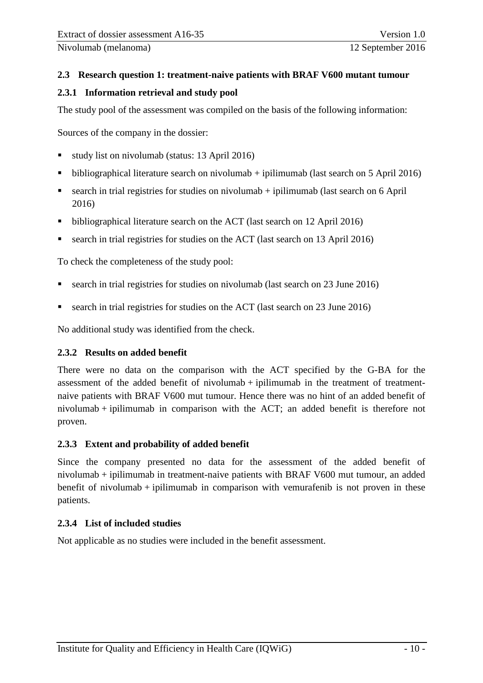#### <span id="page-16-0"></span>**2.3 Research question 1: treatment-naive patients with BRAF V600 mutant tumour**

#### <span id="page-16-1"></span>**2.3.1 Information retrieval and study pool**

The study pool of the assessment was compiled on the basis of the following information:

Sources of the company in the dossier:

- study list on nivolumab (status: 13 April 2016)
- bibliographical literature search on nivolumab  $+$  ipilimumab (last search on 5 April 2016)
- search in trial registries for studies on nivolumab  $+$  ipilimumab (last search on 6 April 2016)
- bibliographical literature search on the ACT (last search on 12 April 2016)
- search in trial registries for studies on the ACT (last search on 13 April 2016)

To check the completeness of the study pool:

- search in trial registries for studies on nivolumab (last search on 23 June 2016)
- search in trial registries for studies on the ACT (last search on 23 June 2016)

No additional study was identified from the check.

#### <span id="page-16-2"></span>**2.3.2 Results on added benefit**

There were no data on the comparison with the ACT specified by the G-BA for the assessment of the added benefit of nivolumab + ipilimumab in the treatment of treatmentnaive patients with BRAF V600 mut tumour. Hence there was no hint of an added benefit of nivolumab + ipilimumab in comparison with the ACT; an added benefit is therefore not proven.

#### <span id="page-16-3"></span>**2.3.3 Extent and probability of added benefit**

Since the company presented no data for the assessment of the added benefit of nivolumab + ipilimumab in treatment-naive patients with BRAF V600 mut tumour, an added benefit of nivolumab + ipilimumab in comparison with vemurafenib is not proven in these patients.

#### <span id="page-16-4"></span>**2.3.4 List of included studies**

Not applicable as no studies were included in the benefit assessment.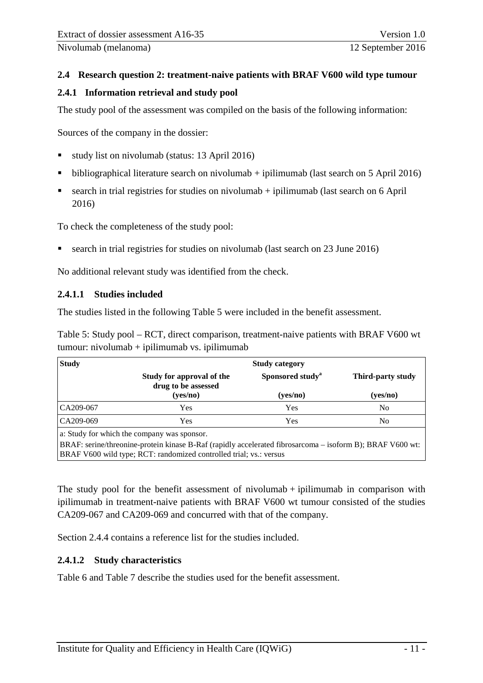#### <span id="page-17-0"></span>**2.4 Research question 2: treatment-naive patients with BRAF V600 wild type tumour**

#### <span id="page-17-1"></span>**2.4.1 Information retrieval and study pool**

The study pool of the assessment was compiled on the basis of the following information:

Sources of the company in the dossier:

- study list on nivolumab (status: 13 April 2016)
- bibliographical literature search on nivolumab  $+$  ipilimumab (last search on 5 April 2016)
- search in trial registries for studies on nivolumab  $+$  ipilimumab (last search on 6 April 2016)

To check the completeness of the study pool:

search in trial registries for studies on nivolumab (last search on 23 June 2016)

No additional relevant study was identified from the check.

#### <span id="page-17-2"></span>**2.4.1.1 Studies included**

The studies listed in the following [Table 5](#page-17-5) were included in the benefit assessment.

<span id="page-17-5"></span><span id="page-17-4"></span>Table 5: Study pool – RCT, direct comparison, treatment-naive patients with BRAF V600 wt  $tumour: nivolumab + ipilimumab vs. ipilimumab$ 

| <b>Study</b>          | <b>Study category</b>                            |                              |                   |  |  |
|-----------------------|--------------------------------------------------|------------------------------|-------------------|--|--|
|                       | Study for approval of the<br>drug to be assessed | Sponsored study <sup>a</sup> | Third-party study |  |  |
|                       | (yes/no)                                         | (yes/no)                     | (yes/no)          |  |  |
| CA209-067             | Yes                                              | Yes                          | No                |  |  |
| CA209-069             | Yes                                              | Yes                          | No                |  |  |
| $C_1$ 1 $C_2$ 1 1 1 1 |                                                  |                              |                   |  |  |

a: Study for which the company was sponsor.

BRAF: serine/threonine-protein kinase B-Raf (rapidly accelerated fibrosarcoma – isoform B); BRAF V600 wt: BRAF V600 wild type; RCT: randomized controlled trial; vs.: versus

The study pool for the benefit assessment of nivolumab  $+$  ipilimumab in comparison with ipilimumab in treatment-naive patients with BRAF V600 wt tumour consisted of the studies CA209-067 and CA209-069 and concurred with that of the company.

Section [2.4.4](#page-59-1) contains a reference list for the studies included.

#### <span id="page-17-3"></span>**2.4.1.2 Study characteristics**

[Table 6](#page-18-1) and [Table 7](#page-20-1) describe the studies used for the benefit assessment.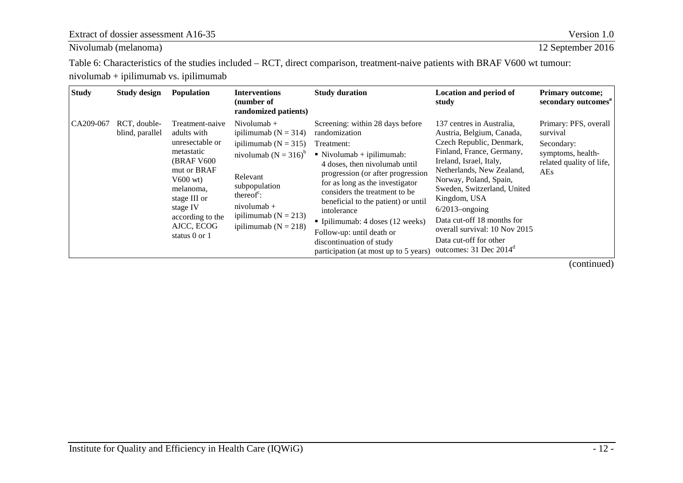Extract of dossier assessment A16-35 Version 1.0

Nivolumab [\(melanoma\)](#page-0-3) 12 September 2016

<span id="page-18-2"></span>Table 6: Characteristics of the studies included – RCT, direct comparison, treatment-naive patients with BRAF V600 wt tumour: nivolumab + ipilimumab vs. ipilimumab

<span id="page-18-1"></span><span id="page-18-0"></span>

| <b>Study</b> | <b>Study design</b>             | <b>Population</b>                                                                                                                                                                                              | <b>Interventions</b><br>(number of<br>randomized patients)                                                                                                                                                                                    | <b>Study duration</b>                                                                                                                                                                                                                                                                                                                                                                                                                                         | <b>Location and period of</b><br>study                                                                                                                                                                                                                                                                                                                                                               | <b>Primary outcome;</b><br>secondary outcomes <sup>a</sup>                                                     |
|--------------|---------------------------------|----------------------------------------------------------------------------------------------------------------------------------------------------------------------------------------------------------------|-----------------------------------------------------------------------------------------------------------------------------------------------------------------------------------------------------------------------------------------------|---------------------------------------------------------------------------------------------------------------------------------------------------------------------------------------------------------------------------------------------------------------------------------------------------------------------------------------------------------------------------------------------------------------------------------------------------------------|------------------------------------------------------------------------------------------------------------------------------------------------------------------------------------------------------------------------------------------------------------------------------------------------------------------------------------------------------------------------------------------------------|----------------------------------------------------------------------------------------------------------------|
| CA209-067    | RCT, double-<br>blind, parallel | Treatment-naive<br>adults with<br>unresectable or<br>metastatic<br><b>(BRAF V600)</b><br>mut or BRAF<br>$V600$ wt)<br>melanoma,<br>stage III or<br>stage IV<br>according to the<br>AJCC, ECOG<br>status 0 or 1 | Nivolumab $+$<br>ipilimumab ( $N = 314$ )<br>ipilimumab ( $N = 315$ )<br>nivolumab ( $N = 316$ ) <sup>b</sup><br>Relevant<br>subpopulation<br>thereof $\mathrm{c}$ :<br>$nivolumab +$<br>ipilimumab ( $N = 213$ )<br>ipilimumab ( $N = 218$ ) | Screening: within 28 days before<br>randomization<br>Treatment:<br>$\blacksquare$ Nivolumab + ipilimumab:<br>4 doses, then nivolumab until<br>progression (or after progression<br>for as long as the investigator<br>considers the treatment to be.<br>beneficial to the patient) or until<br>intolerance<br>$\blacksquare$ Ipilimumab: 4 doses (12 weeks)<br>Follow-up: until death or<br>discontinuation of study<br>participation (at most up to 5 years) | 137 centres in Australia.<br>Austria, Belgium, Canada,<br>Czech Republic, Denmark,<br>Finland, France, Germany,<br>Ireland, Israel, Italy,<br>Netherlands, New Zealand,<br>Norway, Poland, Spain,<br>Sweden, Switzerland, United<br>Kingdom, USA<br>$6/2013$ -ongoing<br>Data cut-off 18 months for<br>overall survival: 10 Nov 2015<br>Data cut-off for other<br>outcomes: 31 Dec 2014 <sup>d</sup> | Primary: PFS, overall<br>survival<br>Secondary:<br>symptoms, health-<br>related quality of life,<br><b>AEs</b> |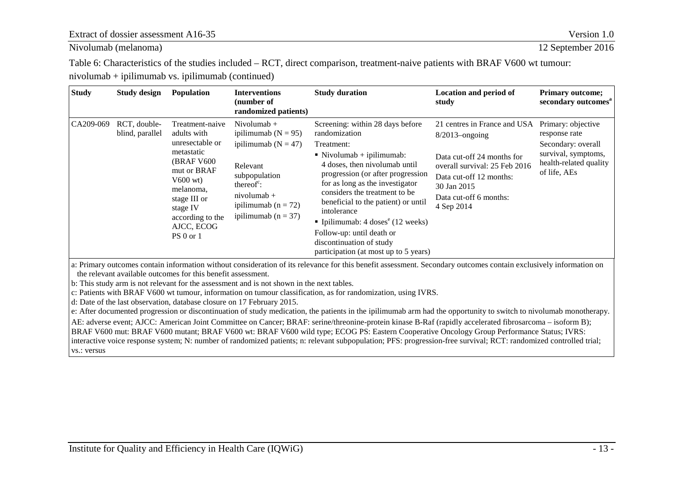Nivolumab [\(melanoma\)](#page-0-3) 12 September 2016

[Table 6: Characteristics of the studies included – RCT, direct comparison, treatment-naive patients with BRAF V600 wt tumour:](#page-18-2)  [nivolumab + ipilimumab vs. ipilimumab](#page-18-2) (continued)

| <b>Study</b> | Study design                    | <b>Population</b>                                                                                                                                                                                   | <b>Interventions</b><br>(number of<br>randomized patients)                                                                                                                                       | <b>Study duration</b>                                                                                                                                                                                                                                                                                                                                                                                                                                                | <b>Location and period of</b><br>study                                                                                                                                                             | <b>Primary outcome;</b><br>secondary outcomes <sup>a</sup>                                                                 |
|--------------|---------------------------------|-----------------------------------------------------------------------------------------------------------------------------------------------------------------------------------------------------|--------------------------------------------------------------------------------------------------------------------------------------------------------------------------------------------------|----------------------------------------------------------------------------------------------------------------------------------------------------------------------------------------------------------------------------------------------------------------------------------------------------------------------------------------------------------------------------------------------------------------------------------------------------------------------|----------------------------------------------------------------------------------------------------------------------------------------------------------------------------------------------------|----------------------------------------------------------------------------------------------------------------------------|
| CA209-069    | RCT, double-<br>blind, parallel | Treatment-naive<br>adults with<br>unresectable or<br>metastatic<br>(BRAF V600)<br>mut or BRAF<br>$V600$ wt)<br>melanoma,<br>stage III or<br>stage IV<br>according to the<br>AJCC, ECOG<br>PS 0 or 1 | Nivolumab $+$<br>ipilimumab ( $N = 95$ )<br>ipilimumab ( $N = 47$ )<br>Relevant<br>subpopulation<br>thereof $\epsilon$ :<br>$ni$ volumab +<br>ipilimumab ( $n = 72$ )<br>ipilimumab ( $n = 37$ ) | Screening: within 28 days before<br>randomization<br>Treatment:<br>$\blacksquare$ Nivolumab + ipilimumab:<br>4 doses, then nivolumab until<br>progression (or after progression<br>for as long as the investigator<br>considers the treatment to be.<br>beneficial to the patient) or until<br>intolerance<br>• Ipilimumab: $4 \text{ doses}^e (12 \text{ weeks})$<br>Follow-up: until death or<br>discontinuation of study<br>participation (at most up to 5 years) | 21 centres in France and USA<br>$8/2013$ -ongoing<br>Data cut-off 24 months for<br>overall survival: 25 Feb 2016<br>Data cut-off 12 months:<br>30 Jan 2015<br>Data cut-off 6 months:<br>4 Sep 2014 | Primary: objective<br>response rate<br>Secondary: overall<br>survival, symptoms,<br>health-related quality<br>of life, AEs |
|              |                                 | the relevant available outcomes for this benefit assessment.                                                                                                                                        | $\sim$ 1 $\sim$ 0 $\sim$ 1 $\sim$ 1 $\sim$ 1 $\sim$ 1 $\sim$ 11                                                                                                                                  | a: Primary outcomes contain information without consideration of its relevance for this benefit assessment. Secondary outcomes contain exclusively information on                                                                                                                                                                                                                                                                                                    |                                                                                                                                                                                                    |                                                                                                                            |

b: This study arm is not relevant for the assessment and is not shown in the next tables.

c: Patients with BRAF V600 wt tumour, information on tumour classification, as for randomization, using IVRS.

d: Date of the last observation, database closure on 17 February 2015.

e: After documented progression or discontinuation of study medication, the patients in the ipilimumab arm had the opportunity to switch to nivolumab monotherapy.

AE: adverse event; AJCC: American Joint Committee on Cancer; BRAF: serine/threonine-protein kinase B-Raf (rapidly accelerated fibrosarcoma – isoform B); BRAF V600 mut: BRAF V600 mutant; BRAF V600 wt: BRAF V600 wild type; ECOG PS: Eastern Cooperative Oncology Group Performance Status; IVRS: interactive voice response system; N: number of randomized patients; n: relevant subpopulation; PFS: progression-free survival; RCT: randomized controlled trial; vs.: versus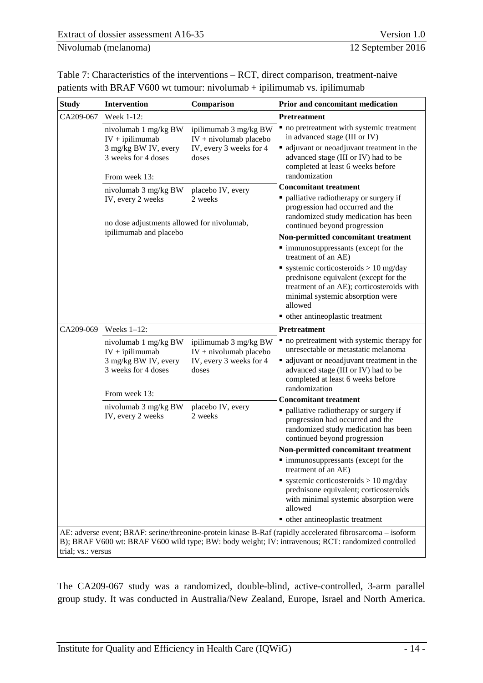<span id="page-20-1"></span><span id="page-20-0"></span>

| Table 7: Characteristics of the interventions $- RCT$ , direct comparison, treatment-naive |
|--------------------------------------------------------------------------------------------|
| patients with BRAF V600 wt tumour: nivolumab $+$ ipilimumab vs. ipilimumab                 |

| <b>Study</b>       | Intervention                                                                                              | Comparison                                                                             | Prior and concomitant medication                                                                                                                                                                                               |  |  |
|--------------------|-----------------------------------------------------------------------------------------------------------|----------------------------------------------------------------------------------------|--------------------------------------------------------------------------------------------------------------------------------------------------------------------------------------------------------------------------------|--|--|
| CA209-067          | Week 1-12:                                                                                                |                                                                                        | <b>Pretreatment</b>                                                                                                                                                                                                            |  |  |
|                    | nivolumab 1 mg/kg BW<br>$IV + ipilimumab$<br>3 mg/kg BW IV, every<br>3 weeks for 4 doses<br>From week 13: | ipilimumab 3 mg/kg BW<br>$IV + ni$ volumab placebo<br>IV, every 3 weeks for 4<br>doses | • no pretreatment with systemic treatment<br>in advanced stage (III or IV)<br>• adjuvant or neoadjuvant treatment in the<br>advanced stage (III or IV) had to be<br>completed at least 6 weeks before<br>randomization         |  |  |
|                    | nivolumab 3 mg/kg BW                                                                                      | placebo IV, every                                                                      | <b>Concomitant treatment</b>                                                                                                                                                                                                   |  |  |
|                    | IV, every 2 weeks<br>no dose adjustments allowed for nivolumab,                                           | 2 weeks                                                                                | · palliative radiotherapy or surgery if<br>progression had occurred and the<br>randomized study medication has been<br>continued beyond progression                                                                            |  |  |
|                    | ipilimumab and placebo                                                                                    |                                                                                        | Non-permitted concomitant treatment                                                                                                                                                                                            |  |  |
|                    |                                                                                                           |                                                                                        | • immunosuppressants (except for the<br>treatment of an AE)                                                                                                                                                                    |  |  |
|                    |                                                                                                           |                                                                                        | ■ systemic corticosteroids > 10 mg/day<br>prednisone equivalent (except for the<br>treatment of an AE); corticosteroids with<br>minimal systemic absorption were<br>allowed                                                    |  |  |
|                    |                                                                                                           |                                                                                        | • other antineoplastic treatment                                                                                                                                                                                               |  |  |
| CA209-069          | Weeks $1-12$ :                                                                                            |                                                                                        | <b>Pretreatment</b>                                                                                                                                                                                                            |  |  |
|                    | nivolumab 1 mg/kg BW<br>$IV + ipilimumab$<br>3 mg/kg BW IV, every<br>3 weeks for 4 doses<br>From week 13: | ipilimumab 3 mg/kg BW<br>$IV + ni$ volumab placebo<br>IV, every 3 weeks for 4<br>doses | • no pretreatment with systemic therapy for<br>unresectable or metastatic melanoma<br>• adjuvant or neoadjuvant treatment in the<br>advanced stage (III or IV) had to be<br>completed at least 6 weeks before<br>randomization |  |  |
|                    |                                                                                                           |                                                                                        | <b>Concomitant treatment</b>                                                                                                                                                                                                   |  |  |
|                    | nivolumab 3 mg/kg BW<br>IV, every 2 weeks                                                                 | placebo IV, every<br>2 weeks                                                           | • palliative radiotherapy or surgery if<br>progression had occurred and the<br>randomized study medication has been<br>continued beyond progression                                                                            |  |  |
|                    |                                                                                                           |                                                                                        | Non-permitted concomitant treatment                                                                                                                                                                                            |  |  |
|                    |                                                                                                           |                                                                                        | · immunosuppressants (except for the<br>treatment of an AE)                                                                                                                                                                    |  |  |
|                    |                                                                                                           |                                                                                        | systemic corticosteroids $> 10$ mg/day<br>prednisone equivalent; corticosteroids<br>with minimal systemic absorption were<br>allowed                                                                                           |  |  |
|                    |                                                                                                           |                                                                                        | • other antineoplastic treatment                                                                                                                                                                                               |  |  |
| trial; vs.: versus |                                                                                                           |                                                                                        | AE: adverse event; BRAF: serine/threonine-protein kinase B-Raf (rapidly accelerated fibrosarcoma - isoform<br>B); BRAF V600 wt: BRAF V600 wild type; BW: body weight; IV: intravenous; RCT: randomized controlled              |  |  |

The CA209-067 study was a randomized, double-blind, active-controlled, 3-arm parallel group study. It was conducted in Australia/New Zealand, Europe, Israel and North America.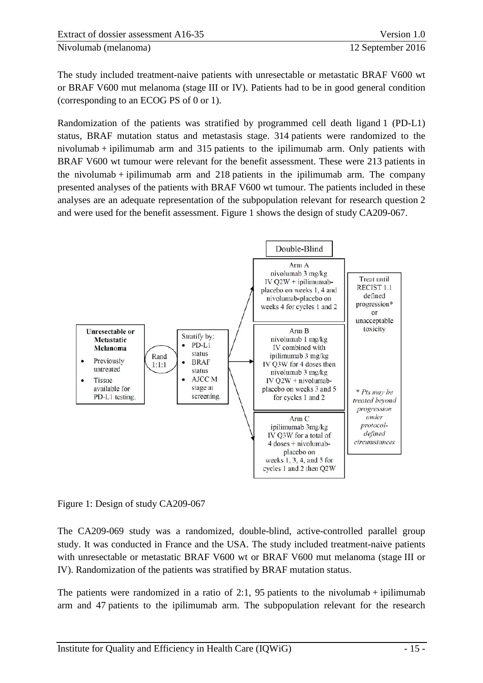The study included treatment-naive patients with unresectable or metastatic BRAF V600 wt or BRAF V600 mut melanoma (stage III or IV). Patients had to be in good general condition (corresponding to an ECOG PS of 0 or 1).

Randomization of the patients was stratified by programmed cell death ligand 1 (PD-L1) status, BRAF mutation status and metastasis stage. 314 patients were randomized to the nivolumab + ipilimumab arm and 315 patients to the ipilimumab arm. Only patients with BRAF V600 wt tumour were relevant for the benefit assessment. These were 213 patients in the nivolumab  $+$  ipilimumab arm and 218 patients in the ipilimumab arm. The company presented analyses of the patients with BRAF V600 wt tumour. The patients included in these analyses are an adequate representation of the subpopulation relevant for research question 2 and were used for the benefit assessment. [Figure 1](#page-21-0) shows the design of study CA209-067.



<span id="page-21-0"></span>Figure 1: Design of study CA209-067

The CA209-069 study was a randomized, double-blind, active-controlled parallel group study. It was conducted in France and the USA. The study included treatment-naive patients with unresectable or metastatic BRAF V600 wt or BRAF V600 mut melanoma (stage III or IV). Randomization of the patients was stratified by BRAF mutation status.

The patients were randomized in a ratio of 2:1, 95 patients to the nivolumab + ipilimumab arm and 47 patients to the ipilimumab arm. The subpopulation relevant for the research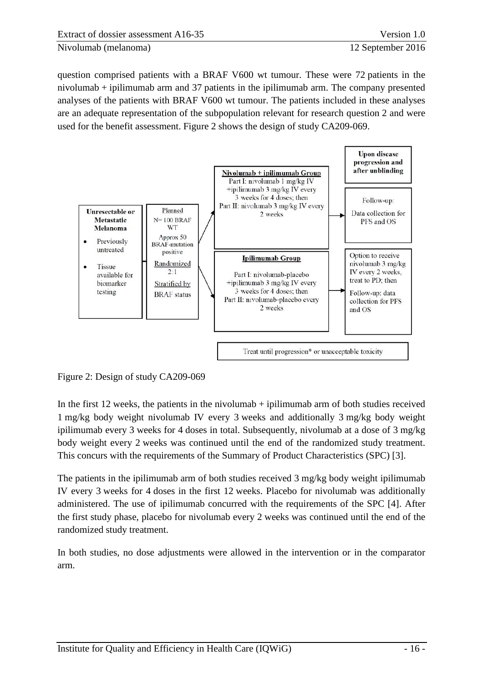question comprised patients with a BRAF V600 wt tumour. These were 72 patients in the nivolumab + ipilimumab arm and 37 patients in the ipilimumab arm. The company presented analyses of the patients with BRAF V600 wt tumour. The patients included in these analyses are an adequate representation of the subpopulation relevant for research question 2 and were used for the benefit assessment. [Figure 2](#page-22-0) shows the design of study CA209-069.



<span id="page-22-0"></span>Figure 2: Design of study CA209-069

In the first  $12$  weeks, the patients in the nivolumab  $+$  ipilimumab arm of both studies received 1 mg/kg body weight nivolumab IV every 3 weeks and additionally 3 mg/kg body weight ipilimumab every 3 weeks for 4 doses in total. Subsequently, nivolumab at a dose of 3 mg/kg body weight every 2 weeks was continued until the end of the randomized study treatment. This concurs with the requirements of the Summary of Product Characteristics (SPC) [3].

The patients in the ipilimumab arm of both studies received 3 mg/kg body weight ipilimumab IV every 3 weeks for 4 doses in the first 12 weeks. Placebo for nivolumab was additionally administered. The use of ipilimumab concurred with the requirements of the SPC [4]. After the first study phase, placebo for nivolumab every 2 weeks was continued until the end of the randomized study treatment.

In both studies, no dose adjustments were allowed in the intervention or in the comparator arm.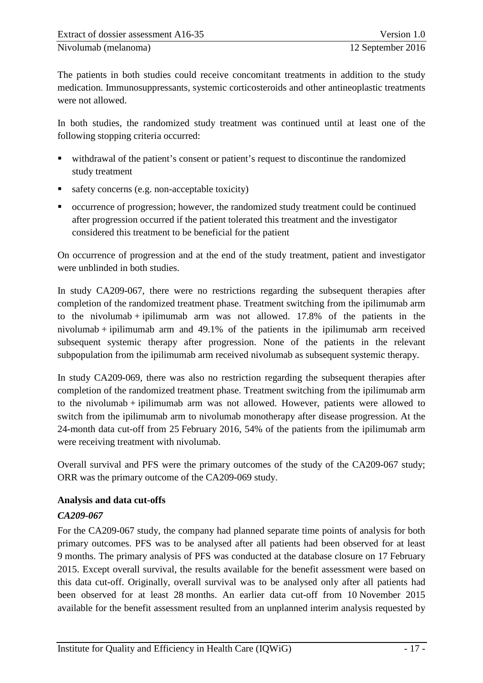The patients in both studies could receive concomitant treatments in addition to the study medication. Immunosuppressants, systemic corticosteroids and other antineoplastic treatments were not allowed.

In both studies, the randomized study treatment was continued until at least one of the following stopping criteria occurred:

- withdrawal of the patient's consent or patient's request to discontinue the randomized study treatment
- safety concerns (e.g. non-acceptable toxicity)
- occurrence of progression; however, the randomized study treatment could be continued after progression occurred if the patient tolerated this treatment and the investigator considered this treatment to be beneficial for the patient

On occurrence of progression and at the end of the study treatment, patient and investigator were unblinded in both studies.

In study CA209-067, there were no restrictions regarding the subsequent therapies after completion of the randomized treatment phase. Treatment switching from the ipilimumab arm to the nivolumab + ipilimumab arm was not allowed.  $17.8\%$  of the patients in the nivolumab  $+$  ipilimumab arm and 49.1% of the patients in the ipilimumab arm received subsequent systemic therapy after progression. None of the patients in the relevant subpopulation from the ipilimumab arm received nivolumab as subsequent systemic therapy.

In study CA209-069, there was also no restriction regarding the subsequent therapies after completion of the randomized treatment phase. Treatment switching from the ipilimumab arm to the nivolumab + ipilimumab arm was not allowed. However, patients were allowed to switch from the ipilimumab arm to nivolumab monotherapy after disease progression. At the 24-month data cut-off from 25 February 2016, 54% of the patients from the ipilimumab arm were receiving treatment with nivolumab.

Overall survival and PFS were the primary outcomes of the study of the CA209-067 study; ORR was the primary outcome of the CA209-069 study.

#### **Analysis and data cut-offs**

# *CA209-067*

For the CA209-067 study, the company had planned separate time points of analysis for both primary outcomes. PFS was to be analysed after all patients had been observed for at least 9 months. The primary analysis of PFS was conducted at the database closure on 17 February 2015. Except overall survival, the results available for the benefit assessment were based on this data cut-off. Originally, overall survival was to be analysed only after all patients had been observed for at least 28 months. An earlier data cut-off from 10 November 2015 available for the benefit assessment resulted from an unplanned interim analysis requested by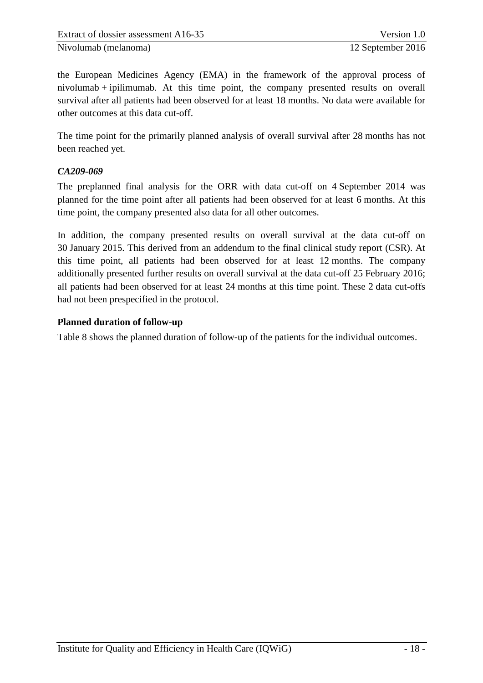the European Medicines Agency (EMA) in the framework of the approval process of nivolumab + ipilimumab. At this time point, the company presented results on overall survival after all patients had been observed for at least 18 months. No data were available for other outcomes at this data cut-off.

The time point for the primarily planned analysis of overall survival after 28 months has not been reached yet.

# *CA209-069*

The preplanned final analysis for the ORR with data cut-off on 4 September 2014 was planned for the time point after all patients had been observed for at least 6 months. At this time point, the company presented also data for all other outcomes.

In addition, the company presented results on overall survival at the data cut-off on 30 January 2015. This derived from an addendum to the final clinical study report (CSR). At this time point, all patients had been observed for at least 12 months. The company additionally presented further results on overall survival at the data cut-off 25 February 2016; all patients had been observed for at least 24 months at this time point. These 2 data cut-offs had not been prespecified in the protocol.

# **Planned duration of follow-up**

[Table 8](#page-25-0) shows the planned duration of follow-up of the patients for the individual outcomes.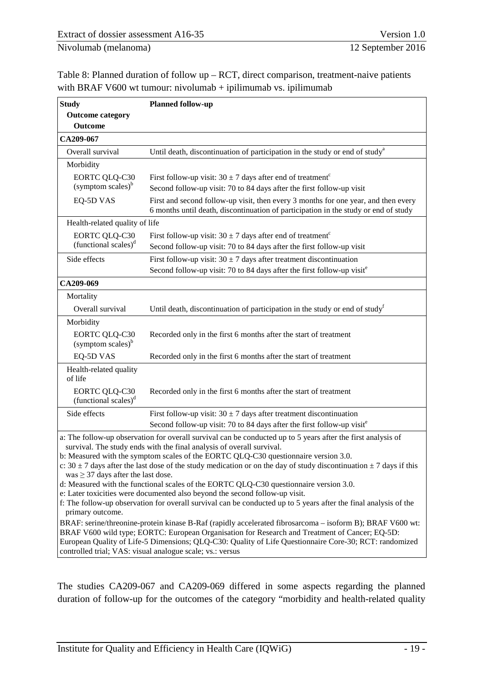<span id="page-25-0"></span>

| Table 8: Planned duration of follow $up - RCT$ , direct comparison, treatment-naive patients |
|----------------------------------------------------------------------------------------------|
| with BRAF V600 wt tumour: nivolumab $+$ ipilimumab vs. ipilimumab                            |

| <b>Study</b>                                                | <b>Planned follow-up</b>                                                                                                                                                                                                                                                                                                                                                                                                                                                                                                                                                                                                                                                                                                                                                                                             |
|-------------------------------------------------------------|----------------------------------------------------------------------------------------------------------------------------------------------------------------------------------------------------------------------------------------------------------------------------------------------------------------------------------------------------------------------------------------------------------------------------------------------------------------------------------------------------------------------------------------------------------------------------------------------------------------------------------------------------------------------------------------------------------------------------------------------------------------------------------------------------------------------|
| <b>Outcome category</b>                                     |                                                                                                                                                                                                                                                                                                                                                                                                                                                                                                                                                                                                                                                                                                                                                                                                                      |
| <b>Outcome</b>                                              |                                                                                                                                                                                                                                                                                                                                                                                                                                                                                                                                                                                                                                                                                                                                                                                                                      |
| CA209-067                                                   |                                                                                                                                                                                                                                                                                                                                                                                                                                                                                                                                                                                                                                                                                                                                                                                                                      |
| Overall survival                                            | Until death, discontinuation of participation in the study or end of study <sup>a</sup>                                                                                                                                                                                                                                                                                                                                                                                                                                                                                                                                                                                                                                                                                                                              |
| Morbidity                                                   |                                                                                                                                                                                                                                                                                                                                                                                                                                                                                                                                                                                                                                                                                                                                                                                                                      |
| <b>EORTC QLQ-C30</b><br>$(symptom scales)^b$                | First follow-up visit: $30 \pm 7$ days after end of treatment <sup>c</sup><br>Second follow-up visit: 70 to 84 days after the first follow-up visit                                                                                                                                                                                                                                                                                                                                                                                                                                                                                                                                                                                                                                                                  |
| EQ-5D VAS                                                   | First and second follow-up visit, then every 3 months for one year, and then every<br>6 months until death, discontinuation of participation in the study or end of study                                                                                                                                                                                                                                                                                                                                                                                                                                                                                                                                                                                                                                            |
| Health-related quality of life                              |                                                                                                                                                                                                                                                                                                                                                                                                                                                                                                                                                                                                                                                                                                                                                                                                                      |
| <b>EORTC QLQ-C30</b><br>(functional scales) $d$             | First follow-up visit: $30 \pm 7$ days after end of treatment <sup>c</sup><br>Second follow-up visit: 70 to 84 days after the first follow-up visit                                                                                                                                                                                                                                                                                                                                                                                                                                                                                                                                                                                                                                                                  |
| Side effects                                                | First follow-up visit: $30 \pm 7$ days after treatment discontinuation<br>Second follow-up visit: 70 to 84 days after the first follow-up visited                                                                                                                                                                                                                                                                                                                                                                                                                                                                                                                                                                                                                                                                    |
| CA209-069                                                   |                                                                                                                                                                                                                                                                                                                                                                                                                                                                                                                                                                                                                                                                                                                                                                                                                      |
| Mortality                                                   |                                                                                                                                                                                                                                                                                                                                                                                                                                                                                                                                                                                                                                                                                                                                                                                                                      |
| Overall survival                                            | Until death, discontinuation of participation in the study or end of study <sup>t</sup>                                                                                                                                                                                                                                                                                                                                                                                                                                                                                                                                                                                                                                                                                                                              |
| Morbidity                                                   |                                                                                                                                                                                                                                                                                                                                                                                                                                                                                                                                                                                                                                                                                                                                                                                                                      |
| <b>EORTC QLQ-C30</b><br>(symptom scales) <sup>b</sup>       | Recorded only in the first 6 months after the start of treatment                                                                                                                                                                                                                                                                                                                                                                                                                                                                                                                                                                                                                                                                                                                                                     |
| EQ-5D VAS                                                   | Recorded only in the first 6 months after the start of treatment                                                                                                                                                                                                                                                                                                                                                                                                                                                                                                                                                                                                                                                                                                                                                     |
| Health-related quality<br>of life                           |                                                                                                                                                                                                                                                                                                                                                                                                                                                                                                                                                                                                                                                                                                                                                                                                                      |
| <b>EORTC QLQ-C30</b><br>(functional scales) $d$             | Recorded only in the first 6 months after the start of treatment                                                                                                                                                                                                                                                                                                                                                                                                                                                                                                                                                                                                                                                                                                                                                     |
| Side effects                                                | First follow-up visit: $30 \pm 7$ days after treatment discontinuation                                                                                                                                                                                                                                                                                                                                                                                                                                                                                                                                                                                                                                                                                                                                               |
|                                                             | Second follow-up visit: 70 to 84 days after the first follow-up visited                                                                                                                                                                                                                                                                                                                                                                                                                                                                                                                                                                                                                                                                                                                                              |
| was $\geq$ 37 days after the last dose.<br>primary outcome. | a: The follow-up observation for overall survival can be conducted up to 5 years after the first analysis of<br>survival. The study ends with the final analysis of overall survival.<br>b: Measured with the symptom scales of the EORTC QLQ-C30 questionnaire version 3.0.<br>c: $30 \pm 7$ days after the last dose of the study medication or on the day of study discontinuation $\pm 7$ days if this<br>d: Measured with the functional scales of the EORTC QLQ-C30 questionnaire version 3.0.<br>e: Later toxicities were documented also beyond the second follow-up visit.<br>f: The follow-up observation for overall survival can be conducted up to 5 years after the final analysis of the<br>BRAF: serine/threonine-protein kinase B-Raf (rapidly accelerated fibrosarcoma – isoform B); BRAF V600 wt: |
|                                                             | BRAF V600 wild type; EORTC: European Organisation for Research and Treatment of Cancer; EQ-5D:<br>European Quality of Life-5 Dimensions; QLQ-C30: Quality of Life Questionnaire Core-30; RCT: randomized                                                                                                                                                                                                                                                                                                                                                                                                                                                                                                                                                                                                             |

controlled trial; VAS: visual analogue scale; vs.: versus

The studies CA209-067 and CA209-069 differed in some aspects regarding the planned duration of follow-up for the outcomes of the category "morbidity and health-related quality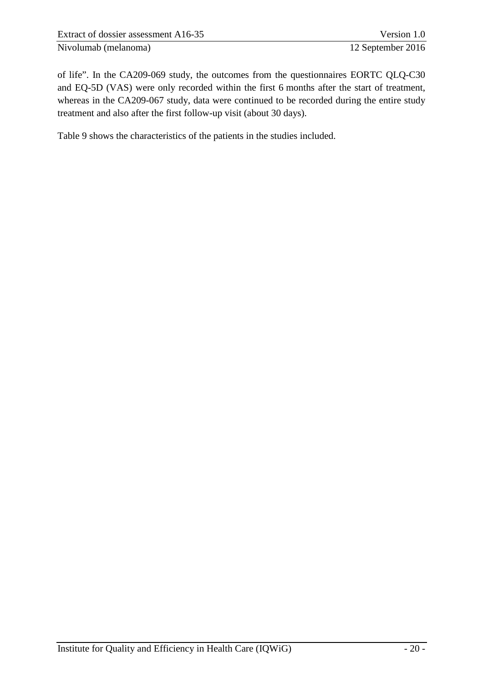of life". In the CA209-069 study, the outcomes from the questionnaires EORTC QLQ-C30 and EQ-5D (VAS) were only recorded within the first 6 months after the start of treatment, whereas in the CA209-067 study, data were continued to be recorded during the entire study treatment and also after the first follow-up visit (about 30 days).

[Table 9](#page-27-0) shows the characteristics of the patients in the studies included.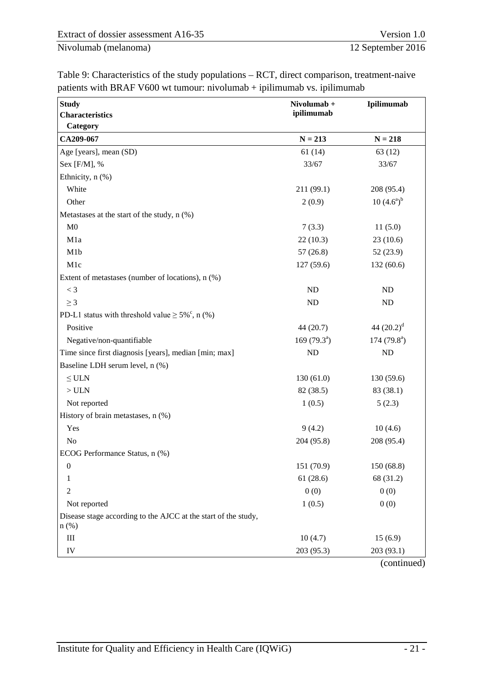| <b>Study</b>                                                              | Nivolumab +    | Ipilimumab     |
|---------------------------------------------------------------------------|----------------|----------------|
| <b>Characteristics</b>                                                    | ipilimumab     |                |
| Category                                                                  |                |                |
| CA209-067                                                                 | $N = 213$      | $N = 218$      |
| Age [years], mean (SD)                                                    | 61(14)         | 63 (12)        |
| Sex [F/M], %                                                              | 33/67          | 33/67          |
| Ethnicity, n (%)                                                          |                |                |
| White                                                                     | 211 (99.1)     | 208 (95.4)     |
| Other                                                                     | 2(0.9)         | $10(4.6^a)^b$  |
| Metastases at the start of the study, n (%)                               |                |                |
| M <sub>0</sub>                                                            | 7(3.3)         | 11(5.0)        |
| M1a                                                                       | 22(10.3)       | 23(10.6)       |
| M1b                                                                       | 57(26.8)       | 52 (23.9)      |
| M1c                                                                       | 127 (59.6)     | 132 (60.6)     |
| Extent of metastases (number of locations), n (%)                         |                |                |
| $<$ 3                                                                     | ND             | ND             |
| $\geq$ 3                                                                  | ND             | ND             |
| PD-L1 status with threshold value $\geq 5\%^{\circ}$ , n (%)              |                |                |
| Positive                                                                  | 44 (20.7)      | 44 $(20.2)^d$  |
| Negative/non-quantifiable                                                 | 169 $(79.3^a)$ | 174 $(79.8^a)$ |
| Time since first diagnosis [years], median [min; max]                     | <b>ND</b>      | <b>ND</b>      |
| Baseline LDH serum level, n (%)                                           |                |                |
| $\leq$ ULN                                                                | 130(61.0)      | 130 (59.6)     |
| $>$ ULN                                                                   | 82 (38.5)      | 83 (38.1)      |
| Not reported                                                              | 1(0.5)         | 5(2.3)         |
| History of brain metastases, n (%)                                        |                |                |
| Yes                                                                       | 9(4.2)         | 10(4.6)        |
| N <sub>o</sub>                                                            | 204 (95.8)     | 208 (95.4)     |
| ECOG Performance Status, n (%)                                            |                |                |
| $\boldsymbol{0}$                                                          | 151 (70.9)     | 150 (68.8)     |
| 1                                                                         | 61(28.6)       | 68 (31.2)      |
| $\overline{c}$                                                            | 0(0)           | 0(0)           |
| Not reported                                                              | 1(0.5)         | 0(0)           |
| Disease stage according to the AJCC at the start of the study,<br>$n$ (%) |                |                |
| Ш                                                                         | 10(4.7)        | 15(6.9)        |
| IV                                                                        | 203 (95.3)     | 203 (93.1)     |

<span id="page-27-0"></span>Table 9: Characteristics of the study populations – RCT, direct comparison, treatment-naive patients with BRAF V600 wt tumour: nivolumab + ipilimumab vs. ipilimumab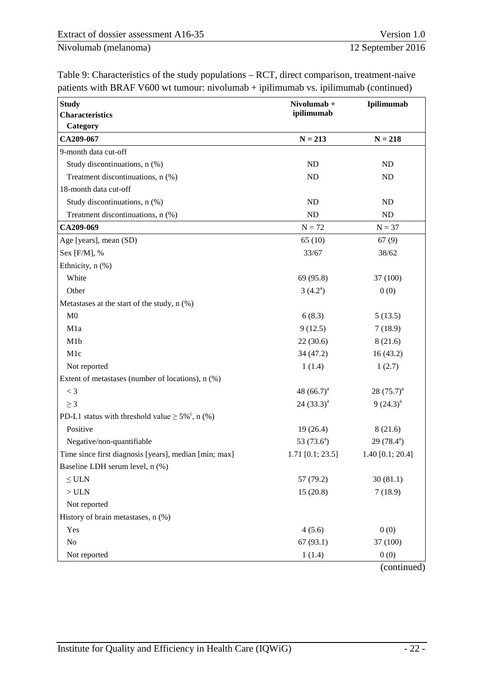| <b>Study</b>                                                 | Nivolumab +<br>ipilimumab | Ipilimumab                 |  |
|--------------------------------------------------------------|---------------------------|----------------------------|--|
| <b>Characteristics</b>                                       |                           |                            |  |
| Category<br>CA209-067                                        | $N = 213$                 | $N = 218$                  |  |
| 9-month data cut-off                                         |                           |                            |  |
| Study discontinuations, n (%)                                | ND                        | ND                         |  |
| Treatment discontinuations, n (%)                            | ND                        | ND                         |  |
| 18-month data cut-off                                        |                           |                            |  |
| Study discontinuations, n (%)                                | <b>ND</b>                 | ND                         |  |
| Treatment discontinuations, n (%)                            | <b>ND</b>                 | ND                         |  |
| CA209-069                                                    | $N = 72$                  | $N = 37$                   |  |
| Age [years], mean (SD)                                       | 65(10)                    | 67(9)                      |  |
| Sex [F/M], %                                                 | 33/67                     | 38/62                      |  |
| Ethnicity, n (%)                                             |                           |                            |  |
| White                                                        | 69 (95.8)                 | 37 (100)                   |  |
| Other                                                        | $3(4.2^a)$                | 0(0)                       |  |
| Metastases at the start of the study, $n$ (%)                |                           |                            |  |
| M <sub>0</sub>                                               | 6(8.3)                    | 5(13.5)                    |  |
| M1a                                                          | 9(12.5)                   | 7(18.9)                    |  |
| M1b                                                          | 22(30.6)                  | 8(21.6)                    |  |
| M1c                                                          | 34(47.2)                  | 16(43.2)                   |  |
| Not reported                                                 | 1(1.4)                    | 1(2.7)                     |  |
| Extent of metastases (number of locations), n (%)            |                           |                            |  |
| $<$ 3                                                        | 48 $(66.7)^a$             | 28 $(75.7)^a$              |  |
| $\geq$ 3                                                     | $24(33.3)^{a}$            | $9(24.3)^{a}$              |  |
| PD-L1 status with threshold value $\geq 5\%^{\circ}$ , n (%) |                           |                            |  |
| Positive                                                     | 19(26.4)                  | 8(21.6)                    |  |
| Negative/non-quantifiable                                    | 53 $(73.6^a)$             | 29 $(78.4)$ <sup>a</sup> ) |  |
| Time since first diagnosis [years], median [min; max]        | $1.71$ [0.1; 23.5]        | 1.40 $[0.1; 20.4]$         |  |
| Baseline LDH serum level, n (%)                              |                           |                            |  |
| $\leq$ ULN                                                   | 57 (79.2)                 | 30(81.1)                   |  |
| $>$ ULN                                                      | 15(20.8)                  | 7(18.9)                    |  |
| Not reported                                                 |                           |                            |  |
| History of brain metastases, n (%)                           |                           |                            |  |
| Yes                                                          | 4(5.6)                    | 0(0)                       |  |
| N <sub>o</sub>                                               | 67(93.1)                  | 37 (100)                   |  |
| Not reported                                                 | 1(1.4)                    | 0(0)                       |  |

[Table 9: Characteristics of the study populations – RCT, direct comparison, treatment-naive](#page-27-0)  [patients with BRAF V600 wt tumour: nivolumab + ipilimumab vs. ipilimumab](#page-27-0) (continued)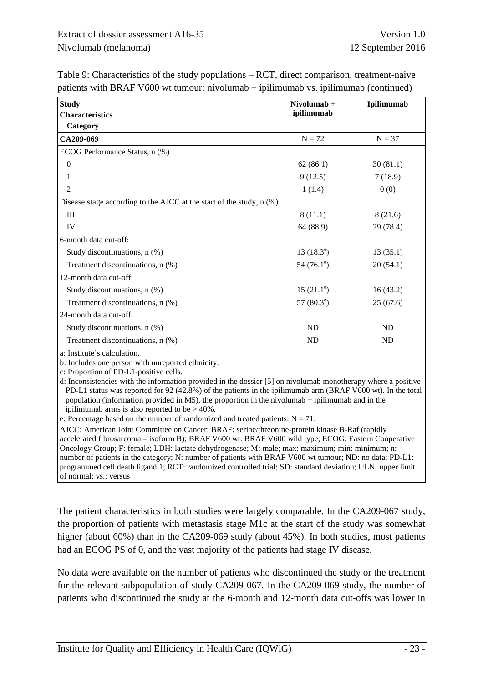| <b>Study</b>                                                             | Nivolumab +         | Ipilimumab |
|--------------------------------------------------------------------------|---------------------|------------|
| <b>Characteristics</b>                                                   | ipilimumab          |            |
| Category                                                                 |                     |            |
| CA209-069                                                                | $N = 72$            | $N = 37$   |
| ECOG Performance Status, n (%)                                           |                     |            |
| $\theta$                                                                 | 62(86.1)            | 30(81.1)   |
| 1                                                                        | 9(12.5)             | 7(18.9)    |
| 2                                                                        | 1(1.4)              | 0(0)       |
| Disease stage according to the AJCC at the start of the study, $n$ $%$ ) |                     |            |
| III                                                                      | 8(11.1)             | 8(21.6)    |
| IV                                                                       | 64 (88.9)           | 29 (78.4)  |
| 6-month data cut-off:                                                    |                     |            |
| Study discontinuations, n (%)                                            | $13(18.3^e)$        | 13(35.1)   |
| Treatment discontinuations, n (%)                                        | 54 $(76.1^{\circ})$ | 20(54.1)   |
| 12-month data cut-off:                                                   |                     |            |
| Study discontinuations, n (%)                                            | $15(21.1^{\circ})$  | 16(43.2)   |
| Treatment discontinuations, n (%)                                        | 57 $(80.3^{\circ})$ | 25(67.6)   |
| 24-month data cut-off:                                                   |                     |            |
| Study discontinuations, n (%)                                            | <b>ND</b>           | <b>ND</b>  |
| Treatment discontinuations, n (%)                                        | <b>ND</b>           | <b>ND</b>  |

[Table 9: Characteristics of the study populations – RCT, direct comparison, treatment-naive](#page-27-0)  patients with BRAF V600 wt tumour: nivolumab  $+$  ipilimumab vs. ipilimumab (continued)

a: Institute's calculation.

b: Includes one person with unreported ethnicity.

c: Proportion of PD-L1-positive cells.

d: Inconsistencies with the information provided in the dossier [5] on nivolumab monotherapy where a positive PD-L1 status was reported for 92 (42.8%) of the patients in the ipilimumab arm (BRAF V600 wt). In the total population (information provided in M5), the proportion in the nivolumab + ipilimumab and in the ipilimumab arms is also reported to be > 40%.

e: Percentage based on the number of randomized and treated patients:  $N = 71$ .

AJCC: American Joint Committee on Cancer; BRAF: serine/threonine-protein kinase B-Raf (rapidly accelerated fibrosarcoma – isoform B); BRAF V600 wt: BRAF V600 wild type; ECOG: Eastern Cooperative Oncology Group; F: female; LDH: lactate dehydrogenase; M: male; max: maximum; min: minimum; n: number of patients in the category; N: number of patients with BRAF V600 wt tumour; ND: no data; PD-L1: programmed cell death ligand 1; RCT: randomized controlled trial; SD: standard deviation; ULN: upper limit of normal; vs.: versus

The patient characteristics in both studies were largely comparable. In the CA209-067 study, the proportion of patients with metastasis stage M1c at the start of the study was somewhat higher (about 60%) than in the CA209-069 study (about 45%). In both studies, most patients had an ECOG PS of 0, and the vast majority of the patients had stage IV disease.

No data were available on the number of patients who discontinued the study or the treatment for the relevant subpopulation of study CA209-067. In the CA209-069 study, the number of patients who discontinued the study at the 6-month and 12-month data cut-offs was lower in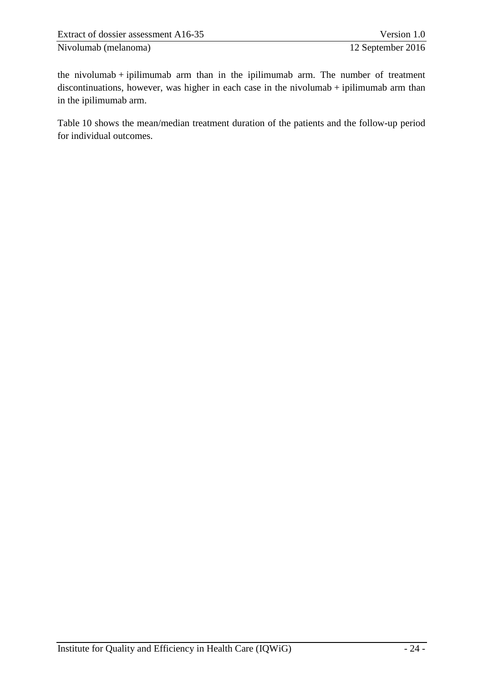the nivolumab  $+$  ipilimumab arm than in the ipilimumab arm. The number of treatment discontinuations, however, was higher in each case in the nivolumab + ipilimumab arm than in the ipilimumab arm.

[Table 10](#page-31-0) shows the mean/median treatment duration of the patients and the follow-up period for individual outcomes.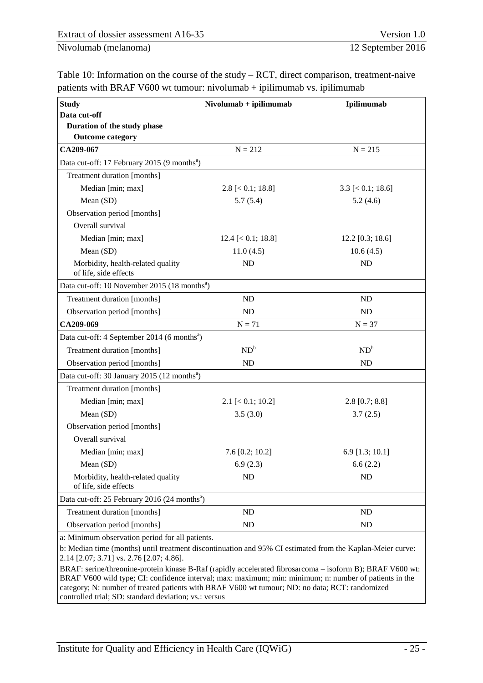<span id="page-31-0"></span>Table 10: Information on the course of the study – RCT, direct comparison, treatment-naive patients with BRAF V600 wt tumour: nivolumab + ipilimumab vs. ipilimumab

| <b>Study</b>                                               | $Nivolumab + ipilimumab$ | Ipilimumab              |
|------------------------------------------------------------|--------------------------|-------------------------|
| Data cut-off                                               |                          |                         |
| Duration of the study phase                                |                          |                         |
| <b>Outcome category</b>                                    |                          |                         |
| CA209-067                                                  | $N = 212$                | $N = 215$               |
| Data cut-off: 17 February 2015 (9 months <sup>a</sup> )    |                          |                         |
| Treatment duration [months]                                |                          |                         |
| Median [min; max]                                          | $2.8$ [ $< 0.1$ ; 18.8]  | $3.3$ [ $< 0.1$ ; 18.6] |
| Mean (SD)                                                  | 5.7(5.4)                 | 5.2(4.6)                |
| Observation period [months]                                |                          |                         |
| Overall survival                                           |                          |                         |
| Median [min; max]                                          | $12.4$ [ $< 0.1$ ; 18.8] | $12.2$ [0.3; 18.6]      |
| Mean (SD)                                                  | 11.0(4.5)                | 10.6(4.5)               |
| Morbidity, health-related quality<br>of life, side effects | <b>ND</b>                | <b>ND</b>               |
| Data cut-off: 10 November 2015 (18 months <sup>a</sup> )   |                          |                         |
| Treatment duration [months]                                | <b>ND</b>                | <b>ND</b>               |
| Observation period [months]                                | <b>ND</b>                | <b>ND</b>               |
| CA209-069                                                  | $N = 71$                 | $N = 37$                |
| Data cut-off: 4 September 2014 (6 months <sup>a</sup> )    |                          |                         |
| Treatment duration [months]                                | $ND^b$                   | $ND^b$                  |
| Observation period [months]                                | <b>ND</b>                | <b>ND</b>               |
| Data cut-off: 30 January 2015 (12 months <sup>a</sup> )    |                          |                         |
| Treatment duration [months]                                |                          |                         |
| Median [min; max]                                          | $2.1$ [ $< 0.1$ ; 10.2]  | $2.8$ [0.7; 8.8]        |
| Mean (SD)                                                  | 3.5(3.0)                 | 3.7(2.5)                |
| Observation period [months]                                |                          |                         |
| Overall survival                                           |                          |                         |
| Median [min; max]                                          | $7.6$ [0.2; 10.2]        | $6.9$ [1.3; 10.1]       |
| Mean (SD)                                                  | 6.9(2.3)                 | 6.6(2.2)                |
| Morbidity, health-related quality<br>of life, side effects | <b>ND</b>                | ND                      |
| Data cut-off: 25 February 2016 (24 months <sup>a</sup> )   |                          |                         |
| Treatment duration [months]                                | ND                       | ND                      |
| Observation period [months]                                | <b>ND</b>                | ND                      |
| or Minimum observation period for all perfonts             |                          |                         |

a: Minimum observation period for all patients.

b: Median time (months) until treatment discontinuation and 95% CI estimated from the Kaplan-Meier curve: 2.14 [2.07; 3.71] vs. 2.76 [2.07; 4.86].

BRAF: serine/threonine-protein kinase B-Raf (rapidly accelerated fibrosarcoma – isoform B); BRAF V600 wt: BRAF V600 wild type; CI: confidence interval; max: maximum; min: minimum; n: number of patients in the category; N: number of treated patients with BRAF V600 wt tumour; ND: no data; RCT: randomized controlled trial; SD: standard deviation; vs.: versus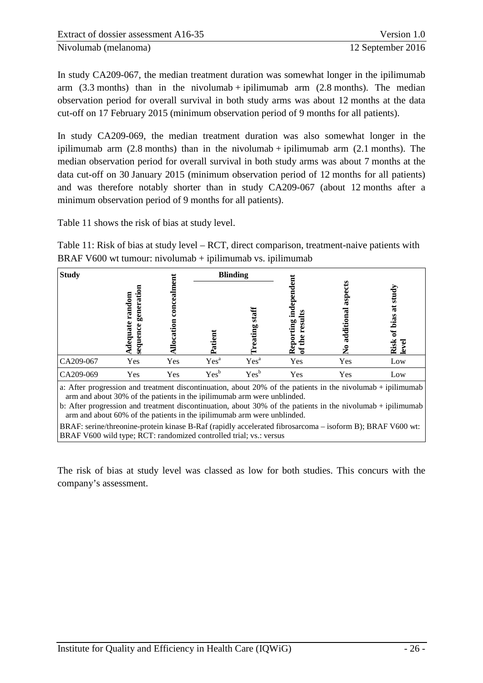In study CA209-067, the median treatment duration was somewhat longer in the ipilimumab arm  $(3.3 \text{ months})$  than in the nivolumab + ipilimumab arm  $(2.8 \text{ months})$ . The median observation period for overall survival in both study arms was about 12 months at the data cut-off on 17 February 2015 (minimum observation period of 9 months for all patients).

In study CA209-069, the median treatment duration was also somewhat longer in the ipilimumab arm  $(2.8 \text{ months})$  than in the nivolumab + ipilimumab arm  $(2.1 \text{ months})$ . The median observation period for overall survival in both study arms was about 7 months at the data cut-off on 30 January 2015 (minimum observation period of 12 months for all patients) and was therefore notably shorter than in study CA209-067 (about 12 months after a minimum observation period of 9 months for all patients).

[Table 11](#page-32-0) shows the risk of bias at study level.

<span id="page-32-0"></span>Table 11: Risk of bias at study level – RCT, direct comparison, treatment-naive patients with BRAF V600 wt tumour: nivolumab  $+$  ipilimumab vs. ipilimumab

| <b>Study</b> |                                                                                                 |     |                  | <b>Blinding</b>  |                                            |                                             |                                                                  |
|--------------|-------------------------------------------------------------------------------------------------|-----|------------------|------------------|--------------------------------------------|---------------------------------------------|------------------------------------------------------------------|
|              | $\overline{\rm g}$<br>$\ddot{a}$<br>ರ<br>ran<br>gen<br>۹<br>ပ္ပ<br>ផ្ទ<br>0<br>Φ<br>동<br>ರ<br>9 |     | Ē<br>š<br>ৱ      | staff<br>eating  | ٥<br>Ĕ.<br>S<br>ting<br>ø<br>epq<br>£<br>≃ | ≌<br>□<br>تە<br>asp<br>additional<br>۰<br>ラ | study<br>$\overline{\mathbf{a}}$<br>bias<br>ัธ<br>Risk<br>इ<br>٥ |
| CA209-067    | Yes                                                                                             | Yes | Yes <sup>a</sup> | Yes <sup>a</sup> | Yes                                        | Yes                                         | Low                                                              |
| CA209-069    | Yes                                                                                             | Yes | Yes <sup>b</sup> | Yes <sup>b</sup> | Yes                                        | Yes                                         | Low                                                              |

a: After progression and treatment discontinuation, about 20% of the patients in the nivolumab + ipilimumab arm and about 30% of the patients in the ipilimumab arm were unblinded.

b: After progression and treatment discontinuation, about 30% of the patients in the nivolumab + ipilimumab arm and about 60% of the patients in the ipilimumab arm were unblinded.

BRAF: serine/threonine-protein kinase B-Raf (rapidly accelerated fibrosarcoma – isoform B); BRAF V600 wt: BRAF V600 wild type; RCT: randomized controlled trial; vs.: versus

The risk of bias at study level was classed as low for both studies. This concurs with the company's assessment.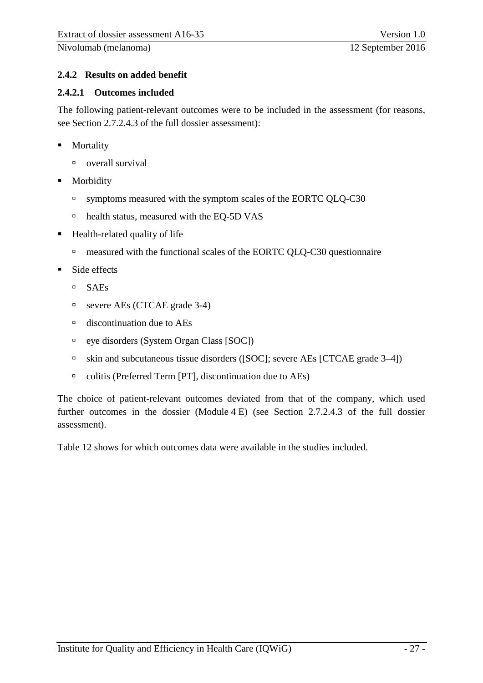# <span id="page-33-0"></span>**2.4.2 Results on added benefit**

#### <span id="page-33-1"></span>**2.4.2.1 Outcomes included**

The following patient-relevant outcomes were to be included in the assessment (for reasons, see Section 2.7.2.4.3 of the full dossier assessment):

- **Mortality** 
	- overall survival
- **Morbidity** 
	- <sup>n</sup> symptoms measured with the symptom scales of the EORTC QLQ-C30
	- □ health status, measured with the EQ-5D VAS
- $\blacksquare$  Health-related quality of life
	- measured with the functional scales of the EORTC QLQ-C30 questionnaire
- Side effects
	- SAEs
	- severe AEs (CTCAE grade 3-4)
	- discontinuation due to AEs
	- eye disorders (System Organ Class [SOC])
	- <sup>n</sup> skin and subcutaneous tissue disorders ([SOC]; severe AEs [CTCAE grade 3–4])
	- colitis (Preferred Term [PT], discontinuation due to AEs)

The choice of patient-relevant outcomes deviated from that of the company, which used further outcomes in the dossier (Module 4 E) (see Section 2.7.2.4.3 of the full dossier assessment).

[Table 12](#page-34-0) shows for which outcomes data were available in the studies included.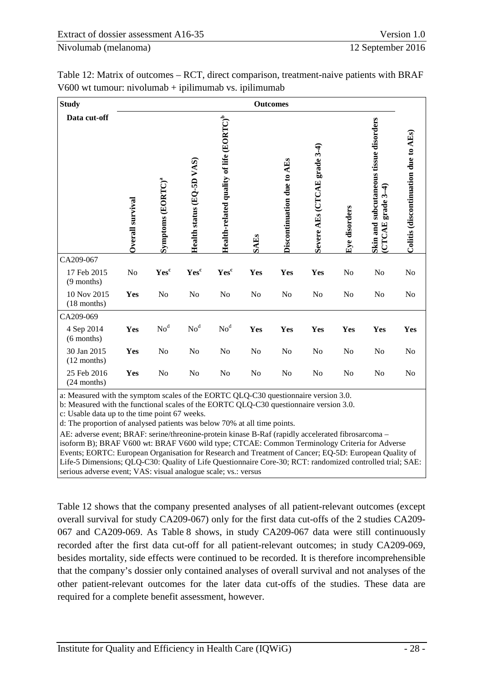| Table 12: Matrix of outcomes – RCT, direct comparison, treatment-naive patients with BRAF |  |
|-------------------------------------------------------------------------------------------|--|
| $V600$ wt tumour: nivolumab + ipilimumab vs. ipilimumab                                   |  |

<span id="page-34-0"></span>

| <b>Study</b>                 |                  |                               |                           |                                                     |                | <b>Outcomes</b>            |                              |               |                                                                         |                                      |
|------------------------------|------------------|-------------------------------|---------------------------|-----------------------------------------------------|----------------|----------------------------|------------------------------|---------------|-------------------------------------------------------------------------|--------------------------------------|
| Data cut-off                 | Overall survival | Symptoms (EORTC) <sup>ª</sup> | Health status (EQ-5D VAS) | Health-related quality of life (EORTC) <sup>b</sup> | <b>SAEs</b>    | Discontinuation due to AEs | Severe AEs (CTCAE grade 3-4) | Eye disorders | Skin and subcutaneous tissue disorders<br>₹<br>grade 3-<br><b>CTCAE</b> | Colitis (discontinuation due to AEs) |
| CA209-067                    |                  |                               |                           |                                                     |                |                            |                              |               |                                                                         |                                      |
| 17 Feb 2015<br>$(9$ months)  | No               | Yes <sup>c</sup>              | Yesc                      | Yesc                                                | Yes            | Yes                        | Yes                          | No            | No                                                                      | No                                   |
| 10 Nov 2015<br>$(18$ months) | Yes              | No                            | No                        | No                                                  | N <sub>o</sub> | No                         | No                           | No            | No                                                                      | No                                   |
| CA209-069                    |                  |                               |                           |                                                     |                |                            |                              |               |                                                                         |                                      |
| 4 Sep 2014<br>$(6$ months)   | Yes              | No <sup>d</sup>               | No <sup>d</sup>           | No <sup>d</sup>                                     | Yes            | Yes                        | Yes                          | Yes           | Yes                                                                     | Yes                                  |
| 30 Jan 2015<br>$(12$ months) | Yes              | No                            | No                        | No                                                  | N <sub>o</sub> | No                         | No                           | No            | No                                                                      | No                                   |
| 25 Feb 2016<br>$(24$ months) | Yes              | N <sub>0</sub>                | No                        | No                                                  | No             | N <sub>o</sub>             | N <sub>o</sub>               | No            | No                                                                      | N <sub>o</sub>                       |

a: Measured with the symptom scales of the EORTC QLQ-C30 questionnaire version 3.0.

b: Measured with the functional scales of the EORTC QLQ-C30 questionnaire version 3.0.

c: Usable data up to the time point 67 weeks.

d: The proportion of analysed patients was below 70% at all time points.

AE: adverse event; BRAF: serine/threonine-protein kinase B-Raf (rapidly accelerated fibrosarcoma –

isoform B); BRAF V600 wt: BRAF V600 wild type; CTCAE: Common Terminology Criteria for Adverse Events; EORTC: European Organisation for Research and Treatment of Cancer; EQ-5D: European Quality of Life-5 Dimensions; QLQ-C30: Quality of Life Questionnaire Core-30; RCT: randomized controlled trial; SAE: serious adverse event; VAS: visual analogue scale; vs.: versus

[Table 12](#page-34-0) shows that the company presented analyses of all patient-relevant outcomes (except overall survival for study CA209-067) only for the first data cut-offs of the 2 studies CA209- 067 and CA209-069. As [Table 8](#page-25-0) shows, in study CA209-067 data were still continuously recorded after the first data cut-off for all patient-relevant outcomes; in study CA209-069, besides mortality, side effects were continued to be recorded. It is therefore incomprehensible that the company's dossier only contained analyses of overall survival and not analyses of the other patient-relevant outcomes for the later data cut-offs of the studies. These data are required for a complete benefit assessment, however.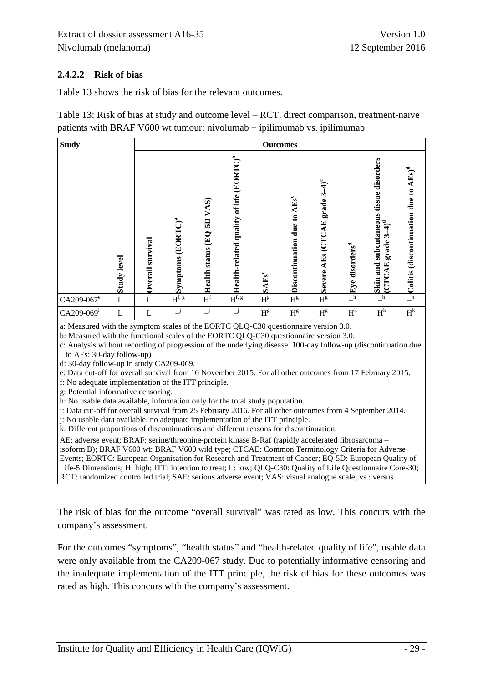# <span id="page-35-0"></span>**2.4.2.2 Risk of bias**

[Table 13](#page-35-1) shows the risk of bias for the relevant outcomes.

<span id="page-35-1"></span>Table 13: Risk of bias at study and outcome level – RCT, direct comparison, treatment-naive patients with BRAF V600 wt tumour: nivolumab + ipilimumab vs. ipilimumab

| <b>Study</b>           | <b>Outcomes</b>    |                     |                               |                           |                                                     |                          |                                         |                                        |                            |                                                                                                          |                                                      |
|------------------------|--------------------|---------------------|-------------------------------|---------------------------|-----------------------------------------------------|--------------------------|-----------------------------------------|----------------------------------------|----------------------------|----------------------------------------------------------------------------------------------------------|------------------------------------------------------|
|                        | <b>Study level</b> | survival<br>Overall | Symptoms (EORTC) <sup>ª</sup> | Health status (EQ-5D VAS) | Health-related quality of life (EORTC) <sup>b</sup> | <b>SAEs</b> <sup>c</sup> | Discontinuation due to AEs <sup>c</sup> | $4)^c$<br>grade 3<br>Severe AEs (CTCAE | Eye disorders <sup>d</sup> | subcutaneous tissue disorders<br>$\mathbf{4}^{\mathbf{d}}$<br>ب<br>grade?<br>and<br><b>CTCAE</b><br>Skin | Colitis (discontinuation due to AEs) <sup>d</sup>    |
| CA209-067 <sup>e</sup> | L                  | L                   | $H^{f, g}$                    | $\boldsymbol{H}^\text{f}$ | $H^{\mathrm{f},\,\mathrm{g}}$                       | $\mathbf{H}^{\text{g}}$  | $\mathbf{H}^{\text{g}}$                 | $\mathbf{H}^{\text{g}}$                | $\mathbf{-}^{\mathbf{h}}$  | $\mathbf{-}^\mathbf{h}$                                                                                  | $\overline{\phantom{a}}^{\phantom{a}}_{\phantom{a}}$ |
| CA209-069 <sup>i</sup> | L                  | L                   | $\overline{\phantom{a}}^j$    | ن                         | $\_j$                                               | $\mathbf{H}^{\text{g}}$  | $\mathbf{H}^{\text{g}}$                 | $H^g$                                  | $H^k$                      | $H^k$                                                                                                    | $\mathbf{H}^k$                                       |

a: Measured with the symptom scales of the EORTC QLQ-C30 questionnaire version 3.0.

b: Measured with the functional scales of the EORTC QLQ-C30 questionnaire version 3.0.

c: Analysis without recording of progression of the underlying disease. 100-day follow-up (discontinuation due to AEs: 30-day follow-up)

d: 30-day follow-up in study CA209-069.

e: Data cut-off for overall survival from 10 November 2015. For all other outcomes from 17 February 2015.

f: No adequate implementation of the ITT principle.

g: Potential informative censoring.

h: No usable data available, information only for the total study population.

i: Data cut-off for overall survival from 25 February 2016. For all other outcomes from 4 September 2014.

j: No usable data available, no adequate implementation of the ITT principle.

k: Different proportions of discontinuations and different reasons for discontinuation.

AE: adverse event; BRAF: serine/threonine-protein kinase B-Raf (rapidly accelerated fibrosarcoma – isoform B); BRAF V600 wt: BRAF V600 wild type; CTCAE: Common Terminology Criteria for Adverse Events; EORTC: European Organisation for Research and Treatment of Cancer; EQ-5D: European Quality of Life-5 Dimensions; H: high; ITT: intention to treat; L: low; QLQ-C30: Quality of Life Questionnaire Core-30; RCT: randomized controlled trial; SAE: serious adverse event; VAS: visual analogue scale; vs.: versus

The risk of bias for the outcome "overall survival" was rated as low. This concurs with the company's assessment.

For the outcomes "symptoms", "health status" and "health-related quality of life", usable data were only available from the CA209-067 study. Due to potentially informative censoring and the inadequate implementation of the ITT principle, the risk of bias for these outcomes was rated as high. This concurs with the company's assessment.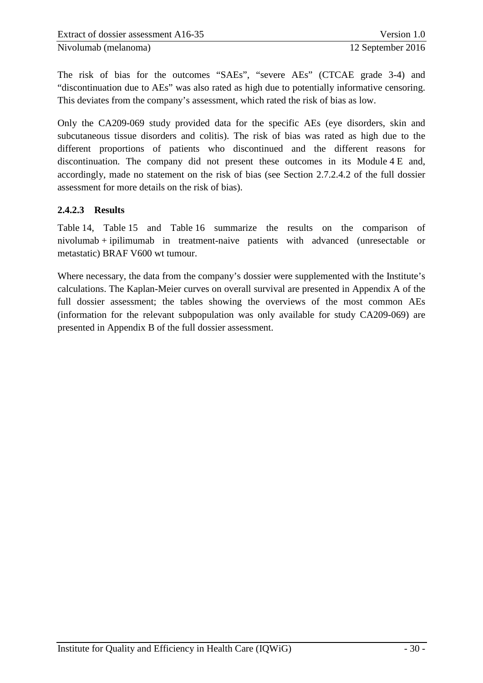The risk of bias for the outcomes "SAEs", "severe AEs" (CTCAE grade 3-4) and "discontinuation due to AEs" was also rated as high due to potentially informative censoring. This deviates from the company's assessment, which rated the risk of bias as low.

Only the CA209-069 study provided data for the specific AEs (eye disorders, skin and subcutaneous tissue disorders and colitis). The risk of bias was rated as high due to the different proportions of patients who discontinued and the different reasons for discontinuation. The company did not present these outcomes in its Module 4 E and, accordingly, made no statement on the risk of bias (see Section 2.7.2.4.2 of the full dossier assessment for more details on the risk of bias).

#### <span id="page-36-0"></span>**2.4.2.3 Results**

[Table 14,](#page-37-0) [Table 15](#page-40-0) and [Table 16](#page-41-0) summarize the results on the comparison of nivolumab + ipilimumab in treatment-naive patients with advanced (unresectable or metastatic) BRAF V600 wt tumour.

Where necessary, the data from the company's dossier were supplemented with the Institute's calculations. The Kaplan-Meier curves on overall survival are presented in Appendix A of the full dossier assessment; the tables showing the overviews of the most common AEs (information for the relevant subpopulation was only available for study CA209-069) are presented in Appendix B of the full dossier assessment.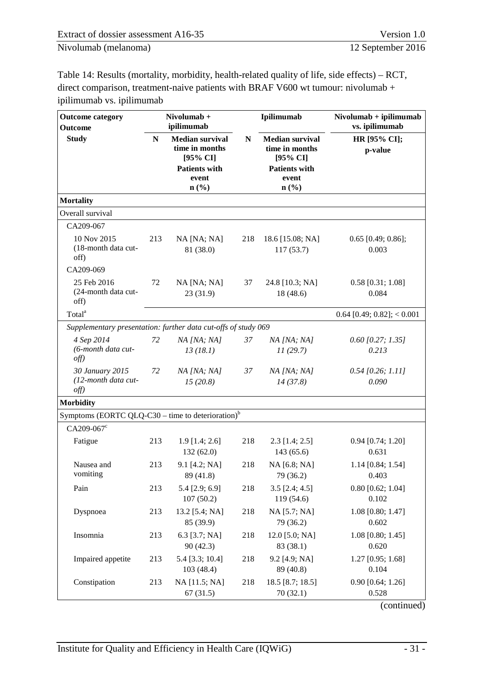<span id="page-37-0"></span>

| Table 14: Results (mortality, morbidity, health-related quality of life, side effects) – RCT, |
|-----------------------------------------------------------------------------------------------|
| direct comparison, treatment-naive patients with BRAF V600 wt tumour: nivolumab $+$           |
| ipilimumab vs. ipilimumab                                                                     |

| <b>Outcome category</b><br><b>Outcome</b>                      | Nivolumab +<br>ipilimumab<br>N<br><b>Median survival</b><br>time in months<br>[95% CI]<br><b>Patients with</b><br>event<br>$n\left(\frac{0}{0}\right)$ |                               |                                                                                                                                   | Ipilimumab                     | $Nivolumab + ipilimumab$<br>vs. ipilimumab |  |  |
|----------------------------------------------------------------|--------------------------------------------------------------------------------------------------------------------------------------------------------|-------------------------------|-----------------------------------------------------------------------------------------------------------------------------------|--------------------------------|--------------------------------------------|--|--|
| <b>Study</b>                                                   |                                                                                                                                                        |                               | ${\bf N}$<br><b>Median survival</b><br>time in months<br>[95% CI]<br><b>Patients with</b><br>event<br>$n\left(\frac{0}{0}\right)$ |                                | HR [95% CI];<br>p-value                    |  |  |
| <b>Mortality</b>                                               |                                                                                                                                                        |                               |                                                                                                                                   |                                |                                            |  |  |
| Overall survival                                               |                                                                                                                                                        |                               |                                                                                                                                   |                                |                                            |  |  |
| CA209-067                                                      |                                                                                                                                                        |                               |                                                                                                                                   |                                |                                            |  |  |
| 10 Nov 2015<br>(18-month data cut-<br>off)                     | 213                                                                                                                                                    | NA [NA; NA]<br>81 (38.0)      | 218                                                                                                                               | 18.6 [15.08; NA]<br>117(53.7)  | $0.65$ [0.49; 0.86];<br>0.003              |  |  |
| CA209-069                                                      |                                                                                                                                                        |                               |                                                                                                                                   |                                |                                            |  |  |
| 25 Feb 2016<br>(24-month data cut-<br>off)                     | 72                                                                                                                                                     | NA [NA; NA]<br>23(31.9)       | 37                                                                                                                                | 24.8 [10.3; NA]<br>18(48.6)    | $0.58$ [0.31; 1.08]<br>0.084               |  |  |
| Total <sup>a</sup>                                             |                                                                                                                                                        |                               |                                                                                                                                   |                                | $0.64$ [0.49; 0.82]; < 0.001               |  |  |
| Supplementary presentation: further data cut-offs of study 069 |                                                                                                                                                        |                               |                                                                                                                                   |                                |                                            |  |  |
| 4 Sep 2014<br>(6-month data cut-<br>$of f$ )                   | 72                                                                                                                                                     | $NA$ [NA; NA]<br>13(18.1)     | 37                                                                                                                                | NA [NA; NA]<br>11(29.7)        | $0.60$ [0.27; 1.35]<br>0.213               |  |  |
| 30 January 2015<br>(12-month data cut-<br>$of f$ )             | 72                                                                                                                                                     | $NA$ [NA; NA]<br>15(20.8)     | 37                                                                                                                                | $NA$ [NA; NA]<br>14(37.8)      | $0.54$ [0.26; 1.11]<br>0.090               |  |  |
| <b>Morbidity</b>                                               |                                                                                                                                                        |                               |                                                                                                                                   |                                |                                            |  |  |
| Symptoms (EORTC QLQ-C30 – time to deterioration) $b$           |                                                                                                                                                        |                               |                                                                                                                                   |                                |                                            |  |  |
| $CA209-067c$                                                   |                                                                                                                                                        |                               |                                                                                                                                   |                                |                                            |  |  |
| Fatigue                                                        | 213                                                                                                                                                    | $1.9$ [1.4; 2.6]<br>132(62.0) | 218                                                                                                                               | $2.3$ [1.4; 2.5]<br>143 (65.6) | $0.94$ [0.74; 1.20]<br>0.631               |  |  |
| Nausea and<br>vomiting                                         | 213                                                                                                                                                    | 9.1 [4.2; NA]<br>89 (41.8)    | 218                                                                                                                               | NA [6.8; NA]<br>79 (36.2)      | $1.14$ [0.84; 1.54]<br>0.403               |  |  |
| Pain                                                           | 213                                                                                                                                                    | 5.4 [2.9; 6.9]<br>107(50.2)   | 218                                                                                                                               | $3.5$ [2.4; 4.5]<br>119 (54.6) | $0.80$ [0.62; 1.04]<br>0.102               |  |  |
| Dyspnoea                                                       | 213                                                                                                                                                    | 13.2 [5.4; NA]<br>85 (39.9)   | 218                                                                                                                               | NA [5.7; NA]<br>79 (36.2)      | 1.08 [0.80; 1.47]<br>0.602                 |  |  |
| Insomnia                                                       | 213                                                                                                                                                    | 6.3 $[3.7; NA]$<br>90(42.3)   | 218                                                                                                                               | 12.0 [5.0; NA]<br>83 (38.1)    | $1.08$ [0.80; 1.45]<br>0.620               |  |  |
| Impaired appetite                                              | 213                                                                                                                                                    | 5.4 [3.3; 10.4]<br>103 (48.4) | 218                                                                                                                               | 9.2 [4.9; NA]<br>89 (40.8)     | 1.27 [0.95; 1.68]<br>0.104                 |  |  |
| Constipation                                                   | 213                                                                                                                                                    | NA [11.5; NA]<br>67(31.5)     | 218                                                                                                                               | 18.5 [8.7; 18.5]<br>70(32.1)   | $0.90$ [0.64; 1.26]<br>0.528               |  |  |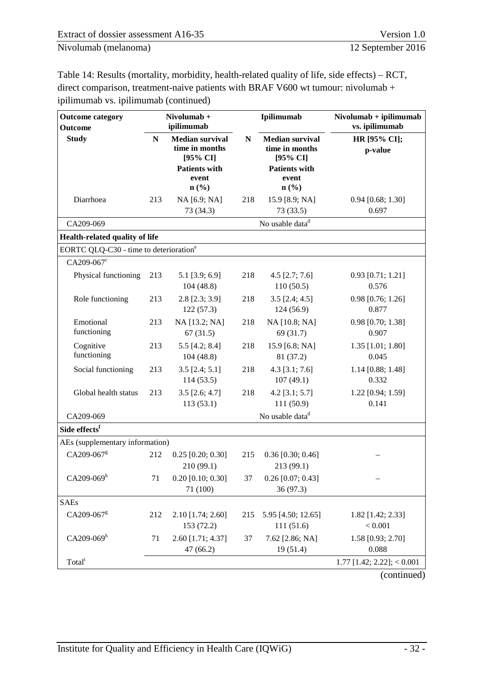[Table 14: Results \(mortality, morbidity, health-related quality of life, side effects\) – RCT,](#page-37-0)  [direct comparison, treatment-naive patients with BRAF V600 wt tumour: nivolumab +](#page-37-0)  [ipilimumab vs. ipilimumab](#page-37-0) (continued)

| <b>Outcome category</b><br><b>Outcome</b>          |             | Nivolumab +<br>ipilimumab                                    |             | Ipilimumab                                                   | $Nivolumab + ipilimumab$<br>vs. ipilimumab |  |  |
|----------------------------------------------------|-------------|--------------------------------------------------------------|-------------|--------------------------------------------------------------|--------------------------------------------|--|--|
| <b>Study</b>                                       | $\mathbf N$ | <b>Median survival</b><br>time in months<br>[95% CI]         | $\mathbf N$ | <b>Median survival</b><br>time in months<br>[95% CI]         | HR [95% CI];<br>p-value                    |  |  |
|                                                    |             | <b>Patients with</b><br>event<br>$n\left(\frac{9}{6}\right)$ |             | <b>Patients with</b><br>event<br>$n\left(\frac{0}{0}\right)$ |                                            |  |  |
| Diarrhoea                                          | 213         | NA [6.9; NA]<br>73 (34.3)                                    | 218         | 15.9 [8.9; NA]<br>73 (33.5)                                  | $0.94$ [0.68; 1.30]<br>0.697               |  |  |
| CA209-069                                          |             |                                                              |             | No usable data <sup>d</sup>                                  |                                            |  |  |
| Health-related quality of life                     |             |                                                              |             |                                                              |                                            |  |  |
| EORTC QLQ-C30 - time to deterioration <sup>e</sup> |             |                                                              |             |                                                              |                                            |  |  |
| $CA209-067c$                                       |             |                                                              |             |                                                              |                                            |  |  |
| Physical functioning                               | 213         | $5.1$ [3.9; 6.9]<br>104(48.8)                                | 218         | $4.5$ [2.7; 7.6]<br>110(50.5)                                | $0.93$ [0.71; 1.21]<br>0.576               |  |  |
| Role functioning                                   | 213         | $2.8$ [ $2.3$ ; $3.9$ ]<br>122(57.3)                         | 218         | $3.5$ [2.4; 4.5]<br>124(56.9)                                | $0.98$ [0.76; 1.26]<br>0.877               |  |  |
| Emotional<br>functioning                           | 213         | NA [13.2; NA]<br>67(31.5)                                    | 218         | NA [10.8; NA]<br>69 (31.7)                                   | $0.98$ [0.70; 1.38]<br>0.907               |  |  |
| Cognitive<br>functioning                           | 213         | $5.5$ [4.2; 8.4]<br>104(48.8)                                | 218         | 15.9 [6.8; NA]<br>81 (37.2)                                  | 1.35 [1.01; 1.80]<br>0.045                 |  |  |
| Social functioning                                 | 213         | $3.5$ [2.4; 5.1]<br>114(53.5)                                | 218         | $4.3$ [3.1; 7.6]<br>107(49.1)                                | 1.14 [0.88; 1.48]<br>0.332                 |  |  |
| Global health status                               | 213         | $3.5$ [2.6; 4.7]<br>113(53.1)                                | 218         | $4.2$ [3.1; 5.7]<br>111(50.9)                                | 1.22 [0.94; 1.59]<br>0.141                 |  |  |
| CA209-069                                          |             |                                                              |             | No usable data <sup>d</sup>                                  |                                            |  |  |
| Side effects <sup>f</sup>                          |             |                                                              |             |                                                              |                                            |  |  |
| AEs (supplementary information)                    |             |                                                              |             |                                                              |                                            |  |  |
| CA209-067g                                         | 212         | $0.25$ [0.20; 0.30]<br>210 (99.1)                            | 215         | $0.36$ [0.30; 0.46]<br>213 (99.1)                            |                                            |  |  |
| $CA209-069h$                                       | 71          | $0.20$ [0.10; 0.30]<br>71 (100)                              | 37          | $0.26$ [0.07; 0.43]<br>36 (97.3)                             |                                            |  |  |
| <b>SAEs</b>                                        |             |                                                              |             |                                                              |                                            |  |  |
| CA209-067 <sup>g</sup>                             | 212         | 2.10 [1.74; 2.60]<br>153 (72.2)                              | 215         | 5.95 [4.50; 12.65]<br>111(51.6)                              | 1.82 [1.42; 2.33]<br>< 0.001               |  |  |
| $CA209-069h$                                       | 71          | 2.60 [1.71; 4.37]<br>47(66.2)                                | 37          | 7.62 [2.86; NA]<br>19 (51.4)                                 | 1.58 [0.93; 2.70]<br>0.088                 |  |  |
| Total <sup>i</sup>                                 |             |                                                              |             |                                                              | $1.77$ [1.42; 2.22]; < 0.001               |  |  |
|                                                    |             |                                                              |             |                                                              | (continued)                                |  |  |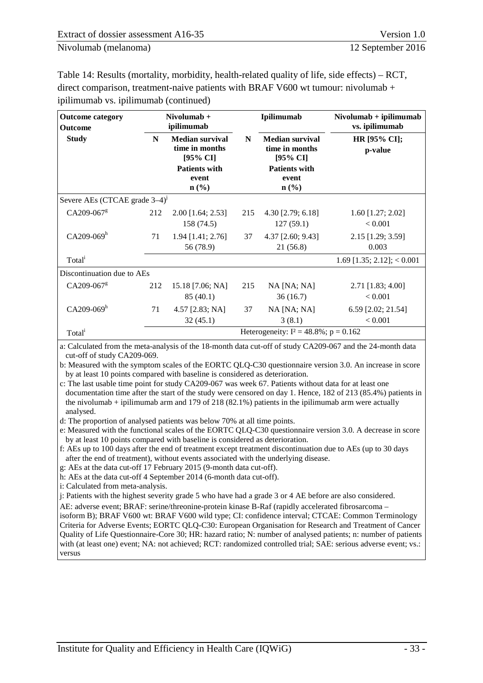[Table 14: Results \(mortality, morbidity, health-related quality of life, side effects\) – RCT,](#page-37-0)  [direct comparison, treatment-naive patients with BRAF V600 wt tumour: nivolumab +](#page-37-0)  [ipilimumab vs. ipilimumab](#page-37-0) (continued)

| <b>Outcome category</b><br>Outcome        |                                                                                            | $Nivolumab +$<br>ipilimumab       |     | Ipilimumab                                                                            | $Nivolumab + ipilimumab$<br>vs. ipilimumab<br>HR [95% CI];<br>p-value |  |
|-------------------------------------------|--------------------------------------------------------------------------------------------|-----------------------------------|-----|---------------------------------------------------------------------------------------|-----------------------------------------------------------------------|--|
| <b>Study</b>                              | <b>Median survival</b><br>N<br>time in months<br>[95% CI]<br><b>Patients with</b><br>event |                                   | N   | <b>Median survival</b><br>time in months<br>[95% CI]<br><b>Patients with</b><br>event |                                                                       |  |
|                                           |                                                                                            | $\mathbf{n}(\%)$                  |     | $\mathbf{n}(\%)$                                                                      |                                                                       |  |
| Severe AEs (CTCAE grade 3-4) <sup>J</sup> |                                                                                            |                                   |     |                                                                                       |                                                                       |  |
| $CA209-067g$                              | 212                                                                                        | $2.00$ [1.64; 2.53]<br>158 (74.5) | 215 | 4.30 [2.79; 6.18]<br>127(59.1)                                                        | $1.60$ [1.27; 2.02]<br>< 0.001                                        |  |
| $CA209-069h$                              | 71                                                                                         | $1.94$ [1.41; 2.76]<br>56 (78.9)  | 37  | $4.37$ [2.60; 9.43]<br>21(56.8)                                                       | 2.15 [1.29; 3.59]<br>0.003                                            |  |
| Total <sup>i</sup>                        |                                                                                            |                                   |     |                                                                                       | $1.69$ [1.35; 2.12]; < 0.001                                          |  |
| Discontinuation due to AEs                |                                                                                            |                                   |     |                                                                                       |                                                                       |  |
| CA209-067 <sup>g</sup>                    | 212                                                                                        | 15.18 [7.06; NA]<br>85(40.1)      | 215 | $NA$ [NA; NA]<br>36(16.7)                                                             | 2.71 [1.83; 4.00]<br>< 0.001                                          |  |
| $CA209-069h$                              | 71                                                                                         | $4.57$ [2.83; NA]<br>32(45.1)     | 37  | $NA$ [NA; NA]<br>3(8.1)                                                               | 6.59 [2.02; 21.54]<br>< 0.001                                         |  |
| Total <sup>i</sup>                        |                                                                                            |                                   |     | Heterogeneity: $I^2 = 48.8\%$ ; $p = 0.162$                                           |                                                                       |  |

a: Calculated from the meta-analysis of the 18-month data cut-off of study CA209-067 and the 24-month data cut-off of study CA209-069.

b: Measured with the symptom scales of the EORTC QLQ-C30 questionnaire version 3.0. An increase in score by at least 10 points compared with baseline is considered as deterioration.

c: The last usable time point for study CA209-067 was week 67. Patients without data for at least one documentation time after the start of the study were censored on day 1. Hence, 182 of 213 (85.4%) patients in the nivolumab + ipilimumab arm and 179 of 218 (82.1%) patients in the ipilimumab arm were actually analysed.

d: The proportion of analysed patients was below 70% at all time points.

e: Measured with the functional scales of the EORTC QLQ-C30 questionnaire version 3.0. A decrease in score by at least 10 points compared with baseline is considered as deterioration.

f: AEs up to 100 days after the end of treatment except treatment discontinuation due to AEs (up to 30 days after the end of treatment), without events associated with the underlying disease.

g: AEs at the data cut-off 17 February 2015 (9-month data cut-off).

h: AEs at the data cut-off 4 September 2014 (6-month data cut-off).

i: Calculated from meta-analysis.

j: Patients with the highest severity grade 5 who have had a grade 3 or 4 AE before are also considered.

AE: adverse event; BRAF: serine/threonine-protein kinase B-Raf (rapidly accelerated fibrosarcoma –

isoform B); BRAF V600 wt: BRAF V600 wild type; CI: confidence interval; CTCAE: Common Terminology Criteria for Adverse Events; EORTC QLQ-C30: European Organisation for Research and Treatment of Cancer Quality of Life Questionnaire-Core 30; HR: hazard ratio; N: number of analysed patients; n: number of patients with (at least one) event; NA: not achieved; RCT: randomized controlled trial; SAE: serious adverse event; vs.: versus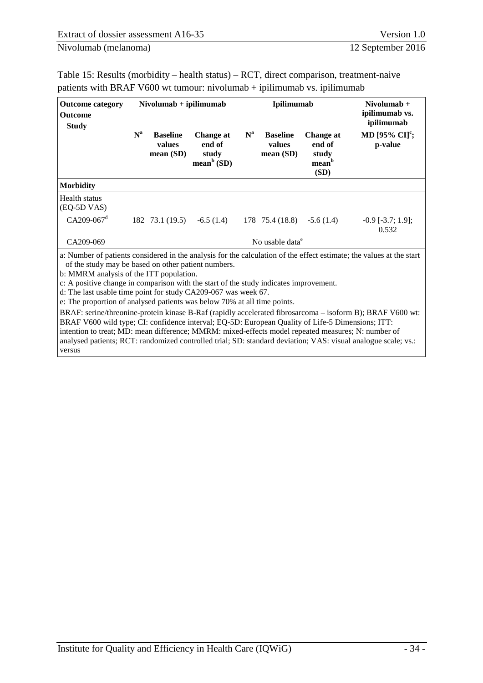<span id="page-40-0"></span>

| Table 15: Results (morbidity – health status) – RCT, direct comparison, treatment-naive |
|-----------------------------------------------------------------------------------------|
| patients with BRAF V600 wt tumour: nivolumab $+$ ipilimumab vs. ipilimumab              |

| <b>Outcome category</b><br><b>Outcome</b><br><b>Study</b> |       | $Nivolumab + ipilimumab$                 |                                                        | <b>Ipilimumab</b> |                                          |                                                           | Nivolumab $+$<br>ipilimumab vs.<br>ipilimumab |  |
|-----------------------------------------------------------|-------|------------------------------------------|--------------------------------------------------------|-------------------|------------------------------------------|-----------------------------------------------------------|-----------------------------------------------|--|
|                                                           | $N^a$ | <b>Baseline</b><br>values<br>mean $(SD)$ | Change at<br>end of<br>study<br>mean <sup>b</sup> (SD) | $N^a$             | <b>Baseline</b><br>values<br>mean $(SD)$ | Change at<br>end of<br>study<br>mean <sup>b</sup><br>(SD) | MD [95% $CI[c]$ ;<br>p-value                  |  |
| <b>Morbidity</b>                                          |       |                                          |                                                        |                   |                                          |                                                           |                                               |  |
| Health status<br>(EQ-5D VAS)<br>$CA209-067d$              |       | 182 73.1 (19.5)                          | $-6.5(1.4)$                                            |                   | 178 75.4 (18.8)                          | $-5.6(1.4)$                                               | $-0.9$ [ $-3.7$ ; 1.9];<br>0.532              |  |
| CA209-069                                                 |       |                                          |                                                        |                   | No usable data <sup>e</sup>              |                                                           |                                               |  |

a: Number of patients considered in the analysis for the calculation of the effect estimate; the values at the start of the study may be based on other patient numbers.

b: MMRM analysis of the ITT population.

c: A positive change in comparison with the start of the study indicates improvement.

d: The last usable time point for study CA209-067 was week 67.

e: The proportion of analysed patients was below 70% at all time points.

BRAF: serine/threonine-protein kinase B-Raf (rapidly accelerated fibrosarcoma – isoform B); BRAF V600 wt: BRAF V600 wild type; CI: confidence interval; EQ-5D: European Quality of Life-5 Dimensions; ITT: intention to treat; MD: mean difference; MMRM: mixed-effects model repeated measures; N: number of analysed patients; RCT: randomized controlled trial; SD: standard deviation; VAS: visual analogue scale; vs.: versus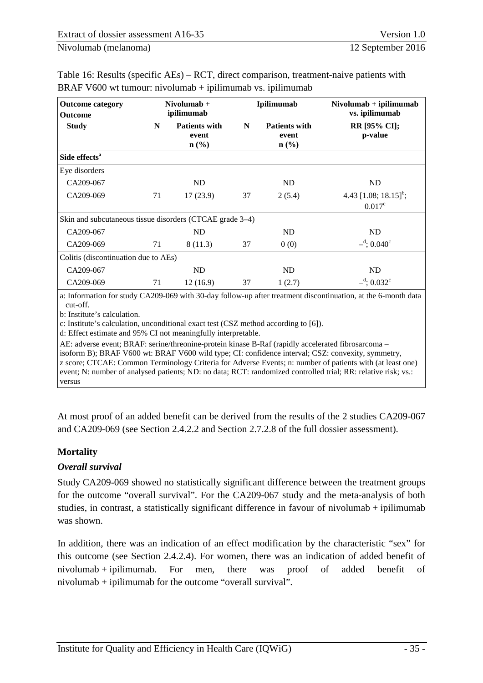| <b>Outcome category</b><br><b>Outcome</b>                | $Nivolumab +$<br>ipilimumab |                                                              | Ipilimumab |                                                   | $Nivolumab + ipilimumab$<br>vs. ipilimumab           |  |
|----------------------------------------------------------|-----------------------------|--------------------------------------------------------------|------------|---------------------------------------------------|------------------------------------------------------|--|
| <b>Study</b>                                             | N                           | <b>Patients with</b><br>event<br>$n\left(\frac{0}{0}\right)$ | N          | <b>Patients with</b><br>event<br>$\mathbf{n}(\%)$ | <b>RR</b> [95% CI];<br>p-value                       |  |
| Side effects <sup>a</sup>                                |                             |                                                              |            |                                                   |                                                      |  |
| Eye disorders                                            |                             |                                                              |            |                                                   |                                                      |  |
| CA209-067                                                |                             | ND                                                           |            | ND                                                | ND                                                   |  |
| CA209-069                                                | 71                          | 17(23.9)                                                     | 37         | 2(5.4)                                            | 4.43 [1.08; 18.15] <sup>b</sup> ;<br>$0.017^{\circ}$ |  |
| Skin and subcutaneous tissue disorders (CTCAE grade 3–4) |                             |                                                              |            |                                                   |                                                      |  |
| CA209-067                                                |                             | ND                                                           |            | ND                                                | ND                                                   |  |
| CA209-069                                                | 71                          | 8(11.3)                                                      | 37         | 0(0)                                              | $-$ <sup>d</sup> ; 0.040 <sup>c</sup>                |  |
| Colitis (discontinuation due to AEs)                     |                             |                                                              |            |                                                   |                                                      |  |
| CA209-067                                                |                             | ND                                                           |            | ND                                                | <b>ND</b>                                            |  |
| CA209-069                                                | 71                          | 12(16.9)                                                     | 37         | 1(2.7)                                            | $-$ <sup>d</sup> ; 0.032 <sup>c</sup>                |  |

<span id="page-41-0"></span>Table 16: Results (specific AEs) – RCT, direct comparison, treatment-naive patients with BRAF V600 wt tumour: nivolumab + ipilimumab vs. ipilimumab

a: Information for study CA209-069 with 30-day follow-up after treatment discontinuation, at the 6-month data cut-off.

b: Institute's calculation.

c: Institute's calculation, unconditional exact test (CSZ method according to [6]).

d: Effect estimate and 95% CI not meaningfully interpretable.

AE: adverse event; BRAF: serine/threonine-protein kinase B-Raf (rapidly accelerated fibrosarcoma – isoform B); BRAF V600 wt: BRAF V600 wild type; CI: confidence interval; CSZ: convexity, symmetry, z score; CTCAE: Common Terminology Criteria for Adverse Events; n: number of patients with (at least one) event; N: number of analysed patients; ND: no data; RCT: randomized controlled trial; RR: relative risk; vs.: versus

At most proof of an added benefit can be derived from the results of the 2 studies CA209-067 and CA209-069 (see Section [2.4.2.2](#page-35-0) and Section 2.7.2.8 of the full dossier assessment).

#### **Mortality**

#### *Overall survival*

Study CA209-069 showed no statistically significant difference between the treatment groups for the outcome "overall survival". For the CA209-067 study and the meta-analysis of both studies, in contrast, a statistically significant difference in favour of nivolumab + ipilimumab was shown.

In addition, there was an indication of an effect modification by the characteristic "sex" for this outcome (see Section [2.4.2.4\)](#page-45-0). For women, there was an indication of added benefit of nivolumab + ipilimumab. For men, there was proof of added benefit of nivolumab + ipilimumab for the outcome "overall survival".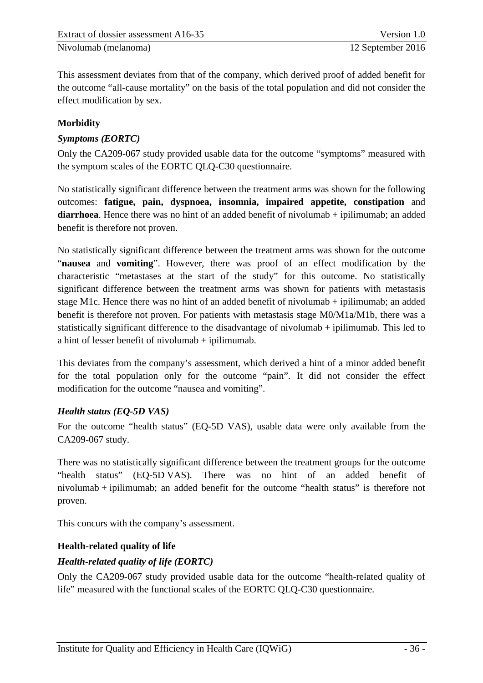This assessment deviates from that of the company, which derived proof of added benefit for the outcome "all-cause mortality" on the basis of the total population and did not consider the effect modification by sex.

#### **Morbidity**

# *Symptoms (EORTC)*

Only the CA209-067 study provided usable data for the outcome "symptoms" measured with the symptom scales of the EORTC QLQ-C30 questionnaire.

No statistically significant difference between the treatment arms was shown for the following outcomes: **fatigue, pain, dyspnoea, insomnia, impaired appetite, constipation** and diarrhoea. Hence there was no hint of an added benefit of nivolumab + ipilimumab; an added benefit is therefore not proven.

No statistically significant difference between the treatment arms was shown for the outcome "**nausea** and **vomiting**". However, there was proof of an effect modification by the characteristic "metastases at the start of the study" for this outcome. No statistically significant difference between the treatment arms was shown for patients with metastasis stage M1c. Hence there was no hint of an added benefit of nivolumab + ipilimumab; an added benefit is therefore not proven. For patients with metastasis stage M0/M1a/M1b, there was a statistically significant difference to the disadvantage of nivolumab + ipilimumab. This led to a hint of lesser benefit of nivolumab + ipilimumab.

This deviates from the company's assessment, which derived a hint of a minor added benefit for the total population only for the outcome "pain". It did not consider the effect modification for the outcome "nausea and vomiting".

#### *Health status (EQ-5D VAS)*

For the outcome "health status" (EQ-5D VAS), usable data were only available from the CA209-067 study.

There was no statistically significant difference between the treatment groups for the outcome "health status" (EQ-5D VAS). There was no hint of an added benefit of nivolumab + ipilimumab; an added benefit for the outcome "health status" is therefore not proven.

This concurs with the company's assessment.

# **Health-related quality of life**

# *Health-related quality of life (EORTC)*

Only the CA209-067 study provided usable data for the outcome "health-related quality of life" measured with the functional scales of the EORTC QLQ-C30 questionnaire.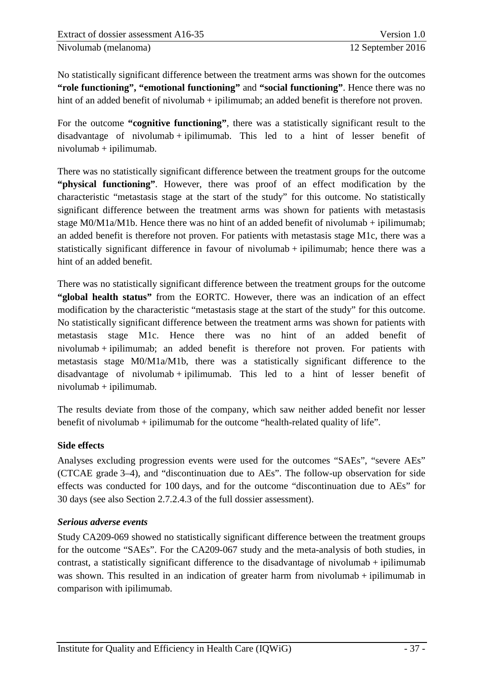No statistically significant difference between the treatment arms was shown for the outcomes **"role functioning", "emotional functioning"** and **"social functioning"**. Hence there was no hint of an added benefit of nivolumab + ipilimumab; an added benefit is therefore not proven.

For the outcome **"cognitive functioning"**, there was a statistically significant result to the disadvantage of nivolumab + ipilimumab. This led to a hint of lesser benefit of nivolumab + ipilimumab.

There was no statistically significant difference between the treatment groups for the outcome **"physical functioning"**. However, there was proof of an effect modification by the characteristic "metastasis stage at the start of the study" for this outcome. No statistically significant difference between the treatment arms was shown for patients with metastasis stage M0/M1a/M1b. Hence there was no hint of an added benefit of nivolumab + ipilimumab; an added benefit is therefore not proven. For patients with metastasis stage M1c, there was a statistically significant difference in favour of nivolumab + ipilimumab; hence there was a hint of an added benefit.

There was no statistically significant difference between the treatment groups for the outcome **"global health status"** from the EORTC. However, there was an indication of an effect modification by the characteristic "metastasis stage at the start of the study" for this outcome. No statistically significant difference between the treatment arms was shown for patients with metastasis stage M1c. Hence there was no hint of an added benefit of nivolumab + ipilimumab; an added benefit is therefore not proven. For patients with metastasis stage M0/M1a/M1b, there was a statistically significant difference to the disadvantage of nivolumab + ipilimumab. This led to a hint of lesser benefit of nivolumab + ipilimumab.

The results deviate from those of the company, which saw neither added benefit nor lesser benefit of nivolumab + ipilimumab for the outcome "health-related quality of life".

#### **Side effects**

Analyses excluding progression events were used for the outcomes "SAEs", "severe AEs" (CTCAE grade 3–4), and "discontinuation due to AEs". The follow-up observation for side effects was conducted for 100 days, and for the outcome "discontinuation due to AEs" for 30 days (see also Section 2.7.2.4.3 of the full dossier assessment).

#### *Serious adverse events*

Study CA209-069 showed no statistically significant difference between the treatment groups for the outcome "SAEs". For the CA209-067 study and the meta-analysis of both studies, in contrast, a statistically significant difference to the disadvantage of nivolumab + ipilimumab was shown. This resulted in an indication of greater harm from nivolumab  $+$  ipilimumab in comparison with ipilimumab.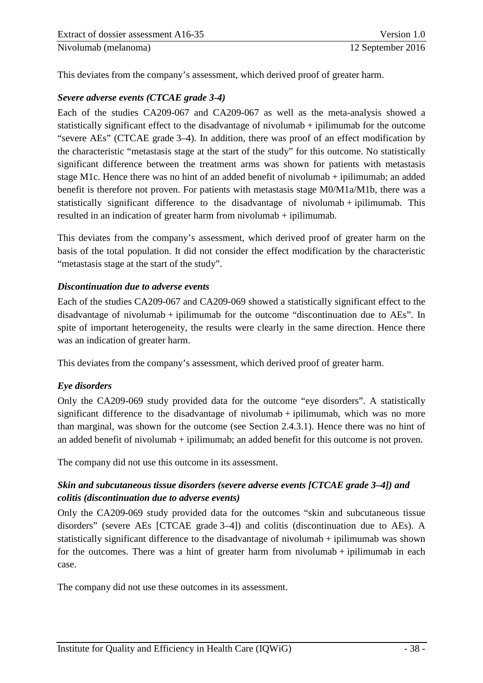This deviates from the company's assessment, which derived proof of greater harm.

#### *Severe adverse events (CTCAE grade 3-4)*

Each of the studies CA209-067 and CA209-067 as well as the meta-analysis showed a statistically significant effect to the disadvantage of nivolumab + ipilimumab for the outcome "severe AEs" (CTCAE grade 3–4). In addition, there was proof of an effect modification by the characteristic "metastasis stage at the start of the study" for this outcome. No statistically significant difference between the treatment arms was shown for patients with metastasis stage M1c. Hence there was no hint of an added benefit of nivolumab + ipilimumab; an added benefit is therefore not proven. For patients with metastasis stage M0/M1a/M1b, there was a statistically significant difference to the disadvantage of nivolumab + ipilimumab. This resulted in an indication of greater harm from nivolumab + ipilimumab.

This deviates from the company's assessment, which derived proof of greater harm on the basis of the total population. It did not consider the effect modification by the characteristic "metastasis stage at the start of the study".

#### *Discontinuation due to adverse events*

Each of the studies CA209-067 and CA209-069 showed a statistically significant effect to the disadvantage of nivolumab + ipilimumab for the outcome "discontinuation due to AEs". In spite of important heterogeneity, the results were clearly in the same direction. Hence there was an indication of greater harm.

This deviates from the company's assessment, which derived proof of greater harm.

#### *Eye disorders*

Only the CA209-069 study provided data for the outcome "eye disorders". A statistically significant difference to the disadvantage of nivolumab + ipilimumab, which was no more than marginal, was shown for the outcome (see Section [2.4.3.1\)](#page-51-0). Hence there was no hint of an added benefit of nivolumab + ipilimumab; an added benefit for this outcome is not proven.

The company did not use this outcome in its assessment.

# *Skin and subcutaneous tissue disorders (severe adverse events [CTCAE grade 3–4]) and colitis (discontinuation due to adverse events)*

Only the CA209-069 study provided data for the outcomes "skin and subcutaneous tissue disorders" (severe AEs [CTCAE grade 3–4]) and colitis (discontinuation due to AEs). A statistically significant difference to the disadvantage of nivolumab + ipilimumab was shown for the outcomes. There was a hint of greater harm from nivolumab  $+$  ipilimumab in each case.

The company did not use these outcomes in its assessment.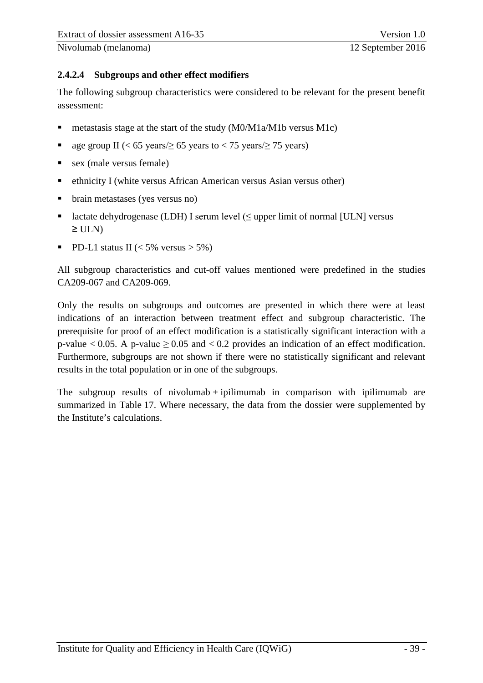#### <span id="page-45-0"></span>**2.4.2.4 Subgroups and other effect modifiers**

The following subgroup characteristics were considered to be relevant for the present benefit assessment:

- metastasis stage at the start of the study (M0/M1a/M1b versus M1c)
- age group II (<  $65$  years/ $\geq 65$  years to < 75 years/ $\geq 75$  years)
- sex (male versus female)
- ethnicity I (white versus African American versus Asian versus other)
- brain metastases (yes versus no)
- lactate dehydrogenase (LDH) I serum level  $(≤$  upper limit of normal [ULN] versus  $\geq$  ULN)
- PD-L1 status II ( $\lt 5\%$  versus  $> 5\%$ )

All subgroup characteristics and cut-off values mentioned were predefined in the studies CA209-067 and CA209-069.

Only the results on subgroups and outcomes are presented in which there were at least indications of an interaction between treatment effect and subgroup characteristic. The prerequisite for proof of an effect modification is a statistically significant interaction with a p-value  $< 0.05$ . A p-value  $\geq 0.05$  and  $< 0.2$  provides an indication of an effect modification. Furthermore, subgroups are not shown if there were no statistically significant and relevant results in the total population or in one of the subgroups.

The subgroup results of nivolumab  $+$  ipilimumab in comparison with ipilimumab are summarized in [Table 17.](#page-46-0) Where necessary, the data from the dossier were supplemented by the Institute's calculations.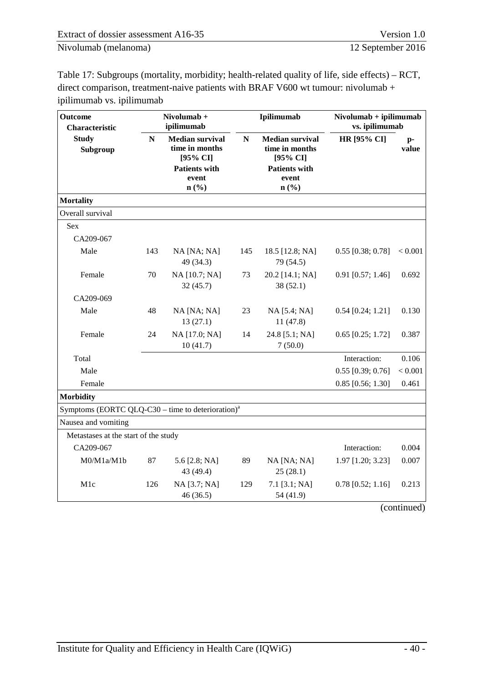<span id="page-46-0"></span>Table 17: Subgroups (mortality, morbidity; health-related quality of life, side effects) – RCT, direct comparison, treatment-naive patients with BRAF V600 wt tumour: nivolumab + ipilimumab vs. ipilimumab

| <b>Outcome</b><br>Characteristic                              |     | Nivolumab +<br>ipilimumab                                                    |           | Ipilimumab                                                                   | $Nivolumab + ipilimumab$<br>vs. ipilimumab |               |  |
|---------------------------------------------------------------|-----|------------------------------------------------------------------------------|-----------|------------------------------------------------------------------------------|--------------------------------------------|---------------|--|
| <b>Study</b><br>Subgroup                                      | N   | <b>Median survival</b><br>time in months<br>[95% CI]<br><b>Patients with</b> | ${\bf N}$ | <b>Median survival</b><br>time in months<br>[95% CI]<br><b>Patients with</b> | <b>HR</b> [95% CI]                         | $p-$<br>value |  |
|                                                               |     | event<br>n(%)                                                                |           | event<br>n(%)                                                                |                                            |               |  |
| <b>Mortality</b>                                              |     |                                                                              |           |                                                                              |                                            |               |  |
| Overall survival                                              |     |                                                                              |           |                                                                              |                                            |               |  |
| Sex                                                           |     |                                                                              |           |                                                                              |                                            |               |  |
| CA209-067                                                     |     |                                                                              |           |                                                                              |                                            |               |  |
| Male                                                          | 143 | NA [NA; NA]<br>49 (34.3)                                                     | 145       | 18.5 [12.8; NA]<br>79 (54.5)                                                 | $0.55$ [0.38; 0.78]                        | < 0.001       |  |
| Female                                                        | 70  | NA [10.7; NA]<br>32(45.7)                                                    | 73        | 20.2 [14.1; NA]<br>38(52.1)                                                  | $0.91$ [0.57; 1.46]                        | 0.692         |  |
| CA209-069                                                     |     |                                                                              |           |                                                                              |                                            |               |  |
| Male                                                          | 48  | NA [NA; NA]<br>13(27.1)                                                      | 23        | NA [5.4; NA]<br>11(47.8)                                                     | $0.54$ [0.24; 1.21]                        | 0.130         |  |
| Female                                                        | 24  | NA [17.0; NA]<br>10(41.7)                                                    | 14        | 24.8 [5.1; NA]<br>7(50.0)                                                    | $0.65$ [0.25; 1.72]                        | 0.387         |  |
| Total                                                         |     |                                                                              |           |                                                                              | Interaction:                               | 0.106         |  |
| Male                                                          |     |                                                                              |           |                                                                              | $0.55$ [0.39; 0.76]                        | < 0.001       |  |
| Female                                                        |     |                                                                              |           |                                                                              | $0.85$ [0.56; 1.30]                        | 0.461         |  |
| <b>Morbidity</b>                                              |     |                                                                              |           |                                                                              |                                            |               |  |
| Symptoms (EORTC QLQ-C30 – time to deterioration) <sup>a</sup> |     |                                                                              |           |                                                                              |                                            |               |  |
| Nausea and vomiting                                           |     |                                                                              |           |                                                                              |                                            |               |  |
| Metastases at the start of the study                          |     |                                                                              |           |                                                                              |                                            |               |  |
| CA209-067                                                     |     |                                                                              |           |                                                                              | Interaction:                               | 0.004         |  |
| M0/M1a/M1b                                                    | 87  | 5.6 [2.8; NA]<br>43 (49.4)                                                   | 89        | NA [NA; NA]<br>25(28.1)                                                      | 1.97 [1.20; 3.23]                          | 0.007         |  |
| M1c                                                           | 126 | NA [3.7; NA]<br>46(36.5)                                                     | 129       | $7.1$ [3.1; NA]<br>54 (41.9)                                                 | $0.78$ [0.52; 1.16]                        | 0.213         |  |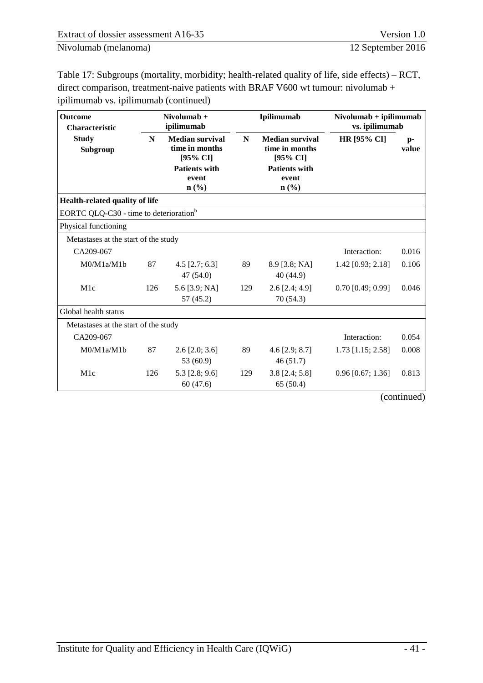[Table 17: Subgroups \(mortality, morbidity; health-related quality of life, side effects\) – RCT,](#page-46-0)  [direct comparison, treatment-naive patients with BRAF V600 wt tumour: nivolumab +](#page-46-0)  [ipilimumab vs. ipilimumab](#page-46-0) (continued)

| <b>Outcome</b><br><b>Characteristic</b>            | Nivolumab +<br>ipilimumab<br><b>Median survival</b><br>N<br>time in months<br>[95% CI] |                                      |     | Ipilimumab                                           | $Nivolumab + ipilimumab$<br>vs. ipilimumab |               |  |
|----------------------------------------------------|----------------------------------------------------------------------------------------|--------------------------------------|-----|------------------------------------------------------|--------------------------------------------|---------------|--|
| <b>Study</b><br>Subgroup                           |                                                                                        |                                      | N   | <b>Median survival</b><br>time in months<br>[95% CI] | <b>HR [95% CI]</b>                         | $p-$<br>value |  |
|                                                    |                                                                                        | <b>Patients with</b><br>event        |     | <b>Patients with</b><br>event                        |                                            |               |  |
|                                                    |                                                                                        | $n$ (%)                              |     | $n\left(\frac{9}{6}\right)$                          |                                            |               |  |
| Health-related quality of life                     |                                                                                        |                                      |     |                                                      |                                            |               |  |
| EORTC QLQ-C30 - time to deterioration <sup>b</sup> |                                                                                        |                                      |     |                                                      |                                            |               |  |
| Physical functioning                               |                                                                                        |                                      |     |                                                      |                                            |               |  |
| Metastases at the start of the study               |                                                                                        |                                      |     |                                                      |                                            |               |  |
| CA209-067                                          |                                                                                        |                                      |     |                                                      | Interaction:                               | 0.016         |  |
| M0/M1a/M1b                                         | 87                                                                                     | 4.5 $[2.7; 6.3]$                     | 89  | $8.9$ [3.8; NA]                                      | 1.42 [0.93; 2.18]                          | 0.106         |  |
|                                                    |                                                                                        | 47(54.0)                             |     | 40 (44.9)                                            |                                            |               |  |
| M1c                                                | 126                                                                                    | 5.6 [3.9; NA]                        | 129 | $2.6$ [2.4; 4.9]                                     | $0.70$ [0.49; 0.99]                        | 0.046         |  |
|                                                    |                                                                                        | 57 (45.2)                            |     | 70(54.3)                                             |                                            |               |  |
| Global health status                               |                                                                                        |                                      |     |                                                      |                                            |               |  |
| Metastases at the start of the study               |                                                                                        |                                      |     |                                                      |                                            |               |  |
| CA209-067                                          |                                                                                        |                                      |     |                                                      | Interaction:                               | 0.054         |  |
| M0/M1a/M1b                                         | 87                                                                                     | $2.6$ [ $2.0$ ; $3.6$ ]<br>53 (60.9) | 89  | 4.6 $[2.9; 8.7]$<br>46(51.7)                         | $1.73$ [1.15; 2.58]                        | 0.008         |  |
| M1c                                                | 126                                                                                    | 5.3 $[2.8; 9.6]$<br>60(47.6)         | 129 | $3.8$ [2.4; 5.8]<br>65(50.4)                         | $0.96$ [0.67; 1.36]                        | 0.813         |  |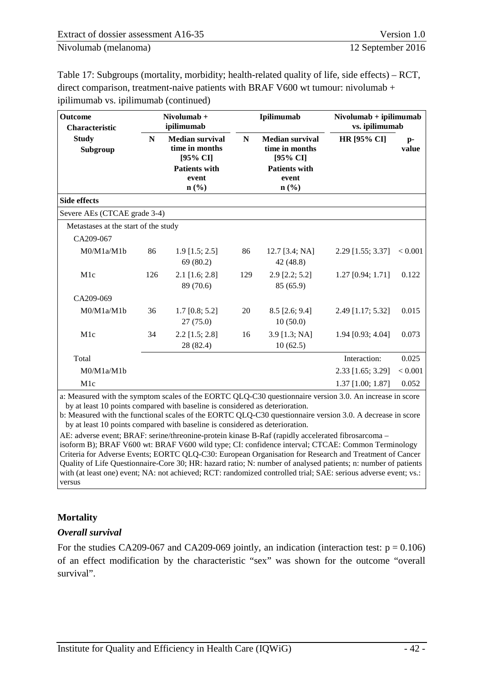[Table 17: Subgroups \(mortality, morbidity; health-related quality of life, side effects\) – RCT,](#page-46-0)  [direct comparison, treatment-naive patients with BRAF V600 wt tumour: nivolumab +](#page-46-0)  [ipilimumab vs. ipilimumab](#page-46-0) (continued)

| <b>Outcome</b><br><b>Characteristic</b> | Nivolumab $+$<br>ipilimumab |                                                                              |     | Ipilimumab                                                                   | $Nivolumab + ipilimumab$<br>vs. ipilimumab |               |  |
|-----------------------------------------|-----------------------------|------------------------------------------------------------------------------|-----|------------------------------------------------------------------------------|--------------------------------------------|---------------|--|
| <b>Study</b><br>Subgroup                | N                           | <b>Median survival</b><br>time in months<br>[95% CI]<br><b>Patients with</b> | N   | <b>Median survival</b><br>time in months<br>[95% CI]<br><b>Patients with</b> | <b>HR [95% CI]</b>                         | $p-$<br>value |  |
|                                         |                             | event<br>$\mathbf{n}(\%)$                                                    |     | event<br>$n\left(\frac{9}{6}\right)$                                         |                                            |               |  |
| <b>Side effects</b>                     |                             |                                                                              |     |                                                                              |                                            |               |  |
| Severe AEs (CTCAE grade 3-4)            |                             |                                                                              |     |                                                                              |                                            |               |  |
| Metastases at the start of the study    |                             |                                                                              |     |                                                                              |                                            |               |  |
| CA209-067                               |                             |                                                                              |     |                                                                              |                                            |               |  |
| M0/M1a/M1b                              | 86                          | $1.9$ [1.5; 2.5]<br>69(80.2)                                                 | 86  | $12.7$ [3.4; NA]<br>42 (48.8)                                                | 2.29 [1.55; 3.37]                          | < 0.001       |  |
| M1c                                     | 126                         | $2.1$ [1.6; 2.8]<br>89 (70.6)                                                | 129 | $2.9$ [2.2; 5.2]<br>85 (65.9)                                                | $1.27$ [0.94; 1.71]                        | 0.122         |  |
| CA209-069                               |                             |                                                                              |     |                                                                              |                                            |               |  |
| M0/M1a/M1b                              | 36                          | $1.7$ [0.8; 5.2]<br>27(75.0)                                                 | 20  | $8.5$ [2.6; 9.4]<br>10(50.0)                                                 | 2.49 [1.17; 5.32]                          | 0.015         |  |
| M1c                                     | 34                          | $2.2$ [1.5; 2.8]<br>28 (82.4)                                                | 16  | $3.9$ [1.3; NA]<br>10(62.5)                                                  | 1.94 [0.93; 4.04]                          | 0.073         |  |
| Total                                   |                             |                                                                              |     |                                                                              | Interaction:                               | 0.025         |  |
| M0/M1a/M1b                              |                             |                                                                              |     |                                                                              | 2.33 [1.65; 3.29]                          | < 0.001       |  |
| M1c                                     |                             |                                                                              |     |                                                                              | $1.37$ [1.00; 1.87]                        | 0.052         |  |

a: Measured with the symptom scales of the EORTC QLQ-C30 questionnaire version 3.0. An increase in score by at least 10 points compared with baseline is considered as deterioration.

b: Measured with the functional scales of the EORTC QLQ-C30 questionnaire version 3.0. A decrease in score by at least 10 points compared with baseline is considered as deterioration.

AE: adverse event; BRAF: serine/threonine-protein kinase B-Raf (rapidly accelerated fibrosarcoma –

isoform B); BRAF V600 wt: BRAF V600 wild type; CI: confidence interval; CTCAE: Common Terminology Criteria for Adverse Events; EORTC QLQ-C30: European Organisation for Research and Treatment of Cancer Quality of Life Questionnaire-Core 30; HR: hazard ratio; N: number of analysed patients; n: number of patients with (at least one) event; NA: not achieved; RCT: randomized controlled trial; SAE: serious adverse event; vs.: versus

#### **Mortality**

#### *Overall survival*

For the studies CA209-067 and CA209-069 jointly, an indication (interaction test:  $p = 0.106$ ) of an effect modification by the characteristic "sex" was shown for the outcome "overall survival".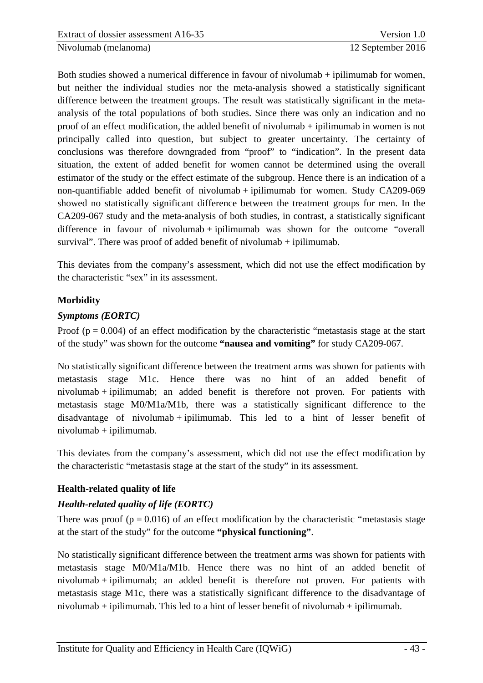Both studies showed a numerical difference in favour of nivolumab + ipilimumab for women, but neither the individual studies nor the meta-analysis showed a statistically significant difference between the treatment groups. The result was statistically significant in the metaanalysis of the total populations of both studies. Since there was only an indication and no proof of an effect modification, the added benefit of nivolumab + ipilimumab in women is not principally called into question, but subject to greater uncertainty. The certainty of conclusions was therefore downgraded from "proof" to "indication". In the present data situation, the extent of added benefit for women cannot be determined using the overall estimator of the study or the effect estimate of the subgroup. Hence there is an indication of a non-quantifiable added benefit of nivolumab + ipilimumab for women. Study CA209-069 showed no statistically significant difference between the treatment groups for men. In the CA209-067 study and the meta-analysis of both studies, in contrast, a statistically significant difference in favour of nivolumab  $+$  ipilimumab was shown for the outcome "overall" survival". There was proof of added benefit of nivolumab + ipilimumab.

This deviates from the company's assessment, which did not use the effect modification by the characteristic "sex" in its assessment.

# **Morbidity**

# *Symptoms (EORTC)*

Proof  $(p = 0.004)$  of an effect modification by the characteristic "metastasis stage at the start of the study" was shown for the outcome **"nausea and vomiting"** for study CA209-067.

No statistically significant difference between the treatment arms was shown for patients with metastasis stage M1c. Hence there was no hint of an added benefit of nivolumab + ipilimumab; an added benefit is therefore not proven. For patients with metastasis stage M0/M1a/M1b, there was a statistically significant difference to the disadvantage of nivolumab + ipilimumab. This led to a hint of lesser benefit of nivolumab + ipilimumab.

This deviates from the company's assessment, which did not use the effect modification by the characteristic "metastasis stage at the start of the study" in its assessment.

# **Health-related quality of life**

# *Health-related quality of life (EORTC)*

There was proof ( $p = 0.016$ ) of an effect modification by the characteristic "metastasis stage" at the start of the study" for the outcome **"physical functioning"**.

No statistically significant difference between the treatment arms was shown for patients with metastasis stage M0/M1a/M1b. Hence there was no hint of an added benefit of nivolumab + ipilimumab; an added benefit is therefore not proven. For patients with metastasis stage M1c, there was a statistically significant difference to the disadvantage of nivolumab + ipilimumab. This led to a hint of lesser benefit of nivolumab + ipilimumab.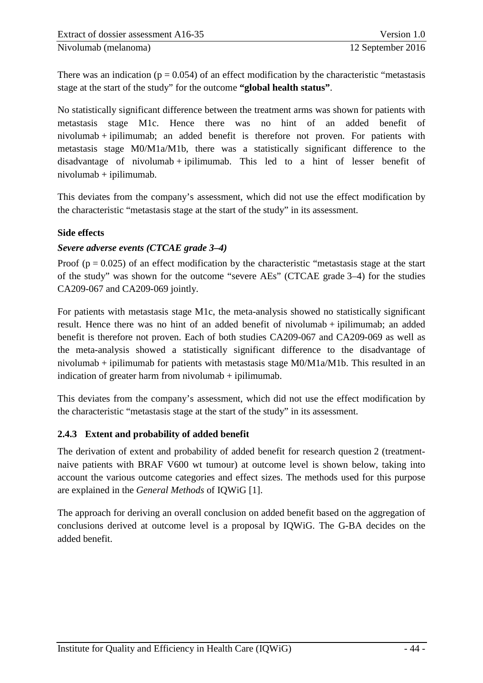There was an indication ( $p = 0.054$ ) of an effect modification by the characteristic "metastasis" stage at the start of the study" for the outcome **"global health status"**.

No statistically significant difference between the treatment arms was shown for patients with metastasis stage M1c. Hence there was no hint of an added benefit of nivolumab + ipilimumab; an added benefit is therefore not proven. For patients with metastasis stage M0/M1a/M1b, there was a statistically significant difference to the disadvantage of nivolumab + ipilimumab. This led to a hint of lesser benefit of nivolumab + ipilimumab.

This deviates from the company's assessment, which did not use the effect modification by the characteristic "metastasis stage at the start of the study" in its assessment.

#### **Side effects**

#### *Severe adverse events (CTCAE grade 3–4)*

Proof  $(p = 0.025)$  of an effect modification by the characteristic "metastasis stage at the start" of the study" was shown for the outcome "severe AEs" (CTCAE grade 3–4) for the studies CA209-067 and CA209-069 jointly.

For patients with metastasis stage M1c, the meta-analysis showed no statistically significant result. Hence there was no hint of an added benefit of nivolumab + ipilimumab; an added benefit is therefore not proven. Each of both studies CA209-067 and CA209-069 as well as the meta-analysis showed a statistically significant difference to the disadvantage of nivolumab + ipilimumab for patients with metastasis stage M0/M1a/M1b. This resulted in an indication of greater harm from nivolumab  $+$  ipilimumab.

This deviates from the company's assessment, which did not use the effect modification by the characteristic "metastasis stage at the start of the study" in its assessment.

#### <span id="page-50-0"></span>**2.4.3 Extent and probability of added benefit**

The derivation of extent and probability of added benefit for research question 2 (treatmentnaive patients with BRAF V600 wt tumour) at outcome level is shown below, taking into account the various outcome categories and effect sizes. The methods used for this purpose are explained in the *General Methods* of IQWiG [1].

The approach for deriving an overall conclusion on added benefit based on the aggregation of conclusions derived at outcome level is a proposal by IQWiG. The G-BA decides on the added benefit.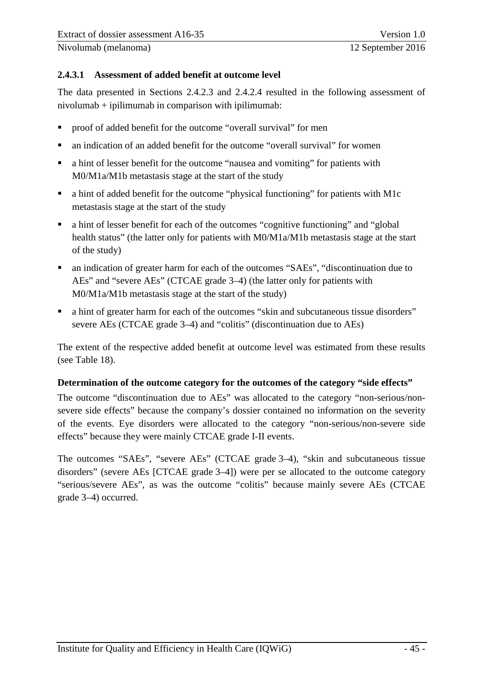#### <span id="page-51-0"></span>**2.4.3.1 Assessment of added benefit at outcome level**

The data presented in Sections 2.4.2.3 and 2.4.2.4 resulted in the following assessment of nivolumab + ipilimumab in comparison with ipilimumab:

- proof of added benefit for the outcome "overall survival" for men
- an indication of an added benefit for the outcome "overall survival" for women
- a hint of lesser benefit for the outcome "nausea and vomiting" for patients with M0/M1a/M1b metastasis stage at the start of the study
- a hint of added benefit for the outcome "physical functioning" for patients with M1c metastasis stage at the start of the study
- a hint of lesser benefit for each of the outcomes "cognitive functioning" and "global health status" (the latter only for patients with M0/M1a/M1b metastasis stage at the start of the study)
- an indication of greater harm for each of the outcomes "SAEs", "discontinuation due to AEs" and "severe AEs" (CTCAE grade 3–4) (the latter only for patients with M0/M1a/M1b metastasis stage at the start of the study)
- a hint of greater harm for each of the outcomes "skin and subcutaneous tissue disorders" severe AEs (CTCAE grade 3–4) and "colitis" (discontinuation due to AEs)

The extent of the respective added benefit at outcome level was estimated from these results (see [Table 18\)](#page-52-0).

#### **Determination of the outcome category for the outcomes of the category "side effects"**

The outcome "discontinuation due to AEs" was allocated to the category "non-serious/nonsevere side effects" because the company's dossier contained no information on the severity of the events. Eye disorders were allocated to the category "non-serious/non-severe side effects" because they were mainly CTCAE grade I-II events.

The outcomes "SAEs", "severe AEs" (CTCAE grade 3–4), "skin and subcutaneous tissue disorders" (severe AEs [CTCAE grade 3–4]) were per se allocated to the outcome category "serious/severe AEs", as was the outcome "colitis" because mainly severe AEs (CTCAE grade 3–4) occurred.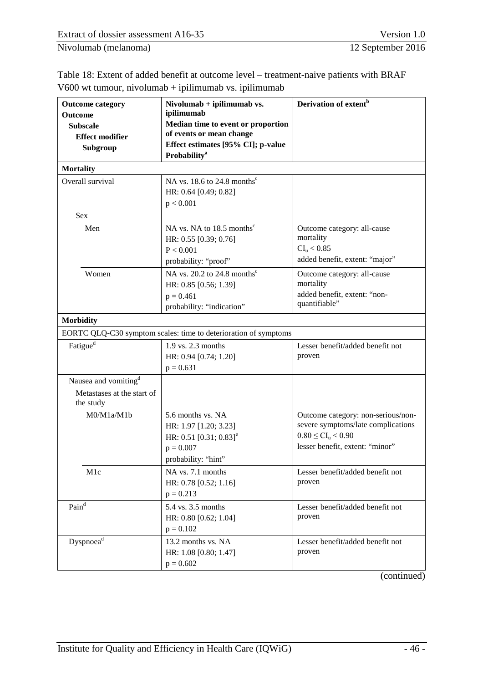<span id="page-52-0"></span>

| Table 18: Extent of added benefit at outcome level – treatment-naive patients with BRAF |  |
|-----------------------------------------------------------------------------------------|--|
| $V600$ wt tumour, nivolumab + ipilimumab vs. ipilimumab                                 |  |

| <b>Outcome category</b>                   | Nivolumab + ipilimumab vs.<br>ipilimumab                        | Derivation of extent <sup>b</sup>  |
|-------------------------------------------|-----------------------------------------------------------------|------------------------------------|
| <b>Outcome</b>                            | Median time to event or proportion                              |                                    |
| <b>Subscale</b><br><b>Effect modifier</b> | of events or mean change                                        |                                    |
| Subgroup                                  | Effect estimates [95% CI]; p-value                              |                                    |
|                                           | <b>Probability</b> <sup>a</sup>                                 |                                    |
| <b>Mortality</b>                          |                                                                 |                                    |
| Overall survival                          | NA vs. 18.6 to 24.8 months <sup>c</sup>                         |                                    |
|                                           | HR: 0.64 [0.49; 0.82]                                           |                                    |
|                                           | p < 0.001                                                       |                                    |
| <b>Sex</b>                                |                                                                 |                                    |
| Men                                       | NA vs. NA to 18.5 months <sup>c</sup>                           | Outcome category: all-cause        |
|                                           | HR: 0.55 [0.39; 0.76]                                           | mortality                          |
|                                           | P < 0.001                                                       | $CI_{u} < 0.85$                    |
|                                           | probability: "proof"                                            | added benefit, extent: "major"     |
| Women                                     | NA vs. 20.2 to 24.8 months <sup>c</sup>                         | Outcome category: all-cause        |
|                                           | HR: 0.85 [0.56; 1.39]                                           | mortality                          |
|                                           | $p = 0.461$                                                     | added benefit, extent: "non-       |
|                                           | probability: "indication"                                       | quantifiable"                      |
| <b>Morbidity</b>                          |                                                                 |                                    |
|                                           | EORTC QLQ-C30 symptom scales: time to deterioration of symptoms |                                    |
| Fatigue <sup>d</sup>                      | 1.9 vs. 2.3 months                                              | Lesser benefit/added benefit not   |
|                                           | HR: 0.94 [0.74; 1.20]                                           | proven                             |
|                                           | $p = 0.631$                                                     |                                    |
| Nausea and vomiting <sup>d</sup>          |                                                                 |                                    |
| Metastases at the start of<br>the study   |                                                                 |                                    |
| M0/M1a/M1b                                | 5.6 months vs. NA                                               | Outcome category: non-serious/non- |
|                                           | HR: 1.97 [1.20; 3.23]                                           | severe symptoms/late complications |
|                                           | HR: $0.51$ [0.31; $0.83$ ] <sup>e</sup>                         | $0.80 \leq CI_{u} < 0.90$          |
|                                           | $p = 0.007$                                                     | lesser benefit, extent: "minor"    |
|                                           | probability: "hint"                                             |                                    |
| M <sub>1</sub> c                          | NA vs. 7.1 months                                               | Lesser benefit/added benefit not   |
|                                           | HR: 0.78 [0.52; 1.16]                                           | proven                             |
|                                           | $p = 0.213$                                                     |                                    |
| $\mathsf{Pain}^\mathsf{d}$                | 5.4 vs. 3.5 months                                              | Lesser benefit/added benefit not   |
|                                           | HR: 0.80 [0.62; 1.04]                                           | proven                             |
|                                           | $p = 0.102$                                                     |                                    |
| $\mathbf{Dyspnoea}^{\mathbf{d}}$          | 13.2 months vs. NA                                              | Lesser benefit/added benefit not   |
|                                           | HR: 1.08 [0.80; 1.47]                                           | proven                             |
|                                           | $p = 0.602$                                                     |                                    |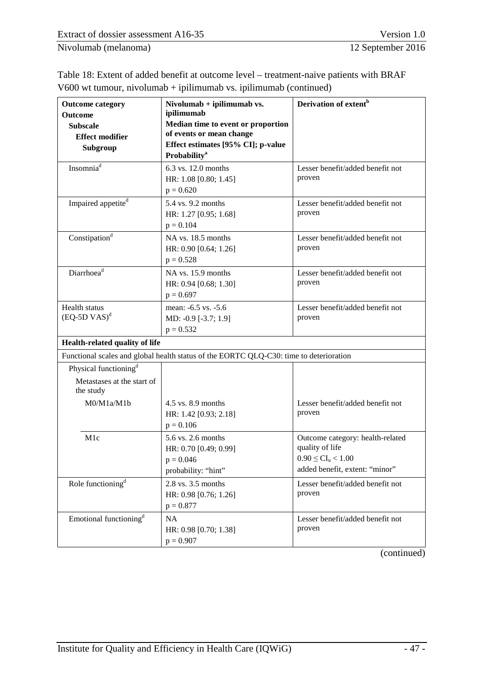| <b>Outcome category</b><br>Outcome<br><b>Subscale</b><br><b>Effect modifier</b><br>Subgroup | Nivolumab + ipilimumab vs.<br>ipilimumab<br>Median time to event or proportion<br>of events or mean change<br>Effect estimates [95% CI]; p-value<br><b>Probability</b> <sup>a</sup> | Derivation of extent <sup>b</sup>                                                                                  |
|---------------------------------------------------------------------------------------------|-------------------------------------------------------------------------------------------------------------------------------------------------------------------------------------|--------------------------------------------------------------------------------------------------------------------|
| Insomnia <sup>d</sup>                                                                       | 6.3 vs. 12.0 months<br>HR: 1.08 [0.80; 1.45]<br>$p = 0.620$                                                                                                                         | Lesser benefit/added benefit not<br>proven                                                                         |
| Impaired appetite <sup>d</sup>                                                              | 5.4 vs. 9.2 months<br>HR: 1.27 [0.95; 1.68]<br>$p = 0.104$                                                                                                                          | Lesser benefit/added benefit not<br>proven                                                                         |
| Constipation <sup>d</sup>                                                                   | NA vs. 18.5 months<br>HR: 0.90 [0.64; 1.26]<br>$p = 0.528$                                                                                                                          | Lesser benefit/added benefit not<br>proven                                                                         |
| Diarrhoea <sup>d</sup>                                                                      | NA vs. 15.9 months<br>HR: 0.94 [0.68; 1.30]<br>$p = 0.697$                                                                                                                          | Lesser benefit/added benefit not<br>proven                                                                         |
| Health status<br>$(EQ-5D VAS)^d$                                                            | mean: -6.5 vs. -5.6<br>MD: -0.9 [-3.7; 1.9]<br>$p = 0.532$                                                                                                                          | Lesser benefit/added benefit not<br>proven                                                                         |
| Health-related quality of life                                                              |                                                                                                                                                                                     |                                                                                                                    |
|                                                                                             | Functional scales and global health status of the EORTC QLQ-C30: time to deterioration                                                                                              |                                                                                                                    |
| Physical functioning <sup>d</sup><br>Metastases at the start of<br>the study                |                                                                                                                                                                                     |                                                                                                                    |
| M0/M1a/M1b                                                                                  | 4.5 vs. 8.9 months<br>HR: 1.42 [0.93; 2.18]<br>$p = 0.106$                                                                                                                          | Lesser benefit/added benefit not<br>proven                                                                         |
| M1c                                                                                         | 5.6 vs. 2.6 months<br>HR: 0.70 [0.49; 0.99]<br>$p = 0.046$<br>probability: "hint"                                                                                                   | Outcome category: health-related<br>quality of life<br>$0.90 \leq CL_{u} < 1.00$<br>added benefit, extent: "minor" |
| Role functioning <sup>d</sup>                                                               | 2.8 vs. 3.5 months<br>HR: 0.98 [0.76; 1.26]<br>$p = 0.877$                                                                                                                          | Lesser benefit/added benefit not<br>proven                                                                         |
| Emotional functioning <sup>d</sup>                                                          | NA<br>HR: 0.98 [0.70; 1.38]<br>$p = 0.907$                                                                                                                                          | Lesser benefit/added benefit not<br>proven                                                                         |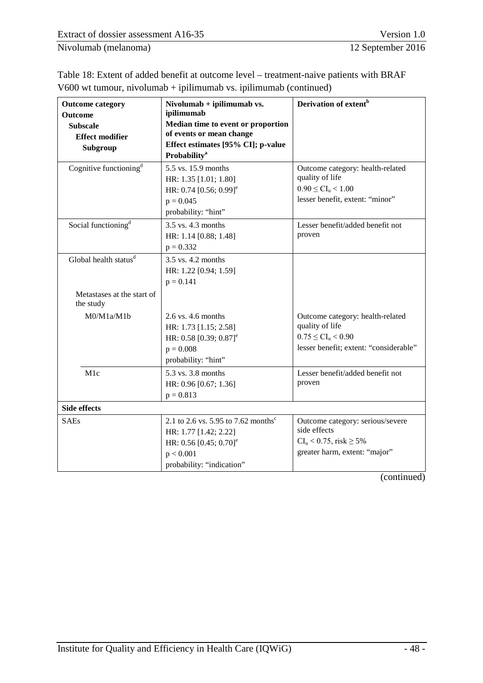| <b>Outcome category</b><br>Outcome<br><b>Subscale</b><br><b>Effect modifier</b><br>Subgroup | $Nivolumab + ipilimumab$ vs.<br>ipilimumab<br>Median time to event or proportion<br>of events or mean change<br>Effect estimates [95% CI]; p-value<br><b>Probability</b> <sup>a</sup> | Derivation of extent <sup>b</sup>                                                                                          |
|---------------------------------------------------------------------------------------------|---------------------------------------------------------------------------------------------------------------------------------------------------------------------------------------|----------------------------------------------------------------------------------------------------------------------------|
| Cognitive functioning <sup>d</sup>                                                          | 5.5 vs. 15.9 months<br>HR: 1.35 [1.01; 1.80]<br>HR: $0.74$ [0.56; $0.99$ ] <sup>e</sup><br>$p = 0.045$<br>probability: "hint"                                                         | Outcome category: health-related<br>quality of life<br>$0.90 \leq CL_{u} < 1.00$<br>lesser benefit, extent: "minor"        |
| Social functioning <sup>d</sup>                                                             | 3.5 vs. 4.3 months<br>HR: 1.14 [0.88; 1.48]<br>$p = 0.332$                                                                                                                            | Lesser benefit/added benefit not<br>proven                                                                                 |
| Global health status <sup>d</sup>                                                           | 3.5 vs. 4.2 months<br>HR: 1.22 [0.94; 1.59]<br>$p = 0.141$                                                                                                                            |                                                                                                                            |
| Metastases at the start of<br>the study                                                     |                                                                                                                                                                                       |                                                                                                                            |
| M0/M1a/M1b                                                                                  | 2.6 vs. 4.6 months<br>HR: 1.73 [1.15; 2.58]<br>HR: 0.58 [0.39; 0.87] <sup>e</sup><br>$p = 0.008$<br>probability: "hint"                                                               | Outcome category: health-related<br>quality of life<br>$0.75 \leq CI_{u} < 0.90$<br>lesser benefit; extent: "considerable" |
| M1c                                                                                         | 5.3 vs. 3.8 months<br>HR: 0.96 [0.67; 1.36]<br>$p = 0.813$                                                                                                                            | Lesser benefit/added benefit not<br>proven                                                                                 |
| <b>Side effects</b>                                                                         |                                                                                                                                                                                       |                                                                                                                            |
| <b>SAEs</b>                                                                                 | 2.1 to 2.6 vs. 5.95 to 7.62 months <sup>c</sup><br>HR: 1.77 [1.42; 2.22]<br>HR: $0.56$ [0.45; $0.70$ ] <sup>e</sup><br>p < 0.001<br>probability: "indication"                         | Outcome category: serious/severe<br>side effects<br>$CI_{u} < 0.75$ , risk $\geq 5\%$<br>greater harm, extent: "major"     |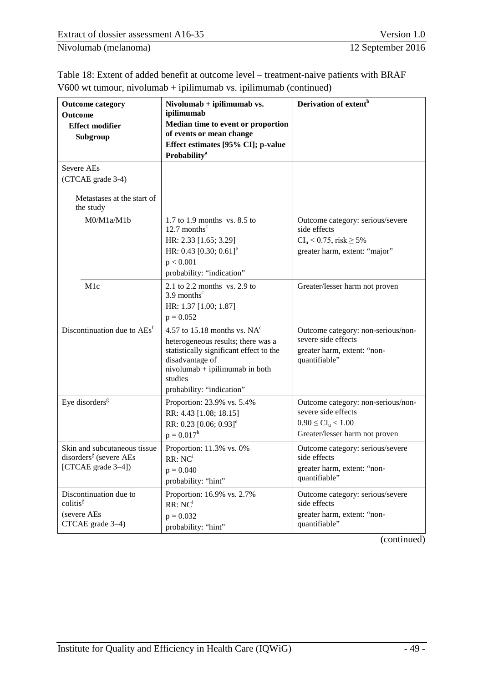| <b>Outcome category</b><br><b>Outcome</b><br><b>Effect modifier</b><br>Subgroup          | Nivolumab + ipilimumab vs.<br>ipilimumab<br>Median time to event or proportion<br>of events or mean change<br>Effect estimates [95% CI]; p-value<br><b>Probability</b> <sup>a</sup>                             | Derivation of extent <sup>b</sup>                                                                                        |
|------------------------------------------------------------------------------------------|-----------------------------------------------------------------------------------------------------------------------------------------------------------------------------------------------------------------|--------------------------------------------------------------------------------------------------------------------------|
| Severe AEs                                                                               |                                                                                                                                                                                                                 |                                                                                                                          |
| (CTCAE grade 3-4)                                                                        |                                                                                                                                                                                                                 |                                                                                                                          |
| Metastases at the start of<br>the study                                                  |                                                                                                                                                                                                                 |                                                                                                                          |
| M0/M1a/M1b                                                                               | 1.7 to 1.9 months $vs. 8.5$ to<br>12.7 months $\mathrm{c}$<br>HR: 2.33 [1.65; 3.29]<br>HR: 0.43 $[0.30; 0.61]$ <sup>e</sup><br>p < 0.001<br>probability: "indication"                                           | Outcome category: serious/severe<br>side effects<br>$CI_u < 0.75$ , risk $\geq 5\%$<br>greater harm, extent: "major"     |
| M <sub>1</sub> c                                                                         | 2.1 to 2.2 months vs. 2.9 to<br>$3.9$ months <sup>c</sup><br>HR: 1.37 [1.00; 1.87]<br>$p = 0.052$                                                                                                               | Greater/lesser harm not proven                                                                                           |
| Discontinuation due to AEs <sup>f</sup>                                                  | 4.57 to 15.18 months vs. $NA^{c}$<br>heterogeneous results; there was a<br>statistically significant effect to the<br>disadvantage of<br>nivolumab + ipilimumab in both<br>studies<br>probability: "indication" | Outcome category: non-serious/non-<br>severe side effects<br>greater harm, extent: "non-<br>quantifiable"                |
| Eye disorders <sup>g</sup>                                                               | Proportion: 23.9% vs. 5.4%<br>RR: 4.43 [1.08; 18.15]<br>RR: 0.23 [0.06; 0.93] <sup>e</sup><br>$p = 0.017h$                                                                                                      | Outcome category: non-serious/non-<br>severe side effects<br>$0.90 \leq CL_{u} < 1.00$<br>Greater/lesser harm not proven |
| Skin and subcutaneous tissue<br>disorders <sup>g</sup> (severe AEs<br>[CTCAE grade 3-4]) | Proportion: 11.3% vs. 0%<br>RR:NC <sup>i</sup><br>$p = 0.040$<br>probability: "hint"                                                                                                                            | Outcome category: serious/severe<br>side effects<br>greater harm, extent: "non-<br>quantifiable"                         |
| Discontinuation due to<br>colitis <sup>g</sup><br>(severe AEs<br>CTCAE grade 3-4)        | Proportion: 16.9% vs. 2.7%<br>RR:NC <sup>i</sup><br>$p = 0.032$<br>probability: "hint"                                                                                                                          | Outcome category: serious/severe<br>side effects<br>greater harm, extent: "non-<br>quantifiable"                         |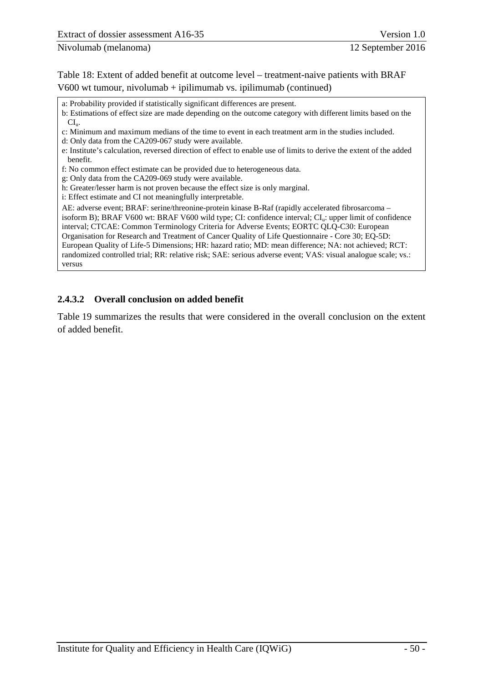b: Estimations of effect size are made depending on the outcome category with different limits based on the  $CL<sub>u</sub>$ .

c: Minimum and maximum medians of the time to event in each treatment arm in the studies included.

d: Only data from the CA209-067 study were available.

e: Institute's calculation, reversed direction of effect to enable use of limits to derive the extent of the added benefit.

f: No common effect estimate can be provided due to heterogeneous data.

g: Only data from the CA209-069 study were available.

h: Greater/lesser harm is not proven because the effect size is only marginal.

i: Effect estimate and CI not meaningfully interpretable.

AE: adverse event; BRAF: serine/threonine-protein kinase B-Raf (rapidly accelerated fibrosarcoma – isoform B); BRAF V600 wt: BRAF V600 wild type; CI: confidence interval; CI<sub>u</sub>: upper limit of confidence interval; CTCAE: Common Terminology Criteria for Adverse Events; EORTC QLQ-C30: European Organisation for Research and Treatment of Cancer Quality of Life Questionnaire - Core 30; EQ-5D: European Quality of Life-5 Dimensions; HR: hazard ratio; MD: mean difference; NA: not achieved; RCT: randomized controlled trial; RR: relative risk; SAE: serious adverse event; VAS: visual analogue scale; vs.: versus

# <span id="page-56-0"></span>**2.4.3.2 Overall conclusion on added benefit**

[Table 19](#page-57-0) summarizes the results that were considered in the overall conclusion on the extent of added benefit.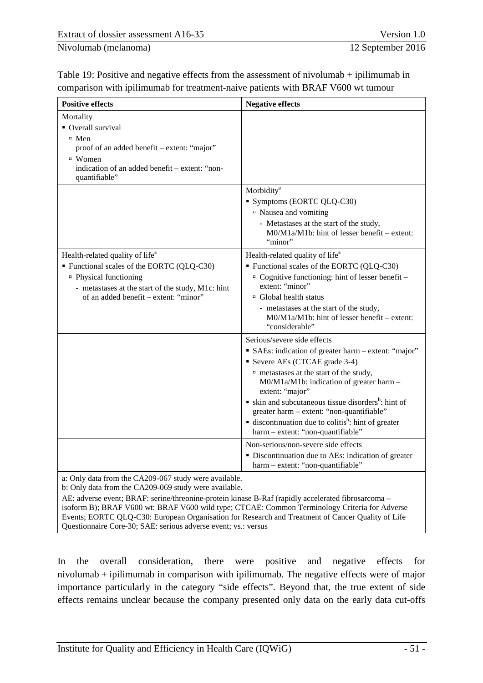<span id="page-57-0"></span>

| Table 19: Positive and negative effects from the assessment of nivolumab $+$ ipilimumab in |
|--------------------------------------------------------------------------------------------|
| comparison with ipilimumab for treatment-naive patients with BRAF V600 wt tumour           |

| <b>Positive effects</b>                                                                                                                                                                                                    | <b>Negative effects</b>                                                                                                                                                                                                                                                                                                                                                                                                                                                                                                                                                            |
|----------------------------------------------------------------------------------------------------------------------------------------------------------------------------------------------------------------------------|------------------------------------------------------------------------------------------------------------------------------------------------------------------------------------------------------------------------------------------------------------------------------------------------------------------------------------------------------------------------------------------------------------------------------------------------------------------------------------------------------------------------------------------------------------------------------------|
| Mortality<br>• Overall survival<br>$\Box$ Men<br>proof of an added benefit – extent: "major"<br>$\Box$ Women<br>indication of an added benefit – extent: "non-<br>quantifiable"                                            |                                                                                                                                                                                                                                                                                                                                                                                                                                                                                                                                                                                    |
|                                                                                                                                                                                                                            | Morbidity <sup>a</sup><br>Symptoms (EORTC QLQ-C30)<br>□ Nausea and vomiting<br>- Metastases at the start of the study,<br>M0/M1a/M1b: hint of lesser benefit – extent:<br>"minor"                                                                                                                                                                                                                                                                                                                                                                                                  |
| Health-related quality of life <sup>a</sup><br>Functional scales of the EORTC (QLQ-C30)<br><sup>□</sup> Physical functioning<br>- metastases at the start of the study, M1c: hint<br>of an added benefit – extent: "minor" | Health-related quality of life <sup>a</sup><br>Functional scales of the EORTC (QLQ-C30)<br>$\circ$ Cognitive functioning: hint of lesser benefit –<br>extent: "minor"<br>□ Global health status<br>- metastases at the start of the study,<br>M0/M1a/M1b: hint of lesser benefit – extent:<br>"considerable"                                                                                                                                                                                                                                                                       |
|                                                                                                                                                                                                                            | Serious/severe side effects<br>• SAEs: indication of greater harm – extent: "major"<br>Severe AEs (CTCAE grade 3-4)<br><sup>n</sup> metastases at the start of the study,<br>M0/M1a/M1b: indication of greater harm-<br>extent: "major"<br>$\bullet$ skin and subcutaneous tissue disorders <sup>b</sup> : hint of<br>greater harm - extent: "non-quantifiable"<br>$\blacksquare$ discontinuation due to colitis <sup>b</sup> : hint of greater<br>harm - extent: "non-quantifiable"<br>Non-serious/non-severe side effects<br>· Discontinuation due to AEs: indication of greater |
| a: Only data from the CA209-067 study were available.<br>b: Only data from the CA209-069 study were available.                                                                                                             | harm - extent: "non-quantifiable"                                                                                                                                                                                                                                                                                                                                                                                                                                                                                                                                                  |

AE: adverse event; BRAF: serine/threonine-protein kinase B-Raf (rapidly accelerated fibrosarcoma – isoform B); BRAF V600 wt: BRAF V600 wild type; CTCAE: Common Terminology Criteria for Adverse Events; EORTC QLQ-C30: European Organisation for Research and Treatment of Cancer Quality of Life Questionnaire Core-30; SAE: serious adverse event; vs.: versus

In the overall consideration, there were positive and negative effects for nivolumab + ipilimumab in comparison with ipilimumab. The negative effects were of major importance particularly in the category "side effects". Beyond that, the true extent of side effects remains unclear because the company presented only data on the early data cut-offs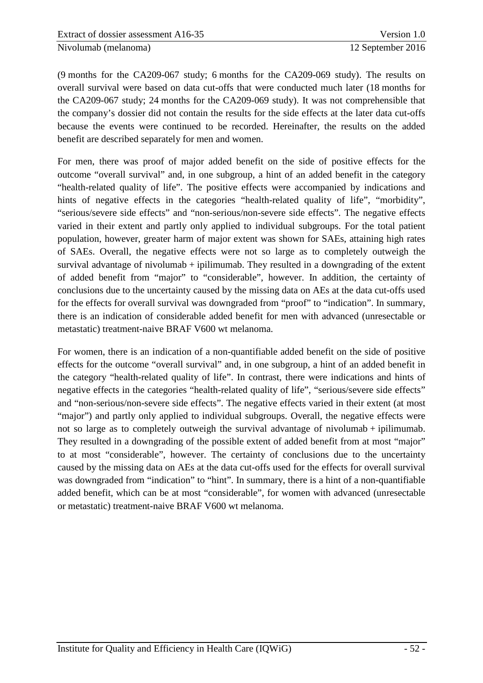(9 months for the CA209-067 study; 6 months for the CA209-069 study). The results on overall survival were based on data cut-offs that were conducted much later (18 months for the CA209-067 study; 24 months for the CA209-069 study). It was not comprehensible that the company's dossier did not contain the results for the side effects at the later data cut-offs because the events were continued to be recorded. Hereinafter, the results on the added benefit are described separately for men and women.

For men, there was proof of major added benefit on the side of positive effects for the outcome "overall survival" and, in one subgroup, a hint of an added benefit in the category "health-related quality of life". The positive effects were accompanied by indications and hints of negative effects in the categories "health-related quality of life", "morbidity", "serious/severe side effects" and "non-serious/non-severe side effects". The negative effects varied in their extent and partly only applied to individual subgroups. For the total patient population, however, greater harm of major extent was shown for SAEs, attaining high rates of SAEs. Overall, the negative effects were not so large as to completely outweigh the survival advantage of nivolumab + ipilimumab. They resulted in a downgrading of the extent of added benefit from "major" to "considerable", however. In addition, the certainty of conclusions due to the uncertainty caused by the missing data on AEs at the data cut-offs used for the effects for overall survival was downgraded from "proof" to "indication". In summary, there is an indication of considerable added benefit for men with advanced (unresectable or metastatic) treatment-naive BRAF V600 wt melanoma.

For women, there is an indication of a non-quantifiable added benefit on the side of positive effects for the outcome "overall survival" and, in one subgroup, a hint of an added benefit in the category "health-related quality of life". In contrast, there were indications and hints of negative effects in the categories "health-related quality of life", "serious/severe side effects" and "non-serious/non-severe side effects". The negative effects varied in their extent (at most "major") and partly only applied to individual subgroups. Overall, the negative effects were not so large as to completely outweigh the survival advantage of nivolumab + ipilimumab. They resulted in a downgrading of the possible extent of added benefit from at most "major" to at most "considerable", however. The certainty of conclusions due to the uncertainty caused by the missing data on AEs at the data cut-offs used for the effects for overall survival was downgraded from "indication" to "hint". In summary, there is a hint of a non-quantifiable added benefit, which can be at most "considerable", for women with advanced (unresectable or metastatic) treatment-naive BRAF V600 wt melanoma.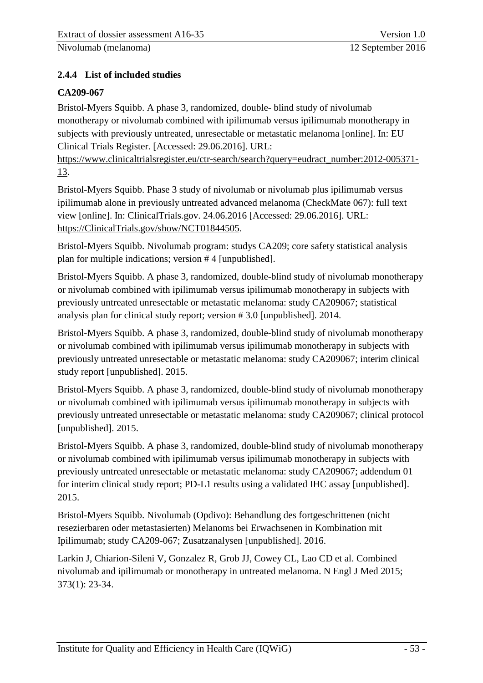# <span id="page-59-1"></span><span id="page-59-0"></span>**2.4.4 List of included studies**

# **CA209-067**

Bristol-Myers Squibb. A phase 3, randomized, double- blind study of nivolumab monotherapy or nivolumab combined with ipilimumab versus ipilimumab monotherapy in subjects with previously untreated, unresectable or metastatic melanoma [online]. In: EU Clinical Trials Register. [Accessed: 29.06.2016]. URL:

https://www.clinicaltrialsregister.eu/ctr-search/search?query=eudract\_number:2012-005371-13.

Bristol-Myers Squibb. Phase 3 study of nivolumab or nivolumab plus ipilimumab versus ipilimumab alone in previously untreated advanced melanoma (CheckMate 067): full text view [online]. In: ClinicalTrials.gov. 24.06.2016 [Accessed: 29.06.2016]. URL: https://ClinicalTrials.gov/show/NCT01844505.

Bristol-Myers Squibb. Nivolumab program: studys CA209; core safety statistical analysis plan for multiple indications; version # 4 [unpublished].

Bristol-Myers Squibb. A phase 3, randomized, double-blind study of nivolumab monotherapy or nivolumab combined with ipilimumab versus ipilimumab monotherapy in subjects with previously untreated unresectable or metastatic melanoma: study CA209067; statistical analysis plan for clinical study report; version # 3.0 [unpublished]. 2014.

Bristol-Myers Squibb. A phase 3, randomized, double-blind study of nivolumab monotherapy or nivolumab combined with ipilimumab versus ipilimumab monotherapy in subjects with previously untreated unresectable or metastatic melanoma: study CA209067; interim clinical study report [unpublished]. 2015.

Bristol-Myers Squibb. A phase 3, randomized, double-blind study of nivolumab monotherapy or nivolumab combined with ipilimumab versus ipilimumab monotherapy in subjects with previously untreated unresectable or metastatic melanoma: study CA209067; clinical protocol [unpublished]. 2015.

Bristol-Myers Squibb. A phase 3, randomized, double-blind study of nivolumab monotherapy or nivolumab combined with ipilimumab versus ipilimumab monotherapy in subjects with previously untreated unresectable or metastatic melanoma: study CA209067; addendum 01 for interim clinical study report; PD-L1 results using a validated IHC assay [unpublished]. 2015.

Bristol-Myers Squibb. Nivolumab (Opdivo): Behandlung des fortgeschrittenen (nicht resezierbaren oder metastasierten) Melanoms bei Erwachsenen in Kombination mit Ipilimumab; study CA209-067; Zusatzanalysen [unpublished]. 2016.

Larkin J, Chiarion-Sileni V, Gonzalez R, Grob JJ, Cowey CL, Lao CD et al. Combined nivolumab and ipilimumab or monotherapy in untreated melanoma. N Engl J Med 2015; 373(1): 23-34.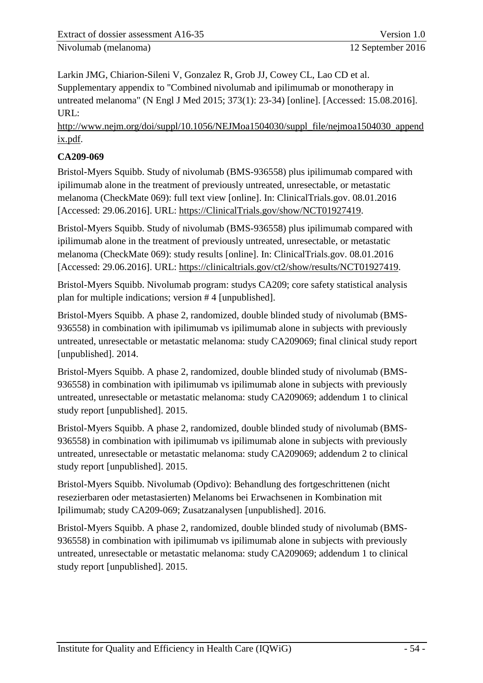Larkin JMG, Chiarion-Sileni V, Gonzalez R, Grob JJ, Cowey CL, Lao CD et al. Supplementary appendix to "Combined nivolumab and ipilimumab or monotherapy in untreated melanoma" (N Engl J Med 2015; 373(1): 23-34) [online]. [Accessed: 15.08.2016]. URL:

http://www.nejm.org/doi/suppl/10.1056/NEJMoa1504030/suppl\_file/nejmoa1504030\_append ix.pdf.

# **CA209-069**

Bristol-Myers Squibb. Study of nivolumab (BMS-936558) plus ipilimumab compared with ipilimumab alone in the treatment of previously untreated, unresectable, or metastatic melanoma (CheckMate 069): full text view [online]. In: ClinicalTrials.gov. 08.01.2016 [Accessed: 29.06.2016]. URL: https://ClinicalTrials.gov/show/NCT01927419.

Bristol-Myers Squibb. Study of nivolumab (BMS-936558) plus ipilimumab compared with ipilimumab alone in the treatment of previously untreated, unresectable, or metastatic melanoma (CheckMate 069): study results [online]. In: ClinicalTrials.gov. 08.01.2016 [Accessed: 29.06.2016]. URL: https://clinicaltrials.gov/ct2/show/results/NCT01927419.

Bristol-Myers Squibb. Nivolumab program: studys CA209; core safety statistical analysis plan for multiple indications; version # 4 [unpublished].

Bristol-Myers Squibb. A phase 2, randomized, double blinded study of nivolumab (BMS-936558) in combination with ipilimumab vs ipilimumab alone in subjects with previously untreated, unresectable or metastatic melanoma: study CA209069; final clinical study report [unpublished]. 2014.

Bristol-Myers Squibb. A phase 2, randomized, double blinded study of nivolumab (BMS-936558) in combination with ipilimumab vs ipilimumab alone in subjects with previously untreated, unresectable or metastatic melanoma: study CA209069; addendum 1 to clinical study report [unpublished]. 2015.

Bristol-Myers Squibb. A phase 2, randomized, double blinded study of nivolumab (BMS-936558) in combination with ipilimumab vs ipilimumab alone in subjects with previously untreated, unresectable or metastatic melanoma: study CA209069; addendum 2 to clinical study report [unpublished]. 2015.

Bristol-Myers Squibb. Nivolumab (Opdivo): Behandlung des fortgeschrittenen (nicht resezierbaren oder metastasierten) Melanoms bei Erwachsenen in Kombination mit Ipilimumab; study CA209-069; Zusatzanalysen [unpublished]. 2016.

Bristol-Myers Squibb. A phase 2, randomized, double blinded study of nivolumab (BMS-936558) in combination with ipilimumab vs ipilimumab alone in subjects with previously untreated, unresectable or metastatic melanoma: study CA209069; addendum 1 to clinical study report [unpublished]. 2015.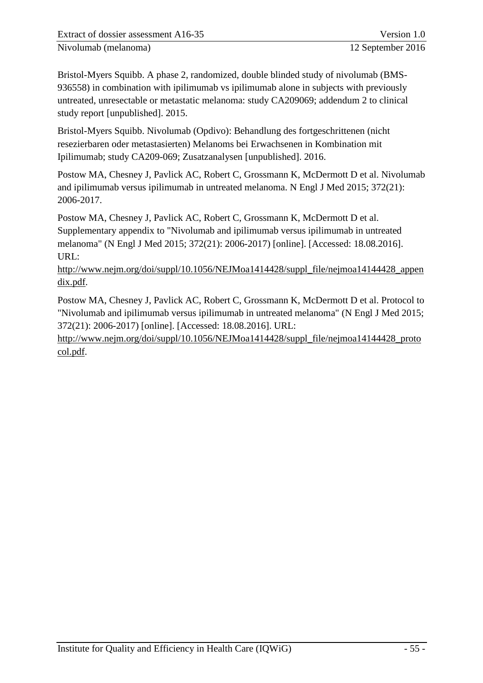Bristol-Myers Squibb. A phase 2, randomized, double blinded study of nivolumab (BMS-936558) in combination with ipilimumab vs ipilimumab alone in subjects with previously untreated, unresectable or metastatic melanoma: study CA209069; addendum 2 to clinical study report [unpublished]. 2015.

Bristol-Myers Squibb. Nivolumab (Opdivo): Behandlung des fortgeschrittenen (nicht resezierbaren oder metastasierten) Melanoms bei Erwachsenen in Kombination mit Ipilimumab; study CA209-069; Zusatzanalysen [unpublished]. 2016.

Postow MA, Chesney J, Pavlick AC, Robert C, Grossmann K, McDermott D et al. Nivolumab and ipilimumab versus ipilimumab in untreated melanoma. N Engl J Med 2015; 372(21): 2006-2017.

Postow MA, Chesney J, Pavlick AC, Robert C, Grossmann K, McDermott D et al. Supplementary appendix to "Nivolumab and ipilimumab versus ipilimumab in untreated melanoma" (N Engl J Med 2015; 372(21): 2006-2017) [online]. [Accessed: 18.08.2016]. URL:

http://www.nejm.org/doi/suppl/10.1056/NEJMoa1414428/suppl\_file/nejmoa14144428\_appen dix.pdf.

Postow MA, Chesney J, Pavlick AC, Robert C, Grossmann K, McDermott D et al. Protocol to "Nivolumab and ipilimumab versus ipilimumab in untreated melanoma" (N Engl J Med 2015; 372(21): 2006-2017) [online]. [Accessed: 18.08.2016]. URL:

http://www.nejm.org/doi/suppl/10.1056/NEJMoa1414428/suppl\_file/nejmoa14144428\_proto col.pdf.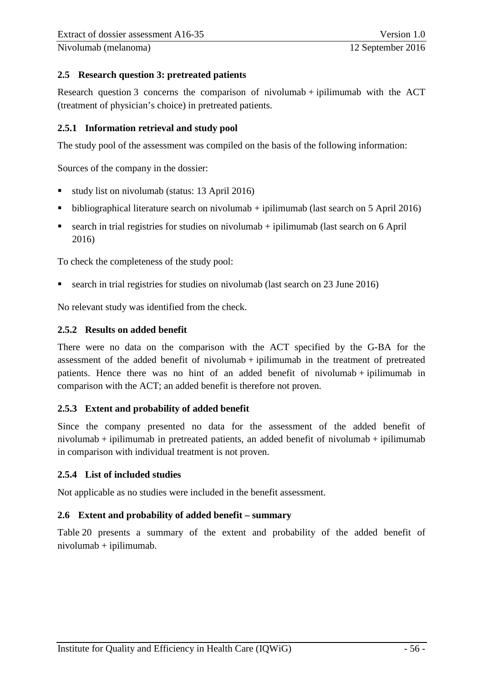#### <span id="page-62-0"></span>**2.5 Research question 3: pretreated patients**

Research question 3 concerns the comparison of nivolumab + ipilimumab with the ACT (treatment of physician's choice) in pretreated patients.

#### <span id="page-62-1"></span>**2.5.1 Information retrieval and study pool**

The study pool of the assessment was compiled on the basis of the following information:

Sources of the company in the dossier:

- study list on nivolumab (status: 13 April 2016)
- $\bullet$  bibliographical literature search on nivolumab + ipilimumab (last search on 5 April 2016)
- search in trial registries for studies on nivolumab  $+$  ipilimumab (last search on 6 April 2016)

To check the completeness of the study pool:

search in trial registries for studies on nivolumab (last search on 23 June 2016)

No relevant study was identified from the check.

# <span id="page-62-2"></span>**2.5.2 Results on added benefit**

There were no data on the comparison with the ACT specified by the G-BA for the assessment of the added benefit of nivolumab  $+$  ipilimumab in the treatment of pretreated patients. Hence there was no hint of an added benefit of nivolumab + ipilimumab in comparison with the ACT; an added benefit is therefore not proven.

# <span id="page-62-3"></span>**2.5.3 Extent and probability of added benefit**

Since the company presented no data for the assessment of the added benefit of nivolumab + ipilimumab in pretreated patients, an added benefit of nivolumab + ipilimumab in comparison with individual treatment is not proven.

# <span id="page-62-4"></span>**2.5.4 List of included studies**

Not applicable as no studies were included in the benefit assessment.

#### <span id="page-62-5"></span>**2.6 Extent and probability of added benefit – summary**

[Table 20](#page-63-0) presents a summary of the extent and probability of the added benefit of nivolumab + ipilimumab.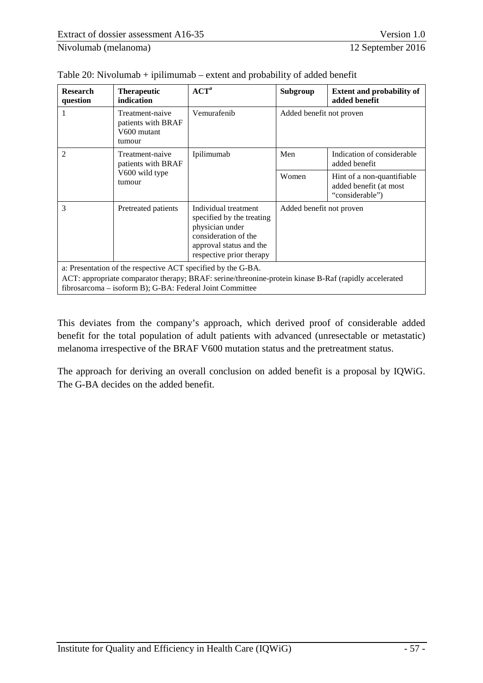| <b>Research</b><br>question                                                                                                                                                                                                       | <b>Therapeutic</b><br>indication                               | ${ACT}^a$                                                                                                                                           | Subgroup                                                                | <b>Extent and probability of</b><br>added benefit |
|-----------------------------------------------------------------------------------------------------------------------------------------------------------------------------------------------------------------------------------|----------------------------------------------------------------|-----------------------------------------------------------------------------------------------------------------------------------------------------|-------------------------------------------------------------------------|---------------------------------------------------|
|                                                                                                                                                                                                                                   | Treatment-naive<br>patients with BRAF<br>V600 mutant<br>tumour | Vemurafenib                                                                                                                                         | Added benefit not proven                                                |                                                   |
| $\overline{2}$                                                                                                                                                                                                                    | Treatment-naive<br>patients with BRAF                          | Ipilimumab                                                                                                                                          | Men                                                                     | Indication of considerable<br>added benefit       |
| V600 wild type<br>tumour                                                                                                                                                                                                          |                                                                | Women                                                                                                                                               | Hint of a non-quantifiable<br>added benefit (at most<br>"considerable") |                                                   |
| 3                                                                                                                                                                                                                                 | Pretreated patients                                            | Individual treatment<br>specified by the treating<br>physician under<br>consideration of the<br>approval status and the<br>respective prior therapy | Added benefit not proven                                                |                                                   |
| a: Presentation of the respective ACT specified by the G-BA.<br>ACT: appropriate comparator therapy; BRAF: serine/threonine-protein kinase B-Raf (rapidly accelerated<br>fibrosarcoma – isoform B); G-BA: Federal Joint Committee |                                                                |                                                                                                                                                     |                                                                         |                                                   |

<span id="page-63-0"></span>

| Table 20: Nivolumab + ipilimumab $-$ extent and probability of added benefit |  |
|------------------------------------------------------------------------------|--|
|------------------------------------------------------------------------------|--|

This deviates from the company's approach, which derived proof of considerable added benefit for the total population of adult patients with advanced (unresectable or metastatic) melanoma irrespective of the BRAF V600 mutation status and the pretreatment status.

The approach for deriving an overall conclusion on added benefit is a proposal by IQWiG. The G-BA decides on the added benefit.